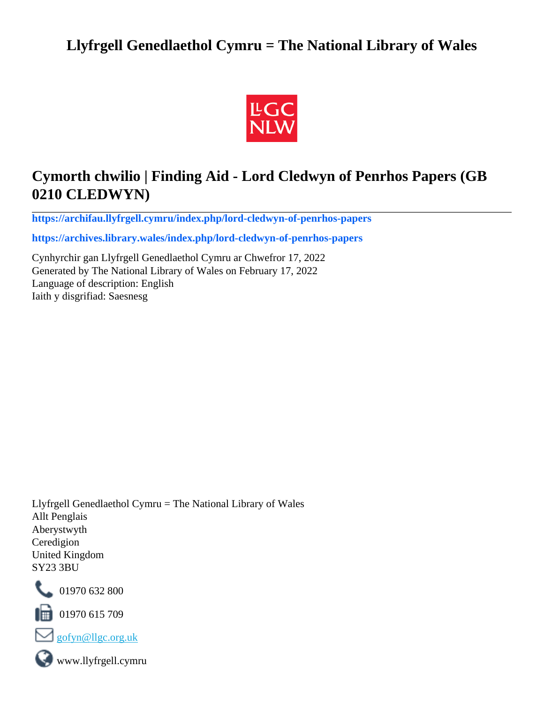# **Llyfrgell Genedlaethol Cymru = The National Library of Wales**



# **Cymorth chwilio | Finding Aid - Lord Cledwyn of Penrhos Papers (GB 0210 CLEDWYN)**

**[https://archifau.llyfrgell.cymru/index.php/lord-cledwyn-of-penrhos-papers](https://archifau.llyfrgell.cymru/index.php/lord-cledwyn-of-penrhos-papers;isad?sf_culture=cy)**

**[https://archives.library.wales/index.php/lord-cledwyn-of-penrhos-papers](https://archives.library.wales/index.php/lord-cledwyn-of-penrhos-papers;isad?sf_culture=en)**

Cynhyrchir gan Llyfrgell Genedlaethol Cymru ar Chwefror 17, 2022 Generated by The National Library of Wales on February 17, 2022 Language of description: English Iaith y disgrifiad: Saesnesg

Llyfrgell Genedlaethol Cymru = The National Library of Wales Allt Penglais Aberystwyth Ceredigion United Kingdom SY23 3BU



101970 632 800

 $\blacksquare$  01970 615 709



www.llyfrgell.cymru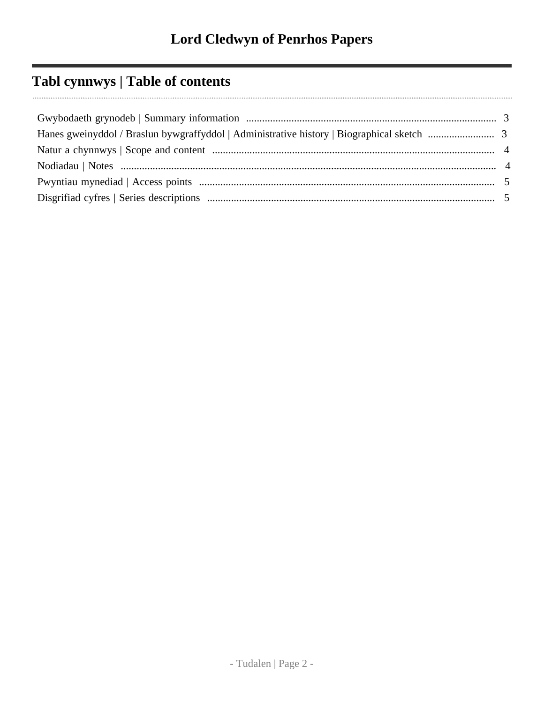# **Tabl cynnwys | Table of contents**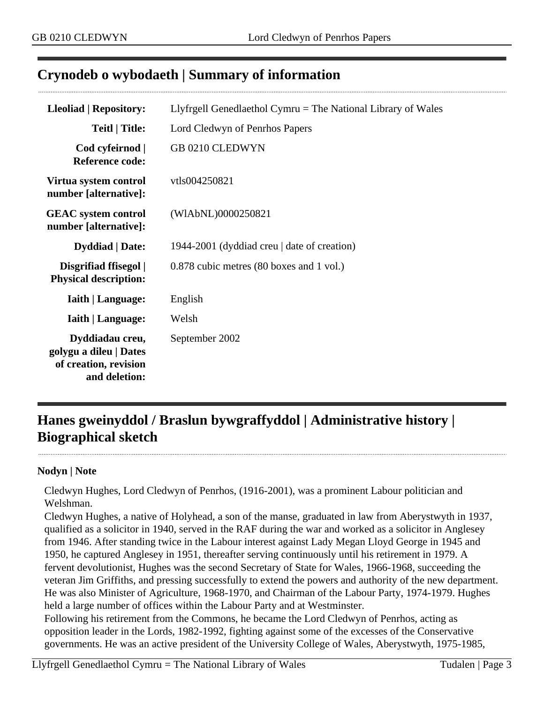## <span id="page-2-0"></span>**Crynodeb o wybodaeth | Summary of information**

| <b>Lleoliad   Repository:</b>                                                       | Llyfrgell Genedlaethol Cymru $=$ The National Library of Wales |
|-------------------------------------------------------------------------------------|----------------------------------------------------------------|
| <b>Teitl   Title:</b>                                                               | Lord Cledwyn of Penrhos Papers                                 |
| Cod cyfeirnod  <br><b>Reference code:</b>                                           | GB 0210 CLEDWYN                                                |
| Virtua system control<br>number [alternative]:                                      | vtls004250821                                                  |
| <b>GEAC</b> system control<br>number [alternative]:                                 | (WIAbNL)0000250821                                             |
| <b>Dyddiad</b>   Date:                                                              | 1944-2001 (dyddiad creu   date of creation)                    |
| Disgrifiad ffisegol  <br><b>Physical description:</b>                               | 0.878 cubic metres (80 boxes and 1 vol.)                       |
| <b>Iaith   Language:</b>                                                            | English                                                        |
| <b>Iaith   Language:</b>                                                            | Welsh                                                          |
| Dyddiadau creu,<br>golygu a dileu   Dates<br>of creation, revision<br>and deletion: | September 2002                                                 |

# <span id="page-2-1"></span>**Hanes gweinyddol / Braslun bywgraffyddol | Administrative history | Biographical sketch**

#### **Nodyn | Note**

Cledwyn Hughes, Lord Cledwyn of Penrhos, (1916-2001), was a prominent Labour politician and Welshman.

Cledwyn Hughes, a native of Holyhead, a son of the manse, graduated in law from Aberystwyth in 1937, qualified as a solicitor in 1940, served in the RAF during the war and worked as a solicitor in Anglesey from 1946. After standing twice in the Labour interest against Lady Megan Lloyd George in 1945 and 1950, he captured Anglesey in 1951, thereafter serving continuously until his retirement in 1979. A fervent devolutionist, Hughes was the second Secretary of State for Wales, 1966-1968, succeeding the veteran Jim Griffiths, and pressing successfully to extend the powers and authority of the new department. He was also Minister of Agriculture, 1968-1970, and Chairman of the Labour Party, 1974-1979. Hughes held a large number of offices within the Labour Party and at Westminster.

Following his retirement from the Commons, he became the Lord Cledwyn of Penrhos, acting as opposition leader in the Lords, 1982-1992, fighting against some of the excesses of the Conservative governments. He was an active president of the University College of Wales, Aberystwyth, 1975-1985,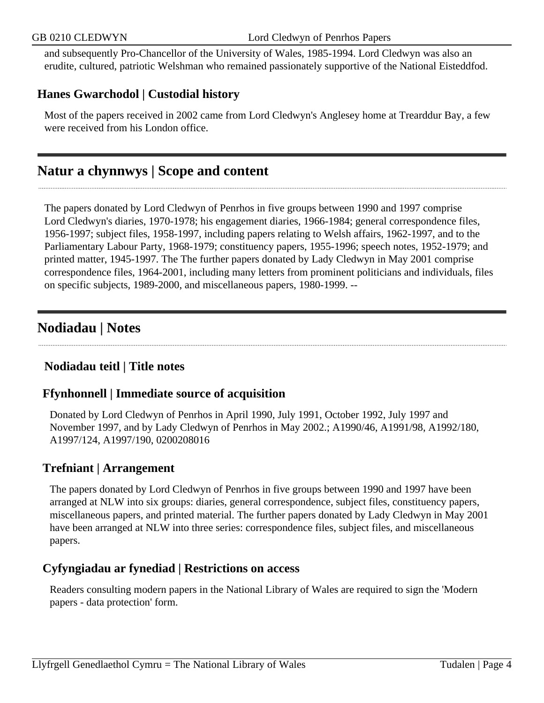and subsequently Pro-Chancellor of the University of Wales, 1985-1994. Lord Cledwyn was also an erudite, cultured, patriotic Welshman who remained passionately supportive of the National Eisteddfod.

## **Hanes Gwarchodol | Custodial history**

Most of the papers received in 2002 came from Lord Cledwyn's Anglesey home at Trearddur Bay, a few were received from his London office.

## <span id="page-3-0"></span>**Natur a chynnwys | Scope and content**

The papers donated by Lord Cledwyn of Penrhos in five groups between 1990 and 1997 comprise Lord Cledwyn's diaries, 1970-1978; his engagement diaries, 1966-1984; general correspondence files, 1956-1997; subject files, 1958-1997, including papers relating to Welsh affairs, 1962-1997, and to the Parliamentary Labour Party, 1968-1979; constituency papers, 1955-1996; speech notes, 1952-1979; and printed matter, 1945-1997. The The further papers donated by Lady Cledwyn in May 2001 comprise correspondence files, 1964-2001, including many letters from prominent politicians and individuals, files on specific subjects, 1989-2000, and miscellaneous papers, 1980-1999. --

# <span id="page-3-1"></span>**Nodiadau | Notes**

## **Nodiadau teitl | Title notes**

## **Ffynhonnell | Immediate source of acquisition**

Donated by Lord Cledwyn of Penrhos in April 1990, July 1991, October 1992, July 1997 and November 1997, and by Lady Cledwyn of Penrhos in May 2002.; A1990/46, A1991/98, A1992/180, A1997/124, A1997/190, 0200208016

## **Trefniant | Arrangement**

The papers donated by Lord Cledwyn of Penrhos in five groups between 1990 and 1997 have been arranged at NLW into six groups: diaries, general correspondence, subject files, constituency papers, miscellaneous papers, and printed material. The further papers donated by Lady Cledwyn in May 2001 have been arranged at NLW into three series: correspondence files, subject files, and miscellaneous papers.

## **Cyfyngiadau ar fynediad | Restrictions on access**

Readers consulting modern papers in the National Library of Wales are required to sign the 'Modern papers - data protection' form.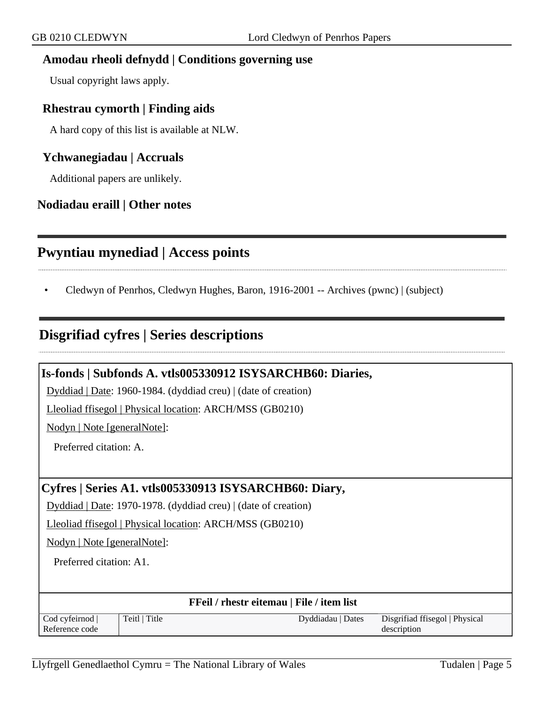# **Amodau rheoli defnydd | Conditions governing use**

Usual copyright laws apply.

#### **Rhestrau cymorth | Finding aids**

A hard copy of this list is available at NLW.

#### **Ychwanegiadau | Accruals**

Additional papers are unlikely.

#### **Nodiadau eraill | Other notes**

# <span id="page-4-0"></span>**Pwyntiau mynediad | Access points**

• Cledwyn of Penrhos, Cledwyn Hughes, Baron, 1916-2001 -- Archives (pwnc) | (subject)

## <span id="page-4-1"></span>**Disgrifiad cyfres | Series descriptions**

|                             |                                                                | Is-fonds   Subfonds A. vtls005330912 ISYSARCHB60: Diaries, |                                |
|-----------------------------|----------------------------------------------------------------|------------------------------------------------------------|--------------------------------|
|                             | Dyddiad   Date: 1960-1984. (dyddiad creu)   (date of creation) |                                                            |                                |
|                             | Lleoliad ffisegol   Physical location: ARCH/MSS (GB0210)       |                                                            |                                |
| Nodyn   Note [generalNote]: |                                                                |                                                            |                                |
| Preferred citation: A.      |                                                                |                                                            |                                |
|                             |                                                                |                                                            |                                |
|                             |                                                                | Cyfres   Series A1. vtls005330913 ISYSARCHB60: Diary,      |                                |
|                             | Dyddiad   Date: 1970-1978. (dyddiad creu)   (date of creation) |                                                            |                                |
|                             | Lleoliad ffisegol   Physical location: ARCH/MSS (GB0210)       |                                                            |                                |
| Nodyn   Note [generalNote]: |                                                                |                                                            |                                |
| Preferred citation: A1.     |                                                                |                                                            |                                |
|                             |                                                                |                                                            |                                |
|                             |                                                                | FFeil / rhestr eitemau   File / item list                  |                                |
| Cod cyfeirnod               | Teitl   Title                                                  | Dyddiadau   Dates                                          | Disgrifiad ffisegol   Physical |
| Reference code              |                                                                |                                                            | description                    |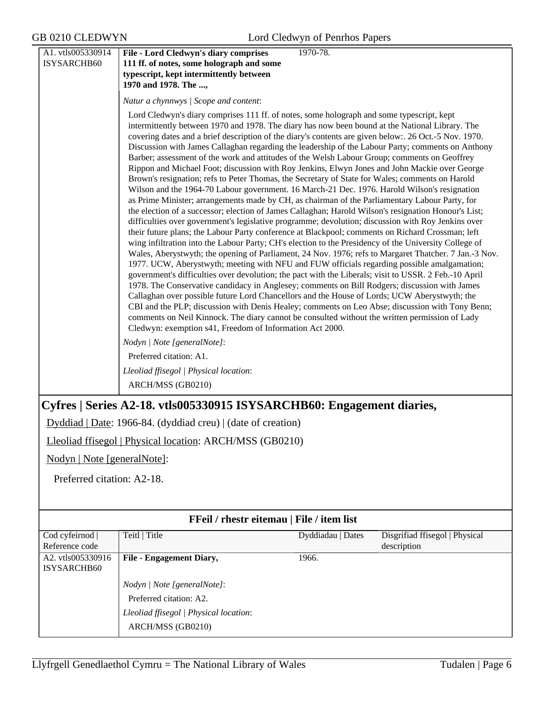| A1. vtls005330914 | File - Lord Cledwyn's diary comprises<br>1970-78.                                                                                                                                                                                                                                                                                                                                                                                                                                                                                                                                                                                                                                                                                                                                                                                                                                                                                                                                                                                                                                                                                                                                                                                                                                                                                                                                                                                                                                                                                                                                                                                                                                                                                                                                                                                                                                                                                                                                                                                                                  |
|-------------------|--------------------------------------------------------------------------------------------------------------------------------------------------------------------------------------------------------------------------------------------------------------------------------------------------------------------------------------------------------------------------------------------------------------------------------------------------------------------------------------------------------------------------------------------------------------------------------------------------------------------------------------------------------------------------------------------------------------------------------------------------------------------------------------------------------------------------------------------------------------------------------------------------------------------------------------------------------------------------------------------------------------------------------------------------------------------------------------------------------------------------------------------------------------------------------------------------------------------------------------------------------------------------------------------------------------------------------------------------------------------------------------------------------------------------------------------------------------------------------------------------------------------------------------------------------------------------------------------------------------------------------------------------------------------------------------------------------------------------------------------------------------------------------------------------------------------------------------------------------------------------------------------------------------------------------------------------------------------------------------------------------------------------------------------------------------------|
| ISYSARCHB60       | 111 ff. of notes, some holograph and some                                                                                                                                                                                                                                                                                                                                                                                                                                                                                                                                                                                                                                                                                                                                                                                                                                                                                                                                                                                                                                                                                                                                                                                                                                                                                                                                                                                                                                                                                                                                                                                                                                                                                                                                                                                                                                                                                                                                                                                                                          |
|                   | typescript, kept intermittently between                                                                                                                                                                                                                                                                                                                                                                                                                                                                                                                                                                                                                                                                                                                                                                                                                                                                                                                                                                                                                                                                                                                                                                                                                                                                                                                                                                                                                                                                                                                                                                                                                                                                                                                                                                                                                                                                                                                                                                                                                            |
|                   | 1970 and 1978. The ,                                                                                                                                                                                                                                                                                                                                                                                                                                                                                                                                                                                                                                                                                                                                                                                                                                                                                                                                                                                                                                                                                                                                                                                                                                                                                                                                                                                                                                                                                                                                                                                                                                                                                                                                                                                                                                                                                                                                                                                                                                               |
|                   | Natur a chynnwys / Scope and content:                                                                                                                                                                                                                                                                                                                                                                                                                                                                                                                                                                                                                                                                                                                                                                                                                                                                                                                                                                                                                                                                                                                                                                                                                                                                                                                                                                                                                                                                                                                                                                                                                                                                                                                                                                                                                                                                                                                                                                                                                              |
|                   | Lord Cledwyn's diary comprises 111 ff. of notes, some holograph and some typescript, kept<br>intermittently between 1970 and 1978. The diary has now been bound at the National Library. The<br>covering dates and a brief description of the diary's contents are given below:. 26 Oct.-5 Nov. 1970.<br>Discussion with James Callaghan regarding the leadership of the Labour Party; comments on Anthony<br>Barber; assessment of the work and attitudes of the Welsh Labour Group; comments on Geoffrey<br>Rippon and Michael Foot; discussion with Roy Jenkins, Elwyn Jones and John Mackie over George<br>Brown's resignation; refs to Peter Thomas, the Secretary of State for Wales; comments on Harold<br>Wilson and the 1964-70 Labour government. 16 March-21 Dec. 1976. Harold Wilson's resignation<br>as Prime Minister; arrangements made by CH, as chairman of the Parliamentary Labour Party, for<br>the election of a successor; election of James Callaghan; Harold Wilson's resignation Honour's List;<br>difficulties over government's legislative programme; devolution; discussion with Roy Jenkins over<br>their future plans; the Labour Party conference at Blackpool; comments on Richard Crossman; left<br>wing infiltration into the Labour Party; CH's election to the Presidency of the University College of<br>Wales, Aberystwyth; the opening of Parliament, 24 Nov. 1976; refs to Margaret Thatcher. 7 Jan.-3 Nov.<br>1977. UCW, Aberystwyth; meeting with NFU and FUW officials regarding possible amalgamation;<br>government's difficulties over devolution; the pact with the Liberals; visit to USSR. 2 Feb.-10 April<br>1978. The Conservative candidacy in Anglesey; comments on Bill Rodgers; discussion with James<br>Callaghan over possible future Lord Chancellors and the House of Lords; UCW Aberystwyth; the<br>CBI and the PLP; discussion with Denis Healey; comments on Leo Abse; discussion with Tony Benn;<br>comments on Neil Kinnock. The diary cannot be consulted without the written permission of Lady |
|                   | Cledwyn: exemption s41, Freedom of Information Act 2000.<br>Nodyn   Note [generalNote]:                                                                                                                                                                                                                                                                                                                                                                                                                                                                                                                                                                                                                                                                                                                                                                                                                                                                                                                                                                                                                                                                                                                                                                                                                                                                                                                                                                                                                                                                                                                                                                                                                                                                                                                                                                                                                                                                                                                                                                            |
|                   | Preferred citation: A1.                                                                                                                                                                                                                                                                                                                                                                                                                                                                                                                                                                                                                                                                                                                                                                                                                                                                                                                                                                                                                                                                                                                                                                                                                                                                                                                                                                                                                                                                                                                                                                                                                                                                                                                                                                                                                                                                                                                                                                                                                                            |
|                   | Lleoliad ffisegol   Physical location:                                                                                                                                                                                                                                                                                                                                                                                                                                                                                                                                                                                                                                                                                                                                                                                                                                                                                                                                                                                                                                                                                                                                                                                                                                                                                                                                                                                                                                                                                                                                                                                                                                                                                                                                                                                                                                                                                                                                                                                                                             |
|                   | ARCH/MSS (GB0210)                                                                                                                                                                                                                                                                                                                                                                                                                                                                                                                                                                                                                                                                                                                                                                                                                                                                                                                                                                                                                                                                                                                                                                                                                                                                                                                                                                                                                                                                                                                                                                                                                                                                                                                                                                                                                                                                                                                                                                                                                                                  |
|                   | Cyfres   Series A2-18. vtls005330915 ISYSARCHB60: Engagement diaries,                                                                                                                                                                                                                                                                                                                                                                                                                                                                                                                                                                                                                                                                                                                                                                                                                                                                                                                                                                                                                                                                                                                                                                                                                                                                                                                                                                                                                                                                                                                                                                                                                                                                                                                                                                                                                                                                                                                                                                                              |
|                   | Dyddiad   Date: 1966-84. (dyddiad creu)   (date of creation)                                                                                                                                                                                                                                                                                                                                                                                                                                                                                                                                                                                                                                                                                                                                                                                                                                                                                                                                                                                                                                                                                                                                                                                                                                                                                                                                                                                                                                                                                                                                                                                                                                                                                                                                                                                                                                                                                                                                                                                                       |
|                   | Lleoliad ffisegol   Physical location: ARCH/MSS (GB0210)                                                                                                                                                                                                                                                                                                                                                                                                                                                                                                                                                                                                                                                                                                                                                                                                                                                                                                                                                                                                                                                                                                                                                                                                                                                                                                                                                                                                                                                                                                                                                                                                                                                                                                                                                                                                                                                                                                                                                                                                           |

Nodyn | Note [generalNote]:

Preferred citation: A2-18.

|                                  | FFeil / rhestr eitemau   File / item list |                   |                                |
|----------------------------------|-------------------------------------------|-------------------|--------------------------------|
| Cod cyfeirnod                    | Teitl   Title                             | Dyddiadau   Dates | Disgrifiad ffisegol   Physical |
| Reference code                   |                                           |                   | description                    |
| A2. vtls005330916<br>ISYSARCHB60 | File - Engagement Diary,                  | 1966.             |                                |
|                                  | Nodyn   Note [generalNote]:               |                   |                                |
|                                  | Preferred citation: A2.                   |                   |                                |
|                                  | Lleoliad ffisegol   Physical location:    |                   |                                |
|                                  | ARCH/MSS (GB0210)                         |                   |                                |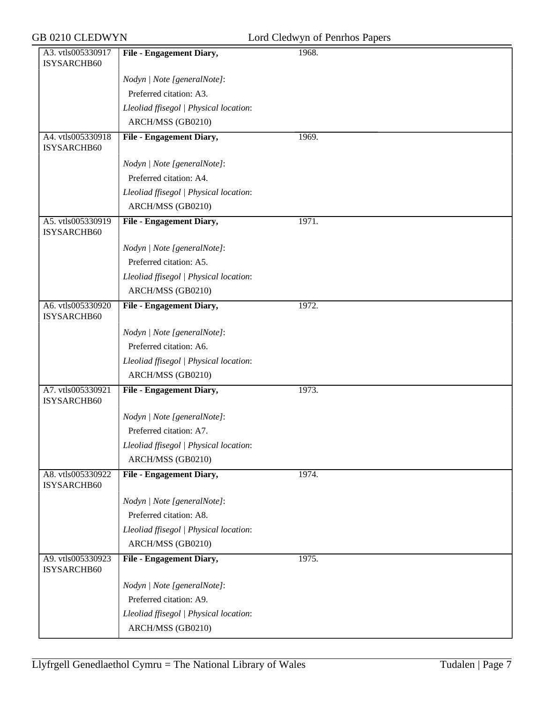| A3. vtls005330917<br>File - Engagement Diary,<br>1968.<br>ISYSARCHB60<br>Nodyn   Note [generalNote]:<br>Preferred citation: A3.<br>Lleoliad ffisegol   Physical location:<br>ARCH/MSS (GB0210)<br><b>File - Engagement Diary,</b><br>A4. vtls005330918<br>1969.<br>ISYSARCHB60<br>Nodyn   Note [generalNote]:<br>Preferred citation: A4.<br>Lleoliad ffisegol   Physical location:<br>ARCH/MSS (GB0210)<br><b>File - Engagement Diary,</b><br>A5. vtls005330919<br>1971.<br>ISYSARCHB60<br>Nodyn   Note [generalNote]:<br>Preferred citation: A5.<br>Lleoliad ffisegol   Physical location:<br>ARCH/MSS (GB0210)<br>1972.<br>A6. vtls005330920<br>File - Engagement Diary,<br>ISYSARCHB60<br>Nodyn   Note [generalNote]:<br>Preferred citation: A6.<br>Lleoliad ffisegol   Physical location:<br>ARCH/MSS (GB0210)<br>A7. vtls005330921<br><b>File - Engagement Diary,</b><br>1973.<br>ISYSARCHB60<br>Nodyn   Note [generalNote]:<br>Preferred citation: A7.<br>Lleoliad ffisegol   Physical location:<br>ARCH/MSS (GB0210)<br>A8. vtls005330922<br><b>File - Engagement Diary,</b><br>1974.<br>ISYSARCHB60<br>Nodyn   Note [generalNote]:<br>Preferred citation: A8. |
|-----------------------------------------------------------------------------------------------------------------------------------------------------------------------------------------------------------------------------------------------------------------------------------------------------------------------------------------------------------------------------------------------------------------------------------------------------------------------------------------------------------------------------------------------------------------------------------------------------------------------------------------------------------------------------------------------------------------------------------------------------------------------------------------------------------------------------------------------------------------------------------------------------------------------------------------------------------------------------------------------------------------------------------------------------------------------------------------------------------------------------------------------------------------------|
|                                                                                                                                                                                                                                                                                                                                                                                                                                                                                                                                                                                                                                                                                                                                                                                                                                                                                                                                                                                                                                                                                                                                                                       |
|                                                                                                                                                                                                                                                                                                                                                                                                                                                                                                                                                                                                                                                                                                                                                                                                                                                                                                                                                                                                                                                                                                                                                                       |
|                                                                                                                                                                                                                                                                                                                                                                                                                                                                                                                                                                                                                                                                                                                                                                                                                                                                                                                                                                                                                                                                                                                                                                       |
|                                                                                                                                                                                                                                                                                                                                                                                                                                                                                                                                                                                                                                                                                                                                                                                                                                                                                                                                                                                                                                                                                                                                                                       |
|                                                                                                                                                                                                                                                                                                                                                                                                                                                                                                                                                                                                                                                                                                                                                                                                                                                                                                                                                                                                                                                                                                                                                                       |
|                                                                                                                                                                                                                                                                                                                                                                                                                                                                                                                                                                                                                                                                                                                                                                                                                                                                                                                                                                                                                                                                                                                                                                       |
|                                                                                                                                                                                                                                                                                                                                                                                                                                                                                                                                                                                                                                                                                                                                                                                                                                                                                                                                                                                                                                                                                                                                                                       |
|                                                                                                                                                                                                                                                                                                                                                                                                                                                                                                                                                                                                                                                                                                                                                                                                                                                                                                                                                                                                                                                                                                                                                                       |
|                                                                                                                                                                                                                                                                                                                                                                                                                                                                                                                                                                                                                                                                                                                                                                                                                                                                                                                                                                                                                                                                                                                                                                       |
|                                                                                                                                                                                                                                                                                                                                                                                                                                                                                                                                                                                                                                                                                                                                                                                                                                                                                                                                                                                                                                                                                                                                                                       |
|                                                                                                                                                                                                                                                                                                                                                                                                                                                                                                                                                                                                                                                                                                                                                                                                                                                                                                                                                                                                                                                                                                                                                                       |
|                                                                                                                                                                                                                                                                                                                                                                                                                                                                                                                                                                                                                                                                                                                                                                                                                                                                                                                                                                                                                                                                                                                                                                       |
|                                                                                                                                                                                                                                                                                                                                                                                                                                                                                                                                                                                                                                                                                                                                                                                                                                                                                                                                                                                                                                                                                                                                                                       |
|                                                                                                                                                                                                                                                                                                                                                                                                                                                                                                                                                                                                                                                                                                                                                                                                                                                                                                                                                                                                                                                                                                                                                                       |
|                                                                                                                                                                                                                                                                                                                                                                                                                                                                                                                                                                                                                                                                                                                                                                                                                                                                                                                                                                                                                                                                                                                                                                       |
|                                                                                                                                                                                                                                                                                                                                                                                                                                                                                                                                                                                                                                                                                                                                                                                                                                                                                                                                                                                                                                                                                                                                                                       |
|                                                                                                                                                                                                                                                                                                                                                                                                                                                                                                                                                                                                                                                                                                                                                                                                                                                                                                                                                                                                                                                                                                                                                                       |
|                                                                                                                                                                                                                                                                                                                                                                                                                                                                                                                                                                                                                                                                                                                                                                                                                                                                                                                                                                                                                                                                                                                                                                       |
|                                                                                                                                                                                                                                                                                                                                                                                                                                                                                                                                                                                                                                                                                                                                                                                                                                                                                                                                                                                                                                                                                                                                                                       |
|                                                                                                                                                                                                                                                                                                                                                                                                                                                                                                                                                                                                                                                                                                                                                                                                                                                                                                                                                                                                                                                                                                                                                                       |
|                                                                                                                                                                                                                                                                                                                                                                                                                                                                                                                                                                                                                                                                                                                                                                                                                                                                                                                                                                                                                                                                                                                                                                       |
|                                                                                                                                                                                                                                                                                                                                                                                                                                                                                                                                                                                                                                                                                                                                                                                                                                                                                                                                                                                                                                                                                                                                                                       |
|                                                                                                                                                                                                                                                                                                                                                                                                                                                                                                                                                                                                                                                                                                                                                                                                                                                                                                                                                                                                                                                                                                                                                                       |
|                                                                                                                                                                                                                                                                                                                                                                                                                                                                                                                                                                                                                                                                                                                                                                                                                                                                                                                                                                                                                                                                                                                                                                       |
|                                                                                                                                                                                                                                                                                                                                                                                                                                                                                                                                                                                                                                                                                                                                                                                                                                                                                                                                                                                                                                                                                                                                                                       |
|                                                                                                                                                                                                                                                                                                                                                                                                                                                                                                                                                                                                                                                                                                                                                                                                                                                                                                                                                                                                                                                                                                                                                                       |
|                                                                                                                                                                                                                                                                                                                                                                                                                                                                                                                                                                                                                                                                                                                                                                                                                                                                                                                                                                                                                                                                                                                                                                       |
|                                                                                                                                                                                                                                                                                                                                                                                                                                                                                                                                                                                                                                                                                                                                                                                                                                                                                                                                                                                                                                                                                                                                                                       |
|                                                                                                                                                                                                                                                                                                                                                                                                                                                                                                                                                                                                                                                                                                                                                                                                                                                                                                                                                                                                                                                                                                                                                                       |
| Lleoliad ffisegol   Physical location:                                                                                                                                                                                                                                                                                                                                                                                                                                                                                                                                                                                                                                                                                                                                                                                                                                                                                                                                                                                                                                                                                                                                |
| ARCH/MSS (GB0210)                                                                                                                                                                                                                                                                                                                                                                                                                                                                                                                                                                                                                                                                                                                                                                                                                                                                                                                                                                                                                                                                                                                                                     |
| 1975.<br>A9. vtls005330923<br>File - Engagement Diary,<br>ISYSARCHB60                                                                                                                                                                                                                                                                                                                                                                                                                                                                                                                                                                                                                                                                                                                                                                                                                                                                                                                                                                                                                                                                                                 |
| Nodyn   Note [generalNote]:                                                                                                                                                                                                                                                                                                                                                                                                                                                                                                                                                                                                                                                                                                                                                                                                                                                                                                                                                                                                                                                                                                                                           |
| Preferred citation: A9.                                                                                                                                                                                                                                                                                                                                                                                                                                                                                                                                                                                                                                                                                                                                                                                                                                                                                                                                                                                                                                                                                                                                               |
| Lleoliad ffisegol   Physical location:                                                                                                                                                                                                                                                                                                                                                                                                                                                                                                                                                                                                                                                                                                                                                                                                                                                                                                                                                                                                                                                                                                                                |
| ARCH/MSS (GB0210)                                                                                                                                                                                                                                                                                                                                                                                                                                                                                                                                                                                                                                                                                                                                                                                                                                                                                                                                                                                                                                                                                                                                                     |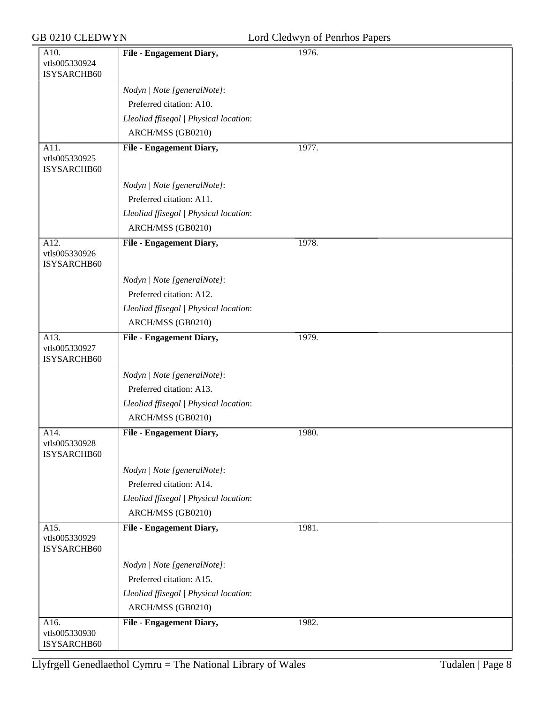| Lord Cledwyn of Penrhos Papers |  |  |
|--------------------------------|--|--|
|--------------------------------|--|--|

| GB 0210 CLEDWYN                      |                                        | Lord Cledwyn of Penrhos Papers |
|--------------------------------------|----------------------------------------|--------------------------------|
| A10.<br>vtls005330924<br>ISYSARCHB60 | File - Engagement Diary,               | 1976.                          |
|                                      | Nodyn   Note [generalNote]:            |                                |
|                                      | Preferred citation: A10.               |                                |
|                                      | Lleoliad ffisegol   Physical location: |                                |
|                                      | ARCH/MSS (GB0210)                      |                                |
| A11.<br>vtls005330925<br>ISYSARCHB60 | <b>File - Engagement Diary,</b>        | 1977.                          |
|                                      | Nodyn   Note [generalNote]:            |                                |
|                                      | Preferred citation: A11.               |                                |
|                                      | Lleoliad ffisegol   Physical location: |                                |
|                                      | ARCH/MSS (GB0210)                      |                                |
| A12.<br>vtls005330926<br>ISYSARCHB60 | File - Engagement Diary,               | 1978.                          |
|                                      | Nodyn   Note [generalNote]:            |                                |
|                                      | Preferred citation: A12.               |                                |
|                                      | Lleoliad ffisegol   Physical location: |                                |
|                                      | ARCH/MSS (GB0210)                      |                                |
| A13.<br>vtls005330927<br>ISYSARCHB60 | File - Engagement Diary,               | 1979.                          |
|                                      | Nodyn   Note [generalNote]:            |                                |
|                                      | Preferred citation: A13.               |                                |
|                                      | Lleoliad ffisegol   Physical location: |                                |
|                                      | ARCH/MSS (GB0210)                      |                                |
| A14.<br>vtls005330928<br>ISYSARCHB60 | File - Engagement Diary,               | 1980.                          |
|                                      | Nodyn   Note [generalNote]:            |                                |
|                                      | Preferred citation: A14.               |                                |
|                                      | Lleoliad ffisegol   Physical location: |                                |
|                                      | ARCH/MSS (GB0210)                      |                                |
| A15.<br>vtls005330929<br>ISYSARCHB60 | File - Engagement Diary,               | 1981.                          |
|                                      | Nodyn   Note [generalNote]:            |                                |
|                                      | Preferred citation: A15.               |                                |
|                                      | Lleoliad ffisegol   Physical location: |                                |
|                                      | ARCH/MSS (GB0210)                      |                                |
| A16.<br>vtls005330930<br>ISYSARCHB60 | File - Engagement Diary,               | 1982.                          |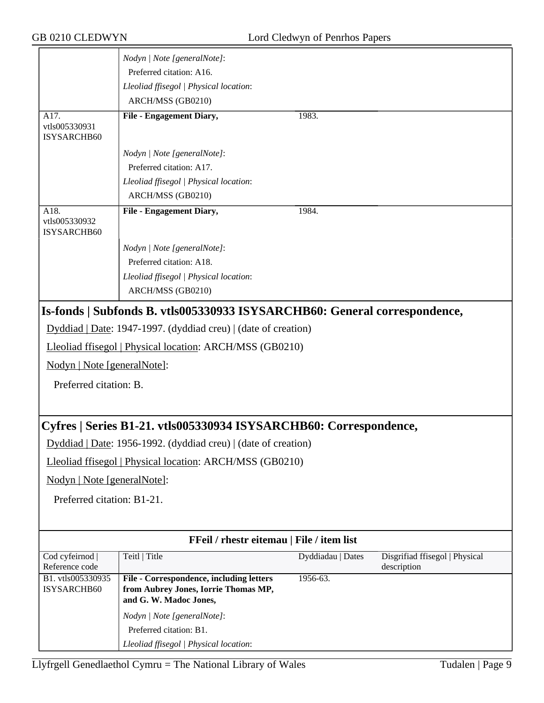|                                      | Nodyn   Note [generalNote]:                                                                                       |                   |                                               |
|--------------------------------------|-------------------------------------------------------------------------------------------------------------------|-------------------|-----------------------------------------------|
|                                      | Preferred citation: A16.                                                                                          |                   |                                               |
|                                      | Lleoliad ffisegol   Physical location:                                                                            |                   |                                               |
|                                      | ARCH/MSS (GB0210)                                                                                                 |                   |                                               |
| A17.<br>vtls005330931<br>ISYSARCHB60 | File - Engagement Diary,                                                                                          | 1983.             |                                               |
|                                      | Nodyn   Note [generalNote]:                                                                                       |                   |                                               |
|                                      | Preferred citation: A17.                                                                                          |                   |                                               |
|                                      | Lleoliad ffisegol   Physical location:                                                                            |                   |                                               |
|                                      | ARCH/MSS (GB0210)                                                                                                 |                   |                                               |
| A18.<br>vtls005330932<br>ISYSARCHB60 | <b>File - Engagement Diary,</b>                                                                                   | 1984.             |                                               |
|                                      | Nodyn   Note [generalNote]:                                                                                       |                   |                                               |
|                                      | Preferred citation: A18.                                                                                          |                   |                                               |
|                                      | Lleoliad ffisegol   Physical location:                                                                            |                   |                                               |
|                                      | ARCH/MSS (GB0210)                                                                                                 |                   |                                               |
|                                      | Is-fonds   Subfonds B. vtls005330933 ISYSARCHB60: General correspondence,                                         |                   |                                               |
|                                      | Dyddiad   Date: 1947-1997. (dyddiad creu)   (date of creation)                                                    |                   |                                               |
|                                      | Lleoliad ffisegol   Physical location: ARCH/MSS (GB0210)                                                          |                   |                                               |
| Nodyn   Note [generalNote]:          |                                                                                                                   |                   |                                               |
| Preferred citation: B.               |                                                                                                                   |                   |                                               |
|                                      | Cyfres   Series B1-21. vtls005330934 ISYSARCHB60: Correspondence,                                                 |                   |                                               |
|                                      | Dyddiad   Date: 1956-1992. (dyddiad creu)   (date of creation)                                                    |                   |                                               |
|                                      | Lleoliad ffisegol   Physical location: ARCH/MSS (GB0210)                                                          |                   |                                               |
| Nodyn   Note [generalNote]:          |                                                                                                                   |                   |                                               |
| Preferred citation: B1-21.           |                                                                                                                   |                   |                                               |
|                                      |                                                                                                                   |                   |                                               |
|                                      | FFeil / rhestr eitemau   File / item list                                                                         |                   |                                               |
| Cod cyfeirnod<br>Reference code      | Teitl   Title                                                                                                     | Dyddiadau   Dates | Disgrifiad ffisegol   Physical<br>description |
| B1. vtls005330935<br>ISYSARCHB60     | <b>File - Correspondence, including letters</b><br>from Aubrey Jones, Iorrie Thomas MP,<br>and G. W. Madoc Jones, | $1956-63.$        |                                               |
|                                      | Nodyn   Note [generalNote]:                                                                                       |                   |                                               |
|                                      | Preferred citation: B1.                                                                                           |                   |                                               |
|                                      | Lleoliad ffisegol   Physical location:                                                                            |                   |                                               |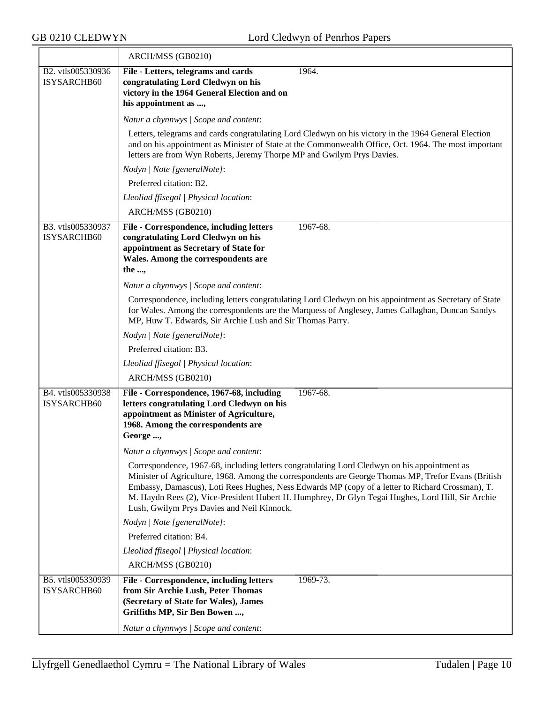|                                  | ARCH/MSS (GB0210)                                                                                                                                                                                                                                                                                                                                                                                                                                          |
|----------------------------------|------------------------------------------------------------------------------------------------------------------------------------------------------------------------------------------------------------------------------------------------------------------------------------------------------------------------------------------------------------------------------------------------------------------------------------------------------------|
| B2. vtls005330936<br>ISYSARCHB60 | 1964.<br>File - Letters, telegrams and cards<br>congratulating Lord Cledwyn on his                                                                                                                                                                                                                                                                                                                                                                         |
|                                  | victory in the 1964 General Election and on<br>his appointment as ,                                                                                                                                                                                                                                                                                                                                                                                        |
|                                  | Natur a chynnwys / Scope and content:                                                                                                                                                                                                                                                                                                                                                                                                                      |
|                                  | Letters, telegrams and cards congratulating Lord Cledwyn on his victory in the 1964 General Election<br>and on his appointment as Minister of State at the Commonwealth Office, Oct. 1964. The most important<br>letters are from Wyn Roberts, Jeremy Thorpe MP and Gwilym Prys Davies.                                                                                                                                                                    |
|                                  | Nodyn   Note [generalNote]:                                                                                                                                                                                                                                                                                                                                                                                                                                |
|                                  | Preferred citation: B2.                                                                                                                                                                                                                                                                                                                                                                                                                                    |
|                                  | Lleoliad ffisegol   Physical location:                                                                                                                                                                                                                                                                                                                                                                                                                     |
|                                  | ARCH/MSS (GB0210)                                                                                                                                                                                                                                                                                                                                                                                                                                          |
| B3. vtls005330937<br>ISYSARCHB60 | File - Correspondence, including letters<br>1967-68.<br>congratulating Lord Cledwyn on his<br>appointment as Secretary of State for<br>Wales. Among the correspondents are<br>the ,                                                                                                                                                                                                                                                                        |
|                                  | Natur a chynnwys / Scope and content:                                                                                                                                                                                                                                                                                                                                                                                                                      |
|                                  | Correspondence, including letters congratulating Lord Cledwyn on his appointment as Secretary of State<br>for Wales. Among the correspondents are the Marquess of Anglesey, James Callaghan, Duncan Sandys<br>MP, Huw T. Edwards, Sir Archie Lush and Sir Thomas Parry.                                                                                                                                                                                    |
|                                  | Nodyn   Note [generalNote]:                                                                                                                                                                                                                                                                                                                                                                                                                                |
|                                  | Preferred citation: B3.                                                                                                                                                                                                                                                                                                                                                                                                                                    |
|                                  | Lleoliad ffisegol   Physical location:                                                                                                                                                                                                                                                                                                                                                                                                                     |
|                                  | ARCH/MSS (GB0210)                                                                                                                                                                                                                                                                                                                                                                                                                                          |
| B4. vtls005330938<br>ISYSARCHB60 | File - Correspondence, 1967-68, including<br>1967-68.<br>letters congratulating Lord Cledwyn on his<br>appointment as Minister of Agriculture,<br>1968. Among the correspondents are<br>George ,<br>Natur a chynnwys / Scope and content:                                                                                                                                                                                                                  |
|                                  | Correspondence, 1967-68, including letters congratulating Lord Cledwyn on his appointment as<br>Minister of Agriculture, 1968. Among the correspondents are George Thomas MP, Trefor Evans (British<br>Embassy, Damascus), Loti Rees Hughes, Ness Edwards MP (copy of a letter to Richard Crossman), T.<br>M. Haydn Rees (2), Vice-President Hubert H. Humphrey, Dr Glyn Tegai Hughes, Lord Hill, Sir Archie<br>Lush, Gwilym Prys Davies and Neil Kinnock. |
|                                  | Nodyn   Note [generalNote]:                                                                                                                                                                                                                                                                                                                                                                                                                                |
|                                  | Preferred citation: B4.                                                                                                                                                                                                                                                                                                                                                                                                                                    |
|                                  | Lleoliad ffisegol   Physical location:                                                                                                                                                                                                                                                                                                                                                                                                                     |
|                                  | ARCH/MSS (GB0210)                                                                                                                                                                                                                                                                                                                                                                                                                                          |
| B5. vtls005330939<br>ISYSARCHB60 | File - Correspondence, including letters<br>1969-73.<br>from Sir Archie Lush, Peter Thomas<br>(Secretary of State for Wales), James<br>Griffiths MP, Sir Ben Bowen ,<br>Natur a chynnwys / Scope and content:                                                                                                                                                                                                                                              |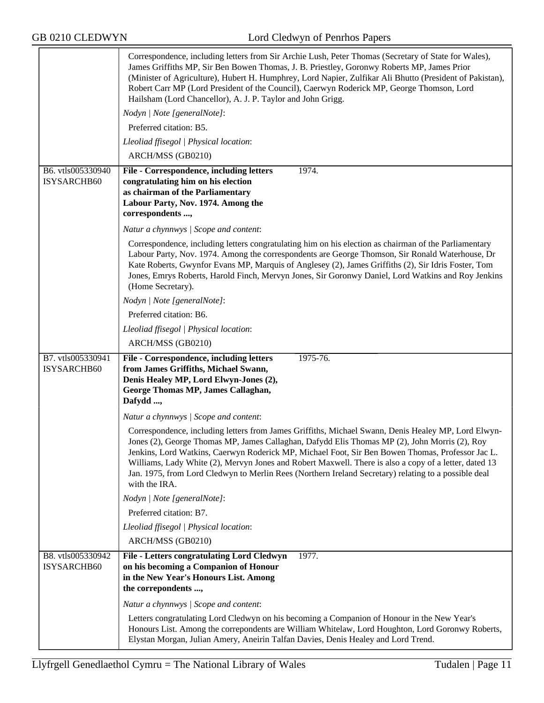|                                  | Correspondence, including letters from Sir Archie Lush, Peter Thomas (Secretary of State for Wales),<br>James Griffiths MP, Sir Ben Bowen Thomas, J. B. Priestley, Goronwy Roberts MP, James Prior<br>(Minister of Agriculture), Hubert H. Humphrey, Lord Napier, Zulfikar Ali Bhutto (President of Pakistan),<br>Robert Carr MP (Lord President of the Council), Caerwyn Roderick MP, George Thomson, Lord<br>Hailsham (Lord Chancellor), A. J. P. Taylor and John Grigg.                                                                 |
|----------------------------------|--------------------------------------------------------------------------------------------------------------------------------------------------------------------------------------------------------------------------------------------------------------------------------------------------------------------------------------------------------------------------------------------------------------------------------------------------------------------------------------------------------------------------------------------|
|                                  | Nodyn   Note [generalNote]:                                                                                                                                                                                                                                                                                                                                                                                                                                                                                                                |
|                                  | Preferred citation: B5.                                                                                                                                                                                                                                                                                                                                                                                                                                                                                                                    |
|                                  | Lleoliad ffisegol   Physical location:                                                                                                                                                                                                                                                                                                                                                                                                                                                                                                     |
|                                  | ARCH/MSS (GB0210)                                                                                                                                                                                                                                                                                                                                                                                                                                                                                                                          |
| B6. vtls005330940<br>ISYSARCHB60 | 1974.<br>File - Correspondence, including letters<br>congratulating him on his election<br>as chairman of the Parliamentary<br>Labour Party, Nov. 1974. Among the<br>correspondents ,                                                                                                                                                                                                                                                                                                                                                      |
|                                  | Natur a chynnwys / Scope and content:                                                                                                                                                                                                                                                                                                                                                                                                                                                                                                      |
|                                  | Correspondence, including letters congratulating him on his election as chairman of the Parliamentary<br>Labour Party, Nov. 1974. Among the correspondents are George Thomson, Sir Ronald Waterhouse, Dr<br>Kate Roberts, Gwynfor Evans MP, Marquis of Anglesey (2), James Griffiths (2), Sir Idris Foster, Tom<br>Jones, Emrys Roberts, Harold Finch, Mervyn Jones, Sir Goronwy Daniel, Lord Watkins and Roy Jenkins<br>(Home Secretary).                                                                                                 |
|                                  | Nodyn   Note [generalNote]:                                                                                                                                                                                                                                                                                                                                                                                                                                                                                                                |
|                                  | Preferred citation: B6.                                                                                                                                                                                                                                                                                                                                                                                                                                                                                                                    |
|                                  | Lleoliad ffisegol   Physical location:                                                                                                                                                                                                                                                                                                                                                                                                                                                                                                     |
|                                  | ARCH/MSS (GB0210)                                                                                                                                                                                                                                                                                                                                                                                                                                                                                                                          |
| B7. vtls005330941<br>ISYSARCHB60 | File - Correspondence, including letters<br>1975-76.<br>from James Griffiths, Michael Swann,                                                                                                                                                                                                                                                                                                                                                                                                                                               |
|                                  | Denis Healey MP, Lord Elwyn-Jones (2),<br>George Thomas MP, James Callaghan,<br>Dafydd ,                                                                                                                                                                                                                                                                                                                                                                                                                                                   |
|                                  | Natur a chynnwys / Scope and content:                                                                                                                                                                                                                                                                                                                                                                                                                                                                                                      |
|                                  | Correspondence, including letters from James Griffiths, Michael Swann, Denis Healey MP, Lord Elwyn-<br>Jones (2), George Thomas MP, James Callaghan, Dafydd Elis Thomas MP (2), John Morris (2), Roy<br>Jenkins, Lord Watkins, Caerwyn Roderick MP, Michael Foot, Sir Ben Bowen Thomas, Professor Jac L.<br>Williams, Lady White (2), Mervyn Jones and Robert Maxwell. There is also a copy of a letter, dated 13<br>Jan. 1975, from Lord Cledwyn to Merlin Rees (Northern Ireland Secretary) relating to a possible deal<br>with the IRA. |
|                                  | Nodyn   Note [generalNote]:                                                                                                                                                                                                                                                                                                                                                                                                                                                                                                                |
|                                  | Preferred citation: B7.                                                                                                                                                                                                                                                                                                                                                                                                                                                                                                                    |
|                                  | Lleoliad ffisegol   Physical location:                                                                                                                                                                                                                                                                                                                                                                                                                                                                                                     |
|                                  | ARCH/MSS (GB0210)                                                                                                                                                                                                                                                                                                                                                                                                                                                                                                                          |
| B8. vtls005330942<br>ISYSARCHB60 | File - Letters congratulating Lord Cledwyn<br>1977.<br>on his becoming a Companion of Honour<br>in the New Year's Honours List. Among<br>the correpondents ,                                                                                                                                                                                                                                                                                                                                                                               |
|                                  | Natur a chynnwys / Scope and content:                                                                                                                                                                                                                                                                                                                                                                                                                                                                                                      |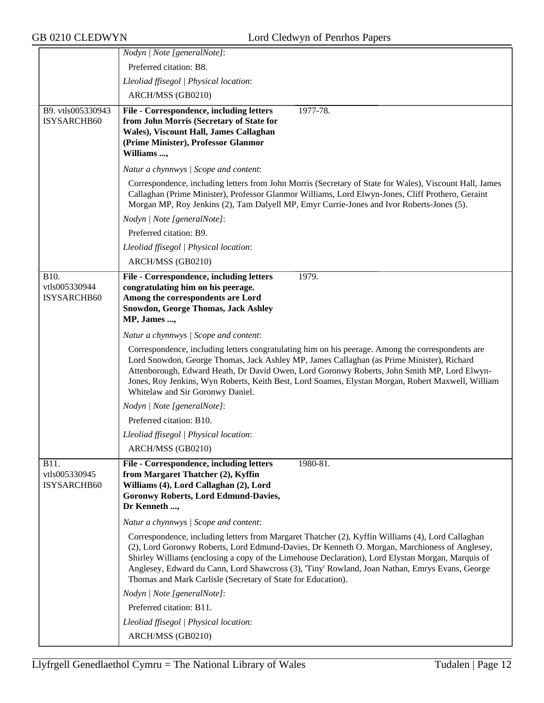|                                      | Nodyn   Note [generalNote]:                                                                                                                                                                                                                                                                                                                                                                                                                                               |
|--------------------------------------|---------------------------------------------------------------------------------------------------------------------------------------------------------------------------------------------------------------------------------------------------------------------------------------------------------------------------------------------------------------------------------------------------------------------------------------------------------------------------|
|                                      | Preferred citation: B8.                                                                                                                                                                                                                                                                                                                                                                                                                                                   |
|                                      | Lleoliad ffisegol   Physical location:                                                                                                                                                                                                                                                                                                                                                                                                                                    |
|                                      | ARCH/MSS (GB0210)                                                                                                                                                                                                                                                                                                                                                                                                                                                         |
| B9. vtls005330943                    | File - Correspondence, including letters<br>1977-78.                                                                                                                                                                                                                                                                                                                                                                                                                      |
| ISYSARCHB60                          | from John Morris (Secretary of State for                                                                                                                                                                                                                                                                                                                                                                                                                                  |
|                                      | Wales), Viscount Hall, James Callaghan<br>(Prime Minister), Professor Glanmor                                                                                                                                                                                                                                                                                                                                                                                             |
|                                      | Williams ,                                                                                                                                                                                                                                                                                                                                                                                                                                                                |
|                                      | Natur a chynnwys / Scope and content:                                                                                                                                                                                                                                                                                                                                                                                                                                     |
|                                      | Correspondence, including letters from John Morris (Secretary of State for Wales), Viscount Hall, James<br>Callaghan (Prime Minister), Professor Glanmor Williams, Lord Elwyn-Jones, Cliff Prothero, Geraint<br>Morgan MP, Roy Jenkins (2), Tam Dalyell MP, Emyr Currie-Jones and Ivor Roberts-Jones (5).                                                                                                                                                                 |
|                                      | Nodyn   Note [generalNote]:                                                                                                                                                                                                                                                                                                                                                                                                                                               |
|                                      | Preferred citation: B9.                                                                                                                                                                                                                                                                                                                                                                                                                                                   |
|                                      | Lleoliad ffisegol   Physical location:                                                                                                                                                                                                                                                                                                                                                                                                                                    |
|                                      | ARCH/MSS (GB0210)                                                                                                                                                                                                                                                                                                                                                                                                                                                         |
| B10.                                 | 1979.<br>File - Correspondence, including letters                                                                                                                                                                                                                                                                                                                                                                                                                         |
| vtls005330944                        | congratulating him on his peerage.                                                                                                                                                                                                                                                                                                                                                                                                                                        |
| ISYSARCHB60                          | Among the correspondents are Lord                                                                                                                                                                                                                                                                                                                                                                                                                                         |
|                                      | <b>Snowdon, George Thomas, Jack Ashley</b><br>MP, James ,                                                                                                                                                                                                                                                                                                                                                                                                                 |
|                                      | Natur a chynnwys / Scope and content:                                                                                                                                                                                                                                                                                                                                                                                                                                     |
|                                      | Correspondence, including letters congratulating him on his peerage. Among the correspondents are<br>Lord Snowdon, George Thomas, Jack Ashley MP, James Callaghan (as Prime Minister), Richard<br>Attenborough, Edward Heath, Dr David Owen, Lord Goronwy Roberts, John Smith MP, Lord Elwyn-<br>Jones, Roy Jenkins, Wyn Roberts, Keith Best, Lord Soames, Elystan Morgan, Robert Maxwell, William<br>Whitelaw and Sir Goronwy Daniel.                                    |
|                                      | Nodyn   Note [generalNote]:                                                                                                                                                                                                                                                                                                                                                                                                                                               |
|                                      | Preferred citation: B10.                                                                                                                                                                                                                                                                                                                                                                                                                                                  |
|                                      | Lleoliad ffisegol   Physical location:                                                                                                                                                                                                                                                                                                                                                                                                                                    |
|                                      | ARCH/MSS (GB0210)                                                                                                                                                                                                                                                                                                                                                                                                                                                         |
| B11.<br>vtls005330945<br>ISYSARCHB60 | File - Correspondence, including letters<br>1980-81.<br>from Margaret Thatcher (2), Kyffin<br>Williams (4), Lord Callaghan (2), Lord<br><b>Goronwy Roberts, Lord Edmund-Davies,</b><br>Dr Kenneth ,                                                                                                                                                                                                                                                                       |
|                                      | Natur a chynnwys / Scope and content:                                                                                                                                                                                                                                                                                                                                                                                                                                     |
|                                      | Correspondence, including letters from Margaret Thatcher (2), Kyffin Williams (4), Lord Callaghan<br>(2), Lord Goronwy Roberts, Lord Edmund-Davies, Dr Kenneth O. Morgan, Marchioness of Anglesey,<br>Shirley Williams (enclosing a copy of the Limehouse Declaration), Lord Elystan Morgan, Marquis of<br>Anglesey, Edward du Cann, Lord Shawcross (3), 'Tiny' Rowland, Joan Nathan, Emrys Evans, George<br>Thomas and Mark Carlisle (Secretary of State for Education). |
|                                      | Nodyn   Note [generalNote]:                                                                                                                                                                                                                                                                                                                                                                                                                                               |
|                                      | Preferred citation: B11.                                                                                                                                                                                                                                                                                                                                                                                                                                                  |
|                                      | Lleoliad ffisegol   Physical location:                                                                                                                                                                                                                                                                                                                                                                                                                                    |
|                                      | ARCH/MSS (GB0210)                                                                                                                                                                                                                                                                                                                                                                                                                                                         |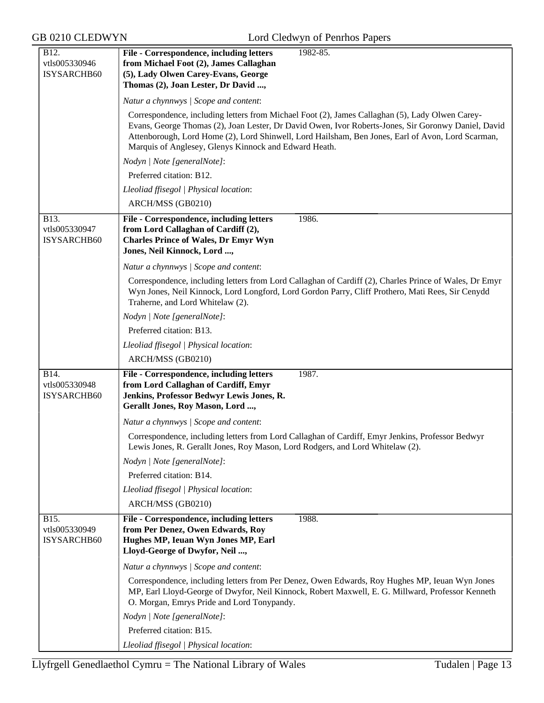| B12.<br>vtls005330946                | File - Correspondence, including letters<br>1982-85.<br>from Michael Foot (2), James Callaghan                                                                                                                                                                                                                                                                       |  |  |
|--------------------------------------|----------------------------------------------------------------------------------------------------------------------------------------------------------------------------------------------------------------------------------------------------------------------------------------------------------------------------------------------------------------------|--|--|
| ISYSARCHB60                          | (5), Lady Olwen Carey-Evans, George<br>Thomas (2), Joan Lester, Dr David ,                                                                                                                                                                                                                                                                                           |  |  |
|                                      | Natur a chynnwys / Scope and content:                                                                                                                                                                                                                                                                                                                                |  |  |
|                                      | Correspondence, including letters from Michael Foot (2), James Callaghan (5), Lady Olwen Carey-<br>Evans, George Thomas (2), Joan Lester, Dr David Owen, Ivor Roberts-Jones, Sir Goronwy Daniel, David<br>Attenborough, Lord Home (2), Lord Shinwell, Lord Hailsham, Ben Jones, Earl of Avon, Lord Scarman,<br>Marquis of Anglesey, Glenys Kinnock and Edward Heath. |  |  |
|                                      | Nodyn   Note [generalNote]:                                                                                                                                                                                                                                                                                                                                          |  |  |
|                                      | Preferred citation: B12.                                                                                                                                                                                                                                                                                                                                             |  |  |
|                                      | Lleoliad ffisegol   Physical location:                                                                                                                                                                                                                                                                                                                               |  |  |
|                                      | ARCH/MSS (GB0210)                                                                                                                                                                                                                                                                                                                                                    |  |  |
| B13.<br>vtls005330947<br>ISYSARCHB60 | File - Correspondence, including letters<br>1986.<br>from Lord Callaghan of Cardiff (2),<br><b>Charles Prince of Wales, Dr Emyr Wyn</b><br>Jones, Neil Kinnock, Lord ,                                                                                                                                                                                               |  |  |
|                                      | Natur a chynnwys / Scope and content:                                                                                                                                                                                                                                                                                                                                |  |  |
|                                      | Correspondence, including letters from Lord Callaghan of Cardiff (2), Charles Prince of Wales, Dr Emyr<br>Wyn Jones, Neil Kinnock, Lord Longford, Lord Gordon Parry, Cliff Prothero, Mati Rees, Sir Cenydd<br>Traherne, and Lord Whitelaw (2).                                                                                                                       |  |  |
|                                      | Nodyn   Note [generalNote]:                                                                                                                                                                                                                                                                                                                                          |  |  |
|                                      | Preferred citation: B13.                                                                                                                                                                                                                                                                                                                                             |  |  |
|                                      | Lleoliad ffisegol   Physical location:                                                                                                                                                                                                                                                                                                                               |  |  |
|                                      | ARCH/MSS (GB0210)                                                                                                                                                                                                                                                                                                                                                    |  |  |
| B14.<br>vtls005330948<br>ISYSARCHB60 | File - Correspondence, including letters<br>1987.<br>from Lord Callaghan of Cardiff, Emyr<br>Jenkins, Professor Bedwyr Lewis Jones, R.<br>Gerallt Jones, Roy Mason, Lord ,                                                                                                                                                                                           |  |  |
|                                      | Natur a chynnwys / Scope and content:                                                                                                                                                                                                                                                                                                                                |  |  |
|                                      | Correspondence, including letters from Lord Callaghan of Cardiff, Emyr Jenkins, Professor Bedwyr<br>Lewis Jones, R. Gerallt Jones, Roy Mason, Lord Rodgers, and Lord Whitelaw (2).                                                                                                                                                                                   |  |  |
|                                      | Nodyn   Note [generalNote]:                                                                                                                                                                                                                                                                                                                                          |  |  |
|                                      | Preferred citation: B14.                                                                                                                                                                                                                                                                                                                                             |  |  |
|                                      | Lleoliad ffisegol   Physical location:                                                                                                                                                                                                                                                                                                                               |  |  |
|                                      | ARCH/MSS (GB0210)                                                                                                                                                                                                                                                                                                                                                    |  |  |
| B15.<br>vtls005330949<br>ISYSARCHB60 | File - Correspondence, including letters<br>1988.<br>from Per Denez, Owen Edwards, Roy<br>Hughes MP, Ieuan Wyn Jones MP, Earl<br>Lloyd-George of Dwyfor, Neil ,                                                                                                                                                                                                      |  |  |
|                                      | Natur a chynnwys / Scope and content:                                                                                                                                                                                                                                                                                                                                |  |  |
|                                      | Correspondence, including letters from Per Denez, Owen Edwards, Roy Hughes MP, Ieuan Wyn Jones<br>MP, Earl Lloyd-George of Dwyfor, Neil Kinnock, Robert Maxwell, E. G. Millward, Professor Kenneth<br>O. Morgan, Emrys Pride and Lord Tonypandy.                                                                                                                     |  |  |
|                                      | Nodyn   Note [generalNote]:                                                                                                                                                                                                                                                                                                                                          |  |  |
|                                      | Preferred citation: B15.                                                                                                                                                                                                                                                                                                                                             |  |  |
|                                      | Lleoliad ffisegol   Physical location:                                                                                                                                                                                                                                                                                                                               |  |  |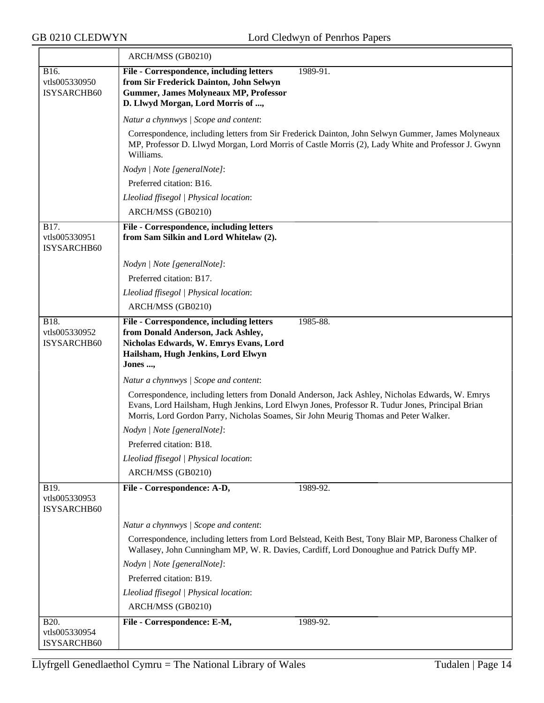|                                      | ARCH/MSS (GB0210)                                                                                                                                                                                                                                                                          |  |  |
|--------------------------------------|--------------------------------------------------------------------------------------------------------------------------------------------------------------------------------------------------------------------------------------------------------------------------------------------|--|--|
| B16.<br>vtls005330950<br>ISYSARCHB60 | File - Correspondence, including letters<br>1989-91.<br>from Sir Frederick Dainton, John Selwyn<br><b>Gummer, James Molyneaux MP, Professor</b><br>D. Llwyd Morgan, Lord Morris of ,                                                                                                       |  |  |
|                                      | Natur a chynnwys / Scope and content:                                                                                                                                                                                                                                                      |  |  |
|                                      | Correspondence, including letters from Sir Frederick Dainton, John Selwyn Gummer, James Molyneaux<br>MP, Professor D. Llwyd Morgan, Lord Morris of Castle Morris (2), Lady White and Professor J. Gwynn<br>Williams.                                                                       |  |  |
|                                      | Nodyn   Note [generalNote]:                                                                                                                                                                                                                                                                |  |  |
|                                      | Preferred citation: B16.                                                                                                                                                                                                                                                                   |  |  |
|                                      | Lleoliad ffisegol   Physical location:                                                                                                                                                                                                                                                     |  |  |
|                                      | ARCH/MSS (GB0210)                                                                                                                                                                                                                                                                          |  |  |
| B17.<br>vtls005330951<br>ISYSARCHB60 | File - Correspondence, including letters<br>from Sam Silkin and Lord Whitelaw (2).                                                                                                                                                                                                         |  |  |
|                                      | Nodyn   Note [generalNote]:                                                                                                                                                                                                                                                                |  |  |
|                                      | Preferred citation: B17.                                                                                                                                                                                                                                                                   |  |  |
|                                      | Lleoliad ffisegol   Physical location:                                                                                                                                                                                                                                                     |  |  |
|                                      | ARCH/MSS (GB0210)                                                                                                                                                                                                                                                                          |  |  |
| B18.<br>vtls005330952<br>ISYSARCHB60 | File - Correspondence, including letters<br>1985-88.<br>from Donald Anderson, Jack Ashley,<br>Nicholas Edwards, W. Emrys Evans, Lord<br>Hailsham, Hugh Jenkins, Lord Elwyn<br>Jones ,                                                                                                      |  |  |
|                                      | Natur a chynnwys / Scope and content:                                                                                                                                                                                                                                                      |  |  |
|                                      | Correspondence, including letters from Donald Anderson, Jack Ashley, Nicholas Edwards, W. Emrys<br>Evans, Lord Hailsham, Hugh Jenkins, Lord Elwyn Jones, Professor R. Tudur Jones, Principal Brian<br>Morris, Lord Gordon Parry, Nicholas Soames, Sir John Meurig Thomas and Peter Walker. |  |  |
|                                      | Nodyn   Note [generalNote]:                                                                                                                                                                                                                                                                |  |  |
|                                      | Preferred citation: B18.                                                                                                                                                                                                                                                                   |  |  |
|                                      | Lleoliad ffisegol   Physical location:                                                                                                                                                                                                                                                     |  |  |
|                                      | ARCH/MSS (GB0210)                                                                                                                                                                                                                                                                          |  |  |
| B19.<br>vtls005330953<br>ISYSARCHB60 | File - Correspondence: A-D,<br>1989-92.                                                                                                                                                                                                                                                    |  |  |
|                                      | Natur a chynnwys / Scope and content:                                                                                                                                                                                                                                                      |  |  |
|                                      | Correspondence, including letters from Lord Belstead, Keith Best, Tony Blair MP, Baroness Chalker of<br>Wallasey, John Cunningham MP, W. R. Davies, Cardiff, Lord Donoughue and Patrick Duffy MP.                                                                                          |  |  |
|                                      | Nodyn   Note [generalNote]:                                                                                                                                                                                                                                                                |  |  |
|                                      | Preferred citation: B19.                                                                                                                                                                                                                                                                   |  |  |
|                                      | Lleoliad ffisegol   Physical location:                                                                                                                                                                                                                                                     |  |  |
|                                      | ARCH/MSS (GB0210)                                                                                                                                                                                                                                                                          |  |  |
| B20.<br>vtls005330954<br>ISYSARCHB60 | File - Correspondence: E-M,<br>1989-92.                                                                                                                                                                                                                                                    |  |  |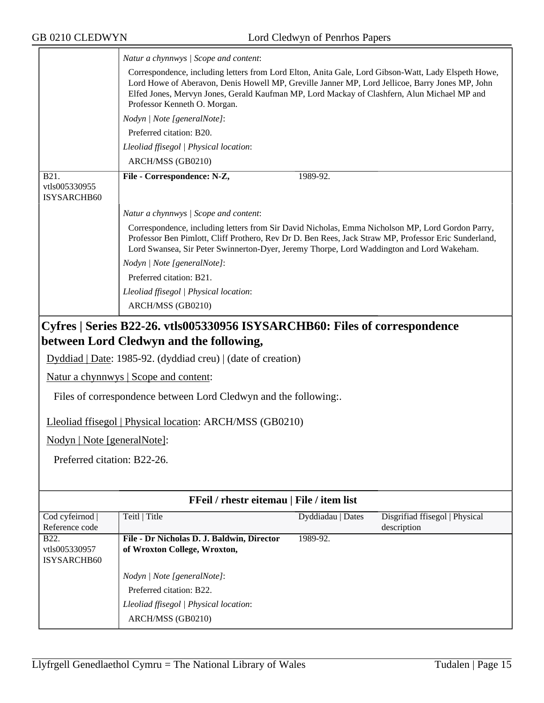|                                                                                                                       | Natur a chynnwys / Scope and content:<br>Correspondence, including letters from Lord Elton, Anita Gale, Lord Gibson-Watt, Lady Elspeth Howe,<br>Lord Howe of Aberavon, Denis Howell MP, Greville Janner MP, Lord Jellicoe, Barry Jones MP, John<br>Elfed Jones, Mervyn Jones, Gerald Kaufman MP, Lord Mackay of Clashfern, Alun Michael MP and<br>Professor Kenneth O. Morgan. |  |  |
|-----------------------------------------------------------------------------------------------------------------------|--------------------------------------------------------------------------------------------------------------------------------------------------------------------------------------------------------------------------------------------------------------------------------------------------------------------------------------------------------------------------------|--|--|
|                                                                                                                       | Nodyn   Note [generalNote]:                                                                                                                                                                                                                                                                                                                                                    |  |  |
|                                                                                                                       | Preferred citation: B20.                                                                                                                                                                                                                                                                                                                                                       |  |  |
|                                                                                                                       | Lleoliad ffisegol   Physical location:                                                                                                                                                                                                                                                                                                                                         |  |  |
|                                                                                                                       | ARCH/MSS (GB0210)                                                                                                                                                                                                                                                                                                                                                              |  |  |
| <b>B21.</b><br>vtls005330955<br>ISYSARCHB60                                                                           | File - Correspondence: N-Z,<br>1989-92.                                                                                                                                                                                                                                                                                                                                        |  |  |
|                                                                                                                       | Natur a chynnwys / Scope and content:                                                                                                                                                                                                                                                                                                                                          |  |  |
|                                                                                                                       | Correspondence, including letters from Sir David Nicholas, Emma Nicholson MP, Lord Gordon Parry,<br>Professor Ben Pimlott, Cliff Prothero, Rev Dr D. Ben Rees, Jack Straw MP, Professor Eric Sunderland,<br>Lord Swansea, Sir Peter Swinnerton-Dyer, Jeremy Thorpe, Lord Waddington and Lord Wakeham.                                                                          |  |  |
|                                                                                                                       | Nodyn   Note [generalNote]:                                                                                                                                                                                                                                                                                                                                                    |  |  |
|                                                                                                                       | Preferred citation: B21.                                                                                                                                                                                                                                                                                                                                                       |  |  |
|                                                                                                                       | Lleoliad ffisegol   Physical location:                                                                                                                                                                                                                                                                                                                                         |  |  |
|                                                                                                                       | ARCH/MSS (GB0210)                                                                                                                                                                                                                                                                                                                                                              |  |  |
| Cyfres   Series B22-26. vtls005330956 ISYSARCHB60: Files of correspondence<br>between Lord Cledwyn and the following, |                                                                                                                                                                                                                                                                                                                                                                                |  |  |
|                                                                                                                       |                                                                                                                                                                                                                                                                                                                                                                                |  |  |
| $Dyddiad   Date: 1985-92. (dyddiad creu)   (date of creation)$                                                        |                                                                                                                                                                                                                                                                                                                                                                                |  |  |
|                                                                                                                       | Natur a chynnwys   Scope and content:                                                                                                                                                                                                                                                                                                                                          |  |  |

Files of correspondence between Lord Cledwyn and the following:.

Lleoliad ffisegol | Physical location: ARCH/MSS (GB0210)

Nodyn | Note [generalNote]:

Preferred citation: B22-26.

| <b>FFeil</b> / rhestr eitemau   File / item list |                                                                                                                        |                   |                                |
|--------------------------------------------------|------------------------------------------------------------------------------------------------------------------------|-------------------|--------------------------------|
| Cod cyfeirnod  <br>Reference code                | Teitl   Title                                                                                                          | Dyddiadau   Dates | Disgrifiad ffisegol   Physical |
| <b>B22.</b><br>vtls005330957<br>ISYSARCHB60      | File - Dr Nicholas D. J. Baldwin, Director<br>of Wroxton College, Wroxton,                                             | 1989-92.          | description                    |
|                                                  | Nodyn   Note [generalNote]:<br>Preferred citation: B22.<br>Lleoliad ffisegol   Physical location:<br>ARCH/MSS (GB0210) |                   |                                |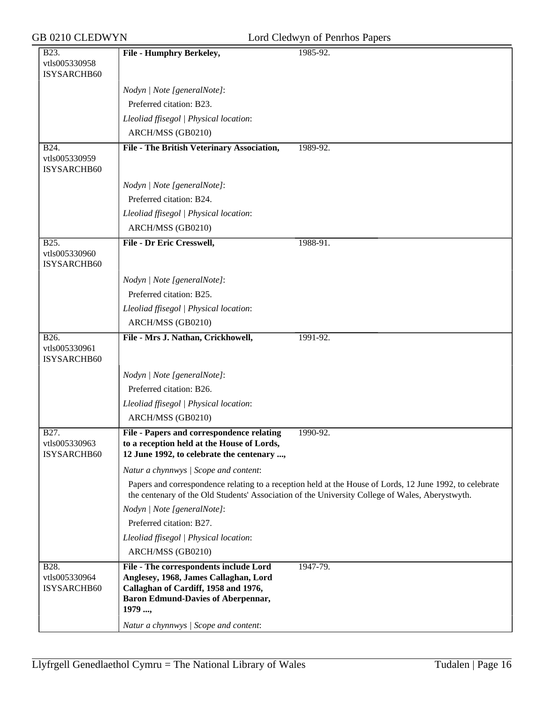| GB 0210 CLEDWYN<br>Lord Cledwyn of Penrhos Papers |                                                                                                                                                                                |                                                                                                                                                                                                             |
|---------------------------------------------------|--------------------------------------------------------------------------------------------------------------------------------------------------------------------------------|-------------------------------------------------------------------------------------------------------------------------------------------------------------------------------------------------------------|
| B23.<br>vtls005330958<br>ISYSARCHB60              | <b>File - Humphry Berkeley,</b>                                                                                                                                                | 1985-92.                                                                                                                                                                                                    |
|                                                   | Nodyn   Note [generalNote]:                                                                                                                                                    |                                                                                                                                                                                                             |
|                                                   | Preferred citation: B23.                                                                                                                                                       |                                                                                                                                                                                                             |
|                                                   | Lleoliad ffisegol   Physical location:                                                                                                                                         |                                                                                                                                                                                                             |
|                                                   | ARCH/MSS (GB0210)                                                                                                                                                              |                                                                                                                                                                                                             |
| <b>B24.</b><br>vtls005330959<br>ISYSARCHB60       | <b>File - The British Veterinary Association,</b>                                                                                                                              | 1989-92.                                                                                                                                                                                                    |
|                                                   | Nodyn   Note [generalNote]:                                                                                                                                                    |                                                                                                                                                                                                             |
|                                                   | Preferred citation: B24.                                                                                                                                                       |                                                                                                                                                                                                             |
|                                                   | Lleoliad ffisegol   Physical location:                                                                                                                                         |                                                                                                                                                                                                             |
|                                                   | ARCH/MSS (GB0210)                                                                                                                                                              |                                                                                                                                                                                                             |
| B25.<br>vtls005330960<br>ISYSARCHB60              | File - Dr Eric Cresswell,                                                                                                                                                      | 1988-91.                                                                                                                                                                                                    |
|                                                   | Nodyn   Note [generalNote]:                                                                                                                                                    |                                                                                                                                                                                                             |
|                                                   | Preferred citation: B25.                                                                                                                                                       |                                                                                                                                                                                                             |
|                                                   | Lleoliad ffisegol   Physical location:                                                                                                                                         |                                                                                                                                                                                                             |
|                                                   | ARCH/MSS (GB0210)                                                                                                                                                              |                                                                                                                                                                                                             |
| B26.<br>vtls005330961<br>ISYSARCHB60              | File - Mrs J. Nathan, Crickhowell,                                                                                                                                             | 1991-92.                                                                                                                                                                                                    |
|                                                   | Nodyn   Note [generalNote]:                                                                                                                                                    |                                                                                                                                                                                                             |
|                                                   | Preferred citation: B26.                                                                                                                                                       |                                                                                                                                                                                                             |
|                                                   | Lleoliad ffisegol   Physical location:                                                                                                                                         |                                                                                                                                                                                                             |
|                                                   | ARCH/MSS (GB0210)                                                                                                                                                              |                                                                                                                                                                                                             |
| B27.<br>vtls005330963<br>ISYSARCHB60              | File - Papers and correspondence relating<br>to a reception held at the House of Lords,<br>12 June 1992, to celebrate the centenary ,                                          | 1990-92.                                                                                                                                                                                                    |
|                                                   | Natur a chynnwys / Scope and content:                                                                                                                                          |                                                                                                                                                                                                             |
|                                                   |                                                                                                                                                                                | Papers and correspondence relating to a reception held at the House of Lords, 12 June 1992, to celebrate<br>the centenary of the Old Students' Association of the University College of Wales, Aberystwyth. |
|                                                   | Nodyn   Note [generalNote]:                                                                                                                                                    |                                                                                                                                                                                                             |
|                                                   | Preferred citation: B27.                                                                                                                                                       |                                                                                                                                                                                                             |
|                                                   | Lleoliad ffisegol   Physical location:                                                                                                                                         |                                                                                                                                                                                                             |
|                                                   | ARCH/MSS (GB0210)                                                                                                                                                              |                                                                                                                                                                                                             |
| B28.<br>vtls005330964<br>ISYSARCHB60              | File - The correspondents include Lord<br>Anglesey, 1968, James Callaghan, Lord<br>Callaghan of Cardiff, 1958 and 1976,<br><b>Baron Edmund-Davies of Aberpennar,</b><br>1979 , | 1947-79.                                                                                                                                                                                                    |
|                                                   | Natur a chynnwys / Scope and content:                                                                                                                                          |                                                                                                                                                                                                             |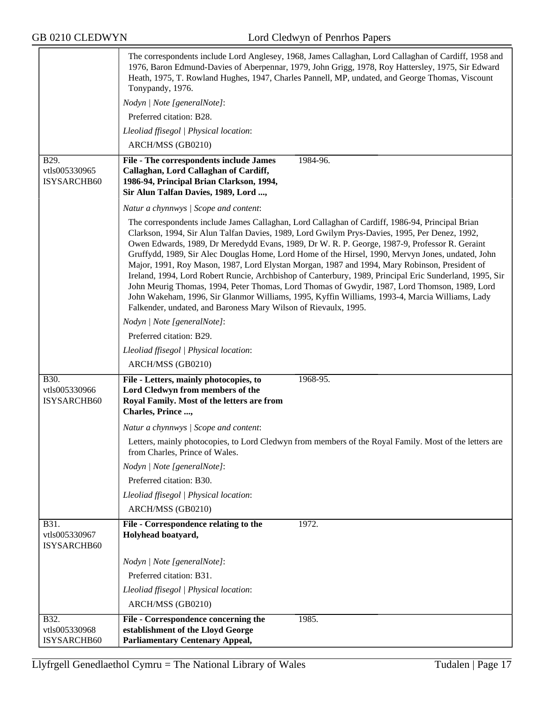|                                      | The correspondents include Lord Anglesey, 1968, James Callaghan, Lord Callaghan of Cardiff, 1958 and<br>1976, Baron Edmund-Davies of Aberpennar, 1979, John Grigg, 1978, Roy Hattersley, 1975, Sir Edward<br>Heath, 1975, T. Rowland Hughes, 1947, Charles Pannell, MP, undated, and George Thomas, Viscount<br>Tonypandy, 1976.                                                                                                                                                                                                                                                                                                                                                                                                                                                                                                                                                         |  |  |
|--------------------------------------|------------------------------------------------------------------------------------------------------------------------------------------------------------------------------------------------------------------------------------------------------------------------------------------------------------------------------------------------------------------------------------------------------------------------------------------------------------------------------------------------------------------------------------------------------------------------------------------------------------------------------------------------------------------------------------------------------------------------------------------------------------------------------------------------------------------------------------------------------------------------------------------|--|--|
|                                      | Nodyn   Note [generalNote]:                                                                                                                                                                                                                                                                                                                                                                                                                                                                                                                                                                                                                                                                                                                                                                                                                                                              |  |  |
|                                      | Preferred citation: B28.                                                                                                                                                                                                                                                                                                                                                                                                                                                                                                                                                                                                                                                                                                                                                                                                                                                                 |  |  |
|                                      | Lleoliad ffisegol   Physical location:                                                                                                                                                                                                                                                                                                                                                                                                                                                                                                                                                                                                                                                                                                                                                                                                                                                   |  |  |
|                                      | ARCH/MSS (GB0210)                                                                                                                                                                                                                                                                                                                                                                                                                                                                                                                                                                                                                                                                                                                                                                                                                                                                        |  |  |
| B <sub>29</sub> .                    | File - The correspondents include James<br>1984-96.                                                                                                                                                                                                                                                                                                                                                                                                                                                                                                                                                                                                                                                                                                                                                                                                                                      |  |  |
| vtls005330965<br>ISYSARCHB60         | Callaghan, Lord Callaghan of Cardiff,<br>1986-94, Principal Brian Clarkson, 1994,                                                                                                                                                                                                                                                                                                                                                                                                                                                                                                                                                                                                                                                                                                                                                                                                        |  |  |
|                                      | Sir Alun Talfan Davies, 1989, Lord ,                                                                                                                                                                                                                                                                                                                                                                                                                                                                                                                                                                                                                                                                                                                                                                                                                                                     |  |  |
|                                      | Natur a chynnwys / Scope and content:                                                                                                                                                                                                                                                                                                                                                                                                                                                                                                                                                                                                                                                                                                                                                                                                                                                    |  |  |
|                                      | The correspondents include James Callaghan, Lord Callaghan of Cardiff, 1986-94, Principal Brian<br>Clarkson, 1994, Sir Alun Talfan Davies, 1989, Lord Gwilym Prys-Davies, 1995, Per Denez, 1992,<br>Owen Edwards, 1989, Dr Meredydd Evans, 1989, Dr W. R. P. George, 1987-9, Professor R. Geraint<br>Gruffydd, 1989, Sir Alec Douglas Home, Lord Home of the Hirsel, 1990, Mervyn Jones, undated, John<br>Major, 1991, Roy Mason, 1987, Lord Elystan Morgan, 1987 and 1994, Mary Robinson, President of<br>Ireland, 1994, Lord Robert Runcie, Archbishop of Canterbury, 1989, Principal Eric Sunderland, 1995, Sir<br>John Meurig Thomas, 1994, Peter Thomas, Lord Thomas of Gwydir, 1987, Lord Thomson, 1989, Lord<br>John Wakeham, 1996, Sir Glanmor Williams, 1995, Kyffin Williams, 1993-4, Marcia Williams, Lady<br>Falkender, undated, and Baroness Mary Wilson of Rievaulx, 1995. |  |  |
|                                      | Nodyn   Note [generalNote]:                                                                                                                                                                                                                                                                                                                                                                                                                                                                                                                                                                                                                                                                                                                                                                                                                                                              |  |  |
|                                      | Preferred citation: B29.                                                                                                                                                                                                                                                                                                                                                                                                                                                                                                                                                                                                                                                                                                                                                                                                                                                                 |  |  |
|                                      | Lleoliad ffisegol   Physical location:                                                                                                                                                                                                                                                                                                                                                                                                                                                                                                                                                                                                                                                                                                                                                                                                                                                   |  |  |
|                                      | ARCH/MSS (GB0210)                                                                                                                                                                                                                                                                                                                                                                                                                                                                                                                                                                                                                                                                                                                                                                                                                                                                        |  |  |
| B30.<br>vtls005330966<br>ISYSARCHB60 | 1968-95.<br>File - Letters, mainly photocopies, to<br>Lord Cledwyn from members of the<br>Royal Family. Most of the letters are from<br>Charles, Prince ,                                                                                                                                                                                                                                                                                                                                                                                                                                                                                                                                                                                                                                                                                                                                |  |  |
|                                      | Natur a chynnwys / Scope and content:                                                                                                                                                                                                                                                                                                                                                                                                                                                                                                                                                                                                                                                                                                                                                                                                                                                    |  |  |
|                                      | Letters, mainly photocopies, to Lord Cledwyn from members of the Royal Family. Most of the letters are<br>from Charles, Prince of Wales.                                                                                                                                                                                                                                                                                                                                                                                                                                                                                                                                                                                                                                                                                                                                                 |  |  |
|                                      | Nodyn   Note [generalNote]:                                                                                                                                                                                                                                                                                                                                                                                                                                                                                                                                                                                                                                                                                                                                                                                                                                                              |  |  |
|                                      | Preferred citation: B30.                                                                                                                                                                                                                                                                                                                                                                                                                                                                                                                                                                                                                                                                                                                                                                                                                                                                 |  |  |
|                                      | Lleoliad ffisegol   Physical location:                                                                                                                                                                                                                                                                                                                                                                                                                                                                                                                                                                                                                                                                                                                                                                                                                                                   |  |  |
|                                      | ARCH/MSS (GB0210)                                                                                                                                                                                                                                                                                                                                                                                                                                                                                                                                                                                                                                                                                                                                                                                                                                                                        |  |  |
| B31.<br>vtls005330967<br>ISYSARCHB60 | 1972.<br>File - Correspondence relating to the<br>Holyhead boatyard,                                                                                                                                                                                                                                                                                                                                                                                                                                                                                                                                                                                                                                                                                                                                                                                                                     |  |  |
|                                      | Nodyn   Note [generalNote]:                                                                                                                                                                                                                                                                                                                                                                                                                                                                                                                                                                                                                                                                                                                                                                                                                                                              |  |  |
|                                      | Preferred citation: B31.                                                                                                                                                                                                                                                                                                                                                                                                                                                                                                                                                                                                                                                                                                                                                                                                                                                                 |  |  |
|                                      | Lleoliad ffisegol   Physical location:                                                                                                                                                                                                                                                                                                                                                                                                                                                                                                                                                                                                                                                                                                                                                                                                                                                   |  |  |
|                                      | ARCH/MSS (GB0210)                                                                                                                                                                                                                                                                                                                                                                                                                                                                                                                                                                                                                                                                                                                                                                                                                                                                        |  |  |
| <b>B</b> 32.                         | File - Correspondence concerning the<br>1985.                                                                                                                                                                                                                                                                                                                                                                                                                                                                                                                                                                                                                                                                                                                                                                                                                                            |  |  |
| vtls005330968                        | establishment of the Lloyd George                                                                                                                                                                                                                                                                                                                                                                                                                                                                                                                                                                                                                                                                                                                                                                                                                                                        |  |  |
| ISYSARCHB60                          | <b>Parliamentary Centenary Appeal,</b>                                                                                                                                                                                                                                                                                                                                                                                                                                                                                                                                                                                                                                                                                                                                                                                                                                                   |  |  |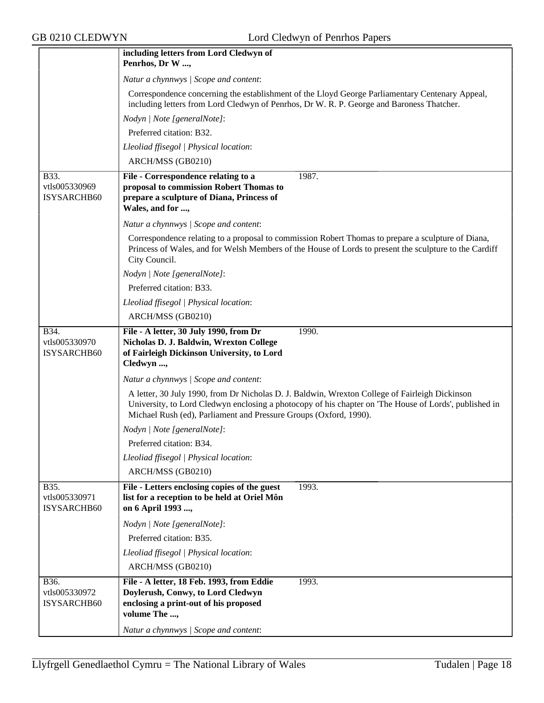|                                      | including letters from Lord Cledwyn of<br>Penrhos, Dr W ,                                                                                                                                                                                                                     |
|--------------------------------------|-------------------------------------------------------------------------------------------------------------------------------------------------------------------------------------------------------------------------------------------------------------------------------|
|                                      | Natur a chynnwys / Scope and content:                                                                                                                                                                                                                                         |
|                                      | Correspondence concerning the establishment of the Lloyd George Parliamentary Centenary Appeal,<br>including letters from Lord Cledwyn of Penrhos, Dr W. R. P. George and Baroness Thatcher.                                                                                  |
|                                      | Nodyn   Note [generalNote]:                                                                                                                                                                                                                                                   |
|                                      | Preferred citation: B32.                                                                                                                                                                                                                                                      |
|                                      | Lleoliad ffisegol   Physical location:                                                                                                                                                                                                                                        |
|                                      | ARCH/MSS (GB0210)                                                                                                                                                                                                                                                             |
| B33.<br>vtls005330969<br>ISYSARCHB60 | File - Correspondence relating to a<br>1987.<br>proposal to commission Robert Thomas to<br>prepare a sculpture of Diana, Princess of<br>Wales, and for ,                                                                                                                      |
|                                      | Natur a chynnwys / Scope and content:                                                                                                                                                                                                                                         |
|                                      | Correspondence relating to a proposal to commission Robert Thomas to prepare a sculpture of Diana,<br>Princess of Wales, and for Welsh Members of the House of Lords to present the sculpture to the Cardiff<br>City Council.                                                 |
|                                      | Nodyn   Note [generalNote]:                                                                                                                                                                                                                                                   |
|                                      | Preferred citation: B33.                                                                                                                                                                                                                                                      |
|                                      | Lleoliad ffisegol   Physical location:                                                                                                                                                                                                                                        |
|                                      | ARCH/MSS (GB0210)                                                                                                                                                                                                                                                             |
| B34.<br>vtls005330970<br>ISYSARCHB60 | File - A letter, 30 July 1990, from Dr<br>1990.<br>Nicholas D. J. Baldwin, Wrexton College<br>of Fairleigh Dickinson University, to Lord<br>Cledwyn ,                                                                                                                         |
|                                      | Natur a chynnwys / Scope and content:                                                                                                                                                                                                                                         |
|                                      | A letter, 30 July 1990, from Dr Nicholas D. J. Baldwin, Wrexton College of Fairleigh Dickinson<br>University, to Lord Cledwyn enclosing a photocopy of his chapter on 'The House of Lords', published in<br>Michael Rush (ed), Parliament and Pressure Groups (Oxford, 1990). |
|                                      | Nodyn   Note [generalNote]:                                                                                                                                                                                                                                                   |
|                                      | Preferred citation: B34.                                                                                                                                                                                                                                                      |
|                                      | Lleoliad ffisegol   Physical location:                                                                                                                                                                                                                                        |
|                                      | ARCH/MSS (GB0210)                                                                                                                                                                                                                                                             |
| B35.<br>vtls005330971<br>ISYSARCHB60 | File - Letters enclosing copies of the guest<br>1993.<br>list for a reception to be held at Oriel Môn<br>on 6 April 1993 ,                                                                                                                                                    |
|                                      | Nodyn   Note [generalNote]:                                                                                                                                                                                                                                                   |
|                                      | Preferred citation: B35.                                                                                                                                                                                                                                                      |
|                                      | Lleoliad ffisegol   Physical location:                                                                                                                                                                                                                                        |
|                                      | ARCH/MSS (GB0210)                                                                                                                                                                                                                                                             |
| B36.<br>vtls005330972<br>ISYSARCHB60 | File - A letter, 18 Feb. 1993, from Eddie<br>1993.<br>Doylerush, Conwy, to Lord Cledwyn<br>enclosing a print-out of his proposed<br>volume The ,                                                                                                                              |
|                                      | Natur a chynnwys / Scope and content:                                                                                                                                                                                                                                         |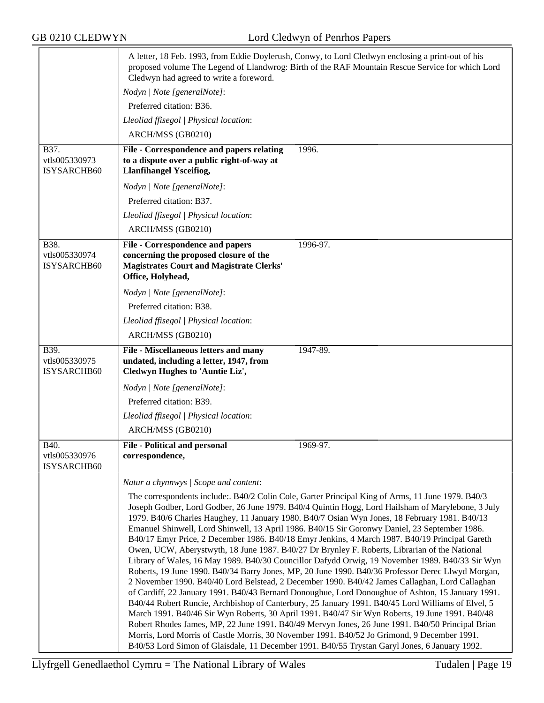| A letter, 18 Feb. 1993, from Eddie Doylerush, Conwy, to Lord Cledwyn enclosing a print-out of his<br>proposed volume The Legend of Llandwrog: Birth of the RAF Mountain Rescue Service for which Lord<br>Cledwyn had agreed to write a foreword.                                                                                                                                                                                                                                                                                                                                                                                                                                                                                                                                                                                                                                                                                                                                                                                                                                                                                                                                                                                                                                                                                                                                                                                                                                                                                      |                                         |
|---------------------------------------------------------------------------------------------------------------------------------------------------------------------------------------------------------------------------------------------------------------------------------------------------------------------------------------------------------------------------------------------------------------------------------------------------------------------------------------------------------------------------------------------------------------------------------------------------------------------------------------------------------------------------------------------------------------------------------------------------------------------------------------------------------------------------------------------------------------------------------------------------------------------------------------------------------------------------------------------------------------------------------------------------------------------------------------------------------------------------------------------------------------------------------------------------------------------------------------------------------------------------------------------------------------------------------------------------------------------------------------------------------------------------------------------------------------------------------------------------------------------------------------|-----------------------------------------|
| Nodyn   Note [generalNote]:                                                                                                                                                                                                                                                                                                                                                                                                                                                                                                                                                                                                                                                                                                                                                                                                                                                                                                                                                                                                                                                                                                                                                                                                                                                                                                                                                                                                                                                                                                           |                                         |
| Preferred citation: B36.                                                                                                                                                                                                                                                                                                                                                                                                                                                                                                                                                                                                                                                                                                                                                                                                                                                                                                                                                                                                                                                                                                                                                                                                                                                                                                                                                                                                                                                                                                              |                                         |
| Lleoliad ffisegol   Physical location:                                                                                                                                                                                                                                                                                                                                                                                                                                                                                                                                                                                                                                                                                                                                                                                                                                                                                                                                                                                                                                                                                                                                                                                                                                                                                                                                                                                                                                                                                                |                                         |
| ARCH/MSS (GB0210)                                                                                                                                                                                                                                                                                                                                                                                                                                                                                                                                                                                                                                                                                                                                                                                                                                                                                                                                                                                                                                                                                                                                                                                                                                                                                                                                                                                                                                                                                                                     |                                         |
| File - Correspondence and papers relating<br>to a dispute over a public right-of-way at<br><b>Llanfihangel Ysceifiog,</b>                                                                                                                                                                                                                                                                                                                                                                                                                                                                                                                                                                                                                                                                                                                                                                                                                                                                                                                                                                                                                                                                                                                                                                                                                                                                                                                                                                                                             | 1996.                                   |
| Nodyn   Note [generalNote]:                                                                                                                                                                                                                                                                                                                                                                                                                                                                                                                                                                                                                                                                                                                                                                                                                                                                                                                                                                                                                                                                                                                                                                                                                                                                                                                                                                                                                                                                                                           |                                         |
| Preferred citation: B37.                                                                                                                                                                                                                                                                                                                                                                                                                                                                                                                                                                                                                                                                                                                                                                                                                                                                                                                                                                                                                                                                                                                                                                                                                                                                                                                                                                                                                                                                                                              |                                         |
| Lleoliad ffisegol   Physical location:                                                                                                                                                                                                                                                                                                                                                                                                                                                                                                                                                                                                                                                                                                                                                                                                                                                                                                                                                                                                                                                                                                                                                                                                                                                                                                                                                                                                                                                                                                |                                         |
| ARCH/MSS (GB0210)                                                                                                                                                                                                                                                                                                                                                                                                                                                                                                                                                                                                                                                                                                                                                                                                                                                                                                                                                                                                                                                                                                                                                                                                                                                                                                                                                                                                                                                                                                                     |                                         |
| <b>File - Correspondence and papers</b><br>concerning the proposed closure of the<br><b>Magistrates Court and Magistrate Clerks'</b><br>Office, Holyhead,                                                                                                                                                                                                                                                                                                                                                                                                                                                                                                                                                                                                                                                                                                                                                                                                                                                                                                                                                                                                                                                                                                                                                                                                                                                                                                                                                                             | 1996-97.                                |
| Nodyn   Note [generalNote]:                                                                                                                                                                                                                                                                                                                                                                                                                                                                                                                                                                                                                                                                                                                                                                                                                                                                                                                                                                                                                                                                                                                                                                                                                                                                                                                                                                                                                                                                                                           |                                         |
| Preferred citation: B38.                                                                                                                                                                                                                                                                                                                                                                                                                                                                                                                                                                                                                                                                                                                                                                                                                                                                                                                                                                                                                                                                                                                                                                                                                                                                                                                                                                                                                                                                                                              |                                         |
| Lleoliad ffisegol   Physical location:                                                                                                                                                                                                                                                                                                                                                                                                                                                                                                                                                                                                                                                                                                                                                                                                                                                                                                                                                                                                                                                                                                                                                                                                                                                                                                                                                                                                                                                                                                |                                         |
| ARCH/MSS (GB0210)                                                                                                                                                                                                                                                                                                                                                                                                                                                                                                                                                                                                                                                                                                                                                                                                                                                                                                                                                                                                                                                                                                                                                                                                                                                                                                                                                                                                                                                                                                                     |                                         |
| File - Miscellaneous letters and many                                                                                                                                                                                                                                                                                                                                                                                                                                                                                                                                                                                                                                                                                                                                                                                                                                                                                                                                                                                                                                                                                                                                                                                                                                                                                                                                                                                                                                                                                                 | 1947-89.                                |
| Cledwyn Hughes to 'Auntie Liz',                                                                                                                                                                                                                                                                                                                                                                                                                                                                                                                                                                                                                                                                                                                                                                                                                                                                                                                                                                                                                                                                                                                                                                                                                                                                                                                                                                                                                                                                                                       |                                         |
| Nodyn   Note [generalNote]:                                                                                                                                                                                                                                                                                                                                                                                                                                                                                                                                                                                                                                                                                                                                                                                                                                                                                                                                                                                                                                                                                                                                                                                                                                                                                                                                                                                                                                                                                                           |                                         |
| Preferred citation: B39.                                                                                                                                                                                                                                                                                                                                                                                                                                                                                                                                                                                                                                                                                                                                                                                                                                                                                                                                                                                                                                                                                                                                                                                                                                                                                                                                                                                                                                                                                                              |                                         |
| Lleoliad ffisegol   Physical location:                                                                                                                                                                                                                                                                                                                                                                                                                                                                                                                                                                                                                                                                                                                                                                                                                                                                                                                                                                                                                                                                                                                                                                                                                                                                                                                                                                                                                                                                                                |                                         |
| ARCH/MSS (GB0210)                                                                                                                                                                                                                                                                                                                                                                                                                                                                                                                                                                                                                                                                                                                                                                                                                                                                                                                                                                                                                                                                                                                                                                                                                                                                                                                                                                                                                                                                                                                     |                                         |
| <b>File - Political and personal</b><br>correspondence,                                                                                                                                                                                                                                                                                                                                                                                                                                                                                                                                                                                                                                                                                                                                                                                                                                                                                                                                                                                                                                                                                                                                                                                                                                                                                                                                                                                                                                                                               | 1969-97.                                |
| Natur a chynnwys / Scope and content:                                                                                                                                                                                                                                                                                                                                                                                                                                                                                                                                                                                                                                                                                                                                                                                                                                                                                                                                                                                                                                                                                                                                                                                                                                                                                                                                                                                                                                                                                                 |                                         |
| The correspondents include: B40/2 Colin Cole, Garter Principal King of Arms, 11 June 1979. B40/3<br>Joseph Godber, Lord Godber, 26 June 1979. B40/4 Quintin Hogg, Lord Hailsham of Marylebone, 3 July<br>1979. B40/6 Charles Haughey, 11 January 1980. B40/7 Osian Wyn Jones, 18 February 1981. B40/13<br>Emanuel Shinwell, Lord Shinwell, 13 April 1986. B40/15 Sir Goronwy Daniel, 23 September 1986.<br>B40/17 Emyr Price, 2 December 1986. B40/18 Emyr Jenkins, 4 March 1987. B40/19 Principal Gareth<br>Owen, UCW, Aberystwyth, 18 June 1987. B40/27 Dr Brynley F. Roberts, Librarian of the National<br>Library of Wales, 16 May 1989. B40/30 Councillor Dafydd Orwig, 19 November 1989. B40/33 Sir Wyn<br>Roberts, 19 June 1990. B40/34 Barry Jones, MP, 20 June 1990. B40/36 Professor Derec Llwyd Morgan,<br>2 November 1990. B40/40 Lord Belstead, 2 December 1990. B40/42 James Callaghan, Lord Callaghan<br>of Cardiff, 22 January 1991. B40/43 Bernard Donoughue, Lord Donoughue of Ashton, 15 January 1991.<br>B40/44 Robert Runcie, Archbishop of Canterbury, 25 January 1991. B40/45 Lord Williams of Elvel, 5<br>March 1991. B40/46 Sir Wyn Roberts, 30 April 1991. B40/47 Sir Wyn Roberts, 19 June 1991. B40/48<br>Robert Rhodes James, MP, 22 June 1991. B40/49 Mervyn Jones, 26 June 1991. B40/50 Principal Brian<br>Morris, Lord Morris of Castle Morris, 30 November 1991. B40/52 Jo Grimond, 9 December 1991.<br>B40/53 Lord Simon of Glaisdale, 11 December 1991. B40/55 Trystan Garyl Jones, 6 January 1992. |                                         |
|                                                                                                                                                                                                                                                                                                                                                                                                                                                                                                                                                                                                                                                                                                                                                                                                                                                                                                                                                                                                                                                                                                                                                                                                                                                                                                                                                                                                                                                                                                                                       | undated, including a letter, 1947, from |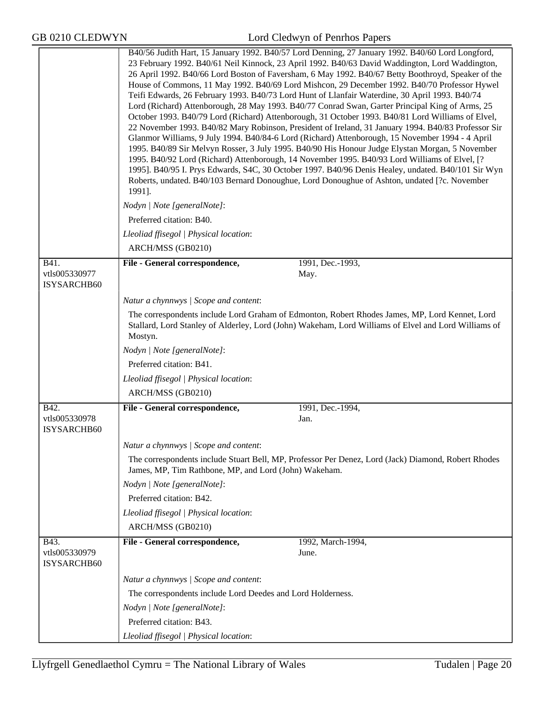|                                      | B40/56 Judith Hart, 15 January 1992. B40/57 Lord Denning, 27 January 1992. B40/60 Lord Longford,<br>23 February 1992. B40/61 Neil Kinnock, 23 April 1992. B40/63 David Waddington, Lord Waddington,<br>26 April 1992. B40/66 Lord Boston of Faversham, 6 May 1992. B40/67 Betty Boothroyd, Speaker of the<br>House of Commons, 11 May 1992. B40/69 Lord Mishcon, 29 December 1992. B40/70 Professor Hywel<br>Teifi Edwards, 26 February 1993. B40/73 Lord Hunt of Llanfair Waterdine, 30 April 1993. B40/74<br>Lord (Richard) Attenborough, 28 May 1993. B40/77 Conrad Swan, Garter Principal King of Arms, 25<br>October 1993. B40/79 Lord (Richard) Attenborough, 31 October 1993. B40/81 Lord Williams of Elvel,<br>22 November 1993. B40/82 Mary Robinson, President of Ireland, 31 January 1994. B40/83 Professor Sir<br>Glanmor Williams, 9 July 1994. B40/84-6 Lord (Richard) Attenborough, 15 November 1994 - 4 April<br>1995. B40/89 Sir Melvyn Rosser, 3 July 1995. B40/90 His Honour Judge Elystan Morgan, 5 November<br>1995. B40/92 Lord (Richard) Attenborough, 14 November 1995. B40/93 Lord Williams of Elvel, [?<br>1995]. B40/95 I. Prys Edwards, S4C, 30 October 1997. B40/96 Denis Healey, undated. B40/101 Sir Wyn<br>Roberts, undated. B40/103 Bernard Donoughue, Lord Donoughue of Ashton, undated [?c. November<br>1991]. |                                                                                                                                                                                                        |  |
|--------------------------------------|---------------------------------------------------------------------------------------------------------------------------------------------------------------------------------------------------------------------------------------------------------------------------------------------------------------------------------------------------------------------------------------------------------------------------------------------------------------------------------------------------------------------------------------------------------------------------------------------------------------------------------------------------------------------------------------------------------------------------------------------------------------------------------------------------------------------------------------------------------------------------------------------------------------------------------------------------------------------------------------------------------------------------------------------------------------------------------------------------------------------------------------------------------------------------------------------------------------------------------------------------------------------------------------------------------------------------------------------------|--------------------------------------------------------------------------------------------------------------------------------------------------------------------------------------------------------|--|
|                                      | Nodyn   Note [generalNote]:                                                                                                                                                                                                                                                                                                                                                                                                                                                                                                                                                                                                                                                                                                                                                                                                                                                                                                                                                                                                                                                                                                                                                                                                                                                                                                                       |                                                                                                                                                                                                        |  |
|                                      | Preferred citation: B40.                                                                                                                                                                                                                                                                                                                                                                                                                                                                                                                                                                                                                                                                                                                                                                                                                                                                                                                                                                                                                                                                                                                                                                                                                                                                                                                          |                                                                                                                                                                                                        |  |
|                                      | Lleoliad ffisegol   Physical location:<br>ARCH/MSS (GB0210)                                                                                                                                                                                                                                                                                                                                                                                                                                                                                                                                                                                                                                                                                                                                                                                                                                                                                                                                                                                                                                                                                                                                                                                                                                                                                       |                                                                                                                                                                                                        |  |
|                                      |                                                                                                                                                                                                                                                                                                                                                                                                                                                                                                                                                                                                                                                                                                                                                                                                                                                                                                                                                                                                                                                                                                                                                                                                                                                                                                                                                   |                                                                                                                                                                                                        |  |
| B41.<br>vtls005330977<br>ISYSARCHB60 | File - General correspondence,                                                                                                                                                                                                                                                                                                                                                                                                                                                                                                                                                                                                                                                                                                                                                                                                                                                                                                                                                                                                                                                                                                                                                                                                                                                                                                                    | 1991, Dec.-1993,<br>May.                                                                                                                                                                               |  |
|                                      | Natur a chynnwys / Scope and content:                                                                                                                                                                                                                                                                                                                                                                                                                                                                                                                                                                                                                                                                                                                                                                                                                                                                                                                                                                                                                                                                                                                                                                                                                                                                                                             |                                                                                                                                                                                                        |  |
|                                      | Mostyn.                                                                                                                                                                                                                                                                                                                                                                                                                                                                                                                                                                                                                                                                                                                                                                                                                                                                                                                                                                                                                                                                                                                                                                                                                                                                                                                                           | The correspondents include Lord Graham of Edmonton, Robert Rhodes James, MP, Lord Kennet, Lord<br>Stallard, Lord Stanley of Alderley, Lord (John) Wakeham, Lord Williams of Elvel and Lord Williams of |  |
|                                      | Nodyn   Note [generalNote]:                                                                                                                                                                                                                                                                                                                                                                                                                                                                                                                                                                                                                                                                                                                                                                                                                                                                                                                                                                                                                                                                                                                                                                                                                                                                                                                       |                                                                                                                                                                                                        |  |
|                                      | Preferred citation: B41.                                                                                                                                                                                                                                                                                                                                                                                                                                                                                                                                                                                                                                                                                                                                                                                                                                                                                                                                                                                                                                                                                                                                                                                                                                                                                                                          |                                                                                                                                                                                                        |  |
|                                      | Lleoliad ffisegol   Physical location:                                                                                                                                                                                                                                                                                                                                                                                                                                                                                                                                                                                                                                                                                                                                                                                                                                                                                                                                                                                                                                                                                                                                                                                                                                                                                                            |                                                                                                                                                                                                        |  |
|                                      | ARCH/MSS (GB0210)                                                                                                                                                                                                                                                                                                                                                                                                                                                                                                                                                                                                                                                                                                                                                                                                                                                                                                                                                                                                                                                                                                                                                                                                                                                                                                                                 |                                                                                                                                                                                                        |  |
| B42.                                 | File - General correspondence,                                                                                                                                                                                                                                                                                                                                                                                                                                                                                                                                                                                                                                                                                                                                                                                                                                                                                                                                                                                                                                                                                                                                                                                                                                                                                                                    | 1991, Dec.-1994,                                                                                                                                                                                       |  |
| vtls005330978<br>ISYSARCHB60         |                                                                                                                                                                                                                                                                                                                                                                                                                                                                                                                                                                                                                                                                                                                                                                                                                                                                                                                                                                                                                                                                                                                                                                                                                                                                                                                                                   | Jan.                                                                                                                                                                                                   |  |
|                                      | Natur a chynnwys / Scope and content:                                                                                                                                                                                                                                                                                                                                                                                                                                                                                                                                                                                                                                                                                                                                                                                                                                                                                                                                                                                                                                                                                                                                                                                                                                                                                                             |                                                                                                                                                                                                        |  |
|                                      | The correspondents include Stuart Bell, MP, Professor Per Denez, Lord (Jack) Diamond, Robert Rhodes<br>James, MP, Tim Rathbone, MP, and Lord (John) Wakeham.                                                                                                                                                                                                                                                                                                                                                                                                                                                                                                                                                                                                                                                                                                                                                                                                                                                                                                                                                                                                                                                                                                                                                                                      |                                                                                                                                                                                                        |  |
|                                      | Nodyn   Note [generalNote]:                                                                                                                                                                                                                                                                                                                                                                                                                                                                                                                                                                                                                                                                                                                                                                                                                                                                                                                                                                                                                                                                                                                                                                                                                                                                                                                       |                                                                                                                                                                                                        |  |
|                                      | Preferred citation: B42.                                                                                                                                                                                                                                                                                                                                                                                                                                                                                                                                                                                                                                                                                                                                                                                                                                                                                                                                                                                                                                                                                                                                                                                                                                                                                                                          |                                                                                                                                                                                                        |  |
|                                      | Lleoliad ffisegol   Physical location:                                                                                                                                                                                                                                                                                                                                                                                                                                                                                                                                                                                                                                                                                                                                                                                                                                                                                                                                                                                                                                                                                                                                                                                                                                                                                                            |                                                                                                                                                                                                        |  |
|                                      | ARCH/MSS (GB0210)                                                                                                                                                                                                                                                                                                                                                                                                                                                                                                                                                                                                                                                                                                                                                                                                                                                                                                                                                                                                                                                                                                                                                                                                                                                                                                                                 |                                                                                                                                                                                                        |  |
| B43.<br>vtls005330979<br>ISYSARCHB60 | File - General correspondence,                                                                                                                                                                                                                                                                                                                                                                                                                                                                                                                                                                                                                                                                                                                                                                                                                                                                                                                                                                                                                                                                                                                                                                                                                                                                                                                    | 1992, March-1994,<br>June.                                                                                                                                                                             |  |
|                                      | Natur a chynnwys / Scope and content:                                                                                                                                                                                                                                                                                                                                                                                                                                                                                                                                                                                                                                                                                                                                                                                                                                                                                                                                                                                                                                                                                                                                                                                                                                                                                                             |                                                                                                                                                                                                        |  |
|                                      | The correspondents include Lord Deedes and Lord Holderness.                                                                                                                                                                                                                                                                                                                                                                                                                                                                                                                                                                                                                                                                                                                                                                                                                                                                                                                                                                                                                                                                                                                                                                                                                                                                                       |                                                                                                                                                                                                        |  |
|                                      | Nodyn   Note [generalNote]:                                                                                                                                                                                                                                                                                                                                                                                                                                                                                                                                                                                                                                                                                                                                                                                                                                                                                                                                                                                                                                                                                                                                                                                                                                                                                                                       |                                                                                                                                                                                                        |  |
|                                      | Preferred citation: B43.                                                                                                                                                                                                                                                                                                                                                                                                                                                                                                                                                                                                                                                                                                                                                                                                                                                                                                                                                                                                                                                                                                                                                                                                                                                                                                                          |                                                                                                                                                                                                        |  |
|                                      | Lleoliad ffisegol   Physical location:                                                                                                                                                                                                                                                                                                                                                                                                                                                                                                                                                                                                                                                                                                                                                                                                                                                                                                                                                                                                                                                                                                                                                                                                                                                                                                            |                                                                                                                                                                                                        |  |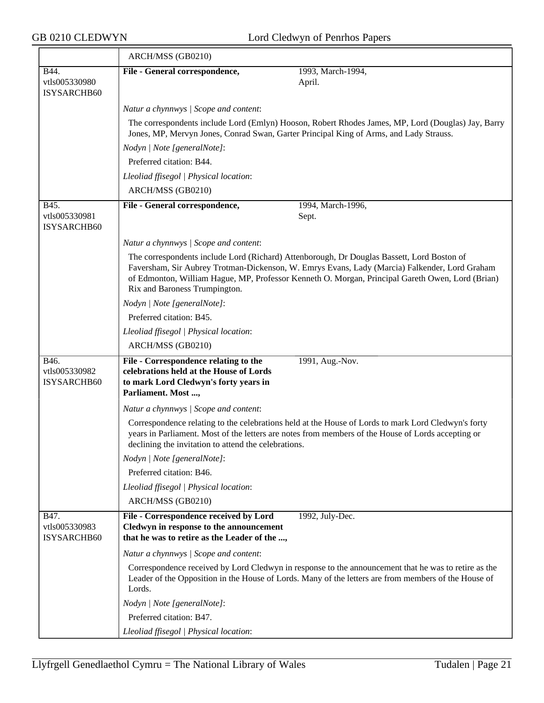|                                      | ARCH/MSS (GB0210)                                                                                                                                                                                                                                                                                                                |                   |  |
|--------------------------------------|----------------------------------------------------------------------------------------------------------------------------------------------------------------------------------------------------------------------------------------------------------------------------------------------------------------------------------|-------------------|--|
| B44.<br>vtls005330980<br>ISYSARCHB60 | File - General correspondence,<br>April.                                                                                                                                                                                                                                                                                         | 1993, March-1994, |  |
|                                      | Natur a chynnwys / Scope and content:                                                                                                                                                                                                                                                                                            |                   |  |
|                                      | The correspondents include Lord (Emlyn) Hooson, Robert Rhodes James, MP, Lord (Douglas) Jay, Barry<br>Jones, MP, Mervyn Jones, Conrad Swan, Garter Principal King of Arms, and Lady Strauss.                                                                                                                                     |                   |  |
|                                      | Nodyn   Note [generalNote]:                                                                                                                                                                                                                                                                                                      |                   |  |
|                                      | Preferred citation: B44.                                                                                                                                                                                                                                                                                                         |                   |  |
|                                      | Lleoliad ffisegol   Physical location:                                                                                                                                                                                                                                                                                           |                   |  |
|                                      | ARCH/MSS (GB0210)                                                                                                                                                                                                                                                                                                                |                   |  |
| B45.<br>vtls005330981<br>ISYSARCHB60 | File - General correspondence,<br>Sept.                                                                                                                                                                                                                                                                                          | 1994, March-1996, |  |
|                                      | Natur a chynnwys / Scope and content:                                                                                                                                                                                                                                                                                            |                   |  |
|                                      | The correspondents include Lord (Richard) Attenborough, Dr Douglas Bassett, Lord Boston of<br>Faversham, Sir Aubrey Trotman-Dickenson, W. Emrys Evans, Lady (Marcia) Falkender, Lord Graham<br>of Edmonton, William Hague, MP, Professor Kenneth O. Morgan, Principal Gareth Owen, Lord (Brian)<br>Rix and Baroness Trumpington. |                   |  |
|                                      | Nodyn   Note [generalNote]:                                                                                                                                                                                                                                                                                                      |                   |  |
|                                      | Preferred citation: B45.                                                                                                                                                                                                                                                                                                         |                   |  |
|                                      | Lleoliad ffisegol   Physical location:                                                                                                                                                                                                                                                                                           |                   |  |
|                                      | ARCH/MSS (GB0210)                                                                                                                                                                                                                                                                                                                |                   |  |
| B46.<br>vtls005330982<br>ISYSARCHB60 | File - Correspondence relating to the<br>1991, Aug.-Nov.<br>celebrations held at the House of Lords<br>to mark Lord Cledwyn's forty years in<br>Parliament. Most ,                                                                                                                                                               |                   |  |
|                                      | Natur a chynnwys / Scope and content:                                                                                                                                                                                                                                                                                            |                   |  |
|                                      | Correspondence relating to the celebrations held at the House of Lords to mark Lord Cledwyn's forty<br>years in Parliament. Most of the letters are notes from members of the House of Lords accepting or<br>declining the invitation to attend the celebrations.                                                                |                   |  |
|                                      | Nodyn   Note [generalNote]:                                                                                                                                                                                                                                                                                                      |                   |  |
|                                      | Preferred citation: B46.                                                                                                                                                                                                                                                                                                         |                   |  |
|                                      | Lleoliad ffisegol   Physical location:                                                                                                                                                                                                                                                                                           |                   |  |
|                                      | ARCH/MSS (GB0210)                                                                                                                                                                                                                                                                                                                |                   |  |
| B47.<br>vtls005330983<br>ISYSARCHB60 | File - Correspondence received by Lord<br>1992, July-Dec.<br>Cledwyn in response to the announcement<br>that he was to retire as the Leader of the ,                                                                                                                                                                             |                   |  |
|                                      | Natur a chynnwys / Scope and content:                                                                                                                                                                                                                                                                                            |                   |  |
|                                      | Correspondence received by Lord Cledwyn in response to the announcement that he was to retire as the<br>Leader of the Opposition in the House of Lords. Many of the letters are from members of the House of<br>Lords.                                                                                                           |                   |  |
|                                      | Nodyn   Note [generalNote]:                                                                                                                                                                                                                                                                                                      |                   |  |
|                                      | Preferred citation: B47.                                                                                                                                                                                                                                                                                                         |                   |  |
|                                      | Lleoliad ffisegol   Physical location:                                                                                                                                                                                                                                                                                           |                   |  |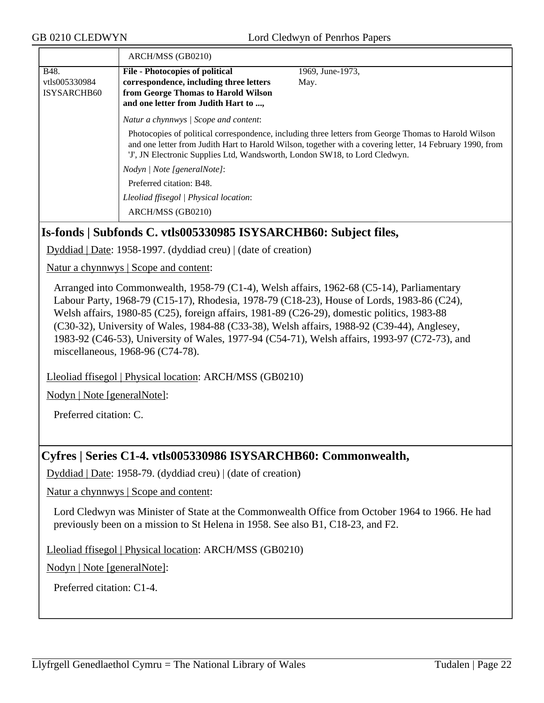|               | ARCH/MSS (GB0210)                                                          |                                                                                                                                                                                                                   |
|---------------|----------------------------------------------------------------------------|-------------------------------------------------------------------------------------------------------------------------------------------------------------------------------------------------------------------|
| B48.          | <b>File - Photocopies of political</b>                                     | 1969, June-1973,                                                                                                                                                                                                  |
| vtls005330984 | correspondence, including three letters                                    | May.                                                                                                                                                                                                              |
| ISYSARCHB60   | from George Thomas to Harold Wilson                                        |                                                                                                                                                                                                                   |
|               | and one letter from Judith Hart to ,                                       |                                                                                                                                                                                                                   |
|               | Natur a chynnwys / Scope and content:                                      |                                                                                                                                                                                                                   |
|               | 'J', JN Electronic Supplies Ltd, Wandsworth, London SW18, to Lord Cledwyn. | Photocopies of political correspondence, including three letters from George Thomas to Harold Wilson<br>and one letter from Judith Hart to Harold Wilson, together with a covering letter, 14 February 1990, from |
|               | Nodyn   Note [generalNote]:                                                |                                                                                                                                                                                                                   |
|               | Preferred citation: B48.                                                   |                                                                                                                                                                                                                   |
|               | Lleoliad ffisegol   Physical location:                                     |                                                                                                                                                                                                                   |
|               | ARCH/MSS (GB0210)                                                          |                                                                                                                                                                                                                   |

## **Is-fonds | Subfonds C. vtls005330985 ISYSARCHB60: Subject files,**

Dyddiad | Date: 1958-1997. (dyddiad creu) | (date of creation)

Natur a chynnwys | Scope and content:

Arranged into Commonwealth, 1958-79 (C1-4), Welsh affairs, 1962-68 (C5-14), Parliamentary Labour Party, 1968-79 (C15-17), Rhodesia, 1978-79 (C18-23), House of Lords, 1983-86 (C24), Welsh affairs, 1980-85 (C25), foreign affairs, 1981-89 (C26-29), domestic politics, 1983-88 (C30-32), University of Wales, 1984-88 (C33-38), Welsh affairs, 1988-92 (C39-44), Anglesey, 1983-92 (C46-53), University of Wales, 1977-94 (C54-71), Welsh affairs, 1993-97 (C72-73), and miscellaneous, 1968-96 (C74-78).

Lleoliad ffisegol | Physical location: ARCH/MSS (GB0210)

Nodyn | Note [generalNote]:

Preferred citation: C.

#### **Cyfres | Series C1-4. vtls005330986 ISYSARCHB60: Commonwealth,**

Dyddiad | Date: 1958-79. (dyddiad creu) | (date of creation)

Natur a chynnwys | Scope and content:

Lord Cledwyn was Minister of State at the Commonwealth Office from October 1964 to 1966. He had previously been on a mission to St Helena in 1958. See also B1, C18-23, and F2.

Lleoliad ffisegol | Physical location: ARCH/MSS (GB0210)

Nodyn | Note [generalNote]:

Preferred citation: C1-4.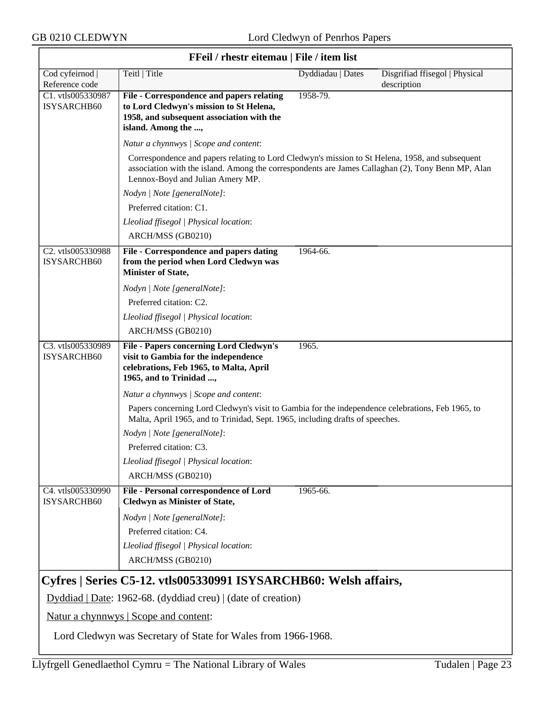$\overline{\mathsf{r}}$ 

|                                   | FFeil / rhestr eitemau   File / item list                                                                                                                                                                                                |                   |                                               |
|-----------------------------------|------------------------------------------------------------------------------------------------------------------------------------------------------------------------------------------------------------------------------------------|-------------------|-----------------------------------------------|
| Cod cyfeirnod  <br>Reference code | Teitl   Title                                                                                                                                                                                                                            | Dyddiadau   Dates | Disgrifiad ffisegol   Physical<br>description |
| C1. vtls005330987<br>ISYSARCHB60  | File - Correspondence and papers relating<br>to Lord Cledwyn's mission to St Helena,<br>1958, and subsequent association with the<br>island. Among the ,                                                                                 | 1958-79.          |                                               |
|                                   | Natur a chynnwys / Scope and content:                                                                                                                                                                                                    |                   |                                               |
|                                   | Correspondence and papers relating to Lord Cledwyn's mission to St Helena, 1958, and subsequent<br>association with the island. Among the correspondents are James Callaghan (2), Tony Benn MP, Alan<br>Lennox-Boyd and Julian Amery MP. |                   |                                               |
|                                   | Nodyn   Note [generalNote]:                                                                                                                                                                                                              |                   |                                               |
|                                   | Preferred citation: C1.                                                                                                                                                                                                                  |                   |                                               |
|                                   | Lleoliad ffisegol   Physical location:                                                                                                                                                                                                   |                   |                                               |
|                                   | ARCH/MSS (GB0210)                                                                                                                                                                                                                        |                   |                                               |
| C2. vtls005330988<br>ISYSARCHB60  | File - Correspondence and papers dating<br>from the period when Lord Cledwyn was<br>Minister of State,                                                                                                                                   | 1964-66.          |                                               |
|                                   | Nodyn   Note [generalNote]:                                                                                                                                                                                                              |                   |                                               |
|                                   | Preferred citation: C2.                                                                                                                                                                                                                  |                   |                                               |
|                                   | Lleoliad ffisegol   Physical location:                                                                                                                                                                                                   |                   |                                               |
|                                   | ARCH/MSS (GB0210)                                                                                                                                                                                                                        |                   |                                               |
| C3. vtls005330989<br>ISYSARCHB60  | <b>File - Papers concerning Lord Cledwyn's</b><br>visit to Gambia for the independence<br>celebrations, Feb 1965, to Malta, April<br>1965, and to Trinidad ,                                                                             | 1965.             |                                               |
|                                   | Natur a chynnwys / Scope and content:                                                                                                                                                                                                    |                   |                                               |
|                                   | Papers concerning Lord Cledwyn's visit to Gambia for the independence celebrations, Feb 1965, to<br>Malta, April 1965, and to Trinidad, Sept. 1965, including drafts of speeches.                                                        |                   |                                               |
|                                   | Nodyn   Note [generalNote]:                                                                                                                                                                                                              |                   |                                               |
|                                   | Preferred citation: C3.                                                                                                                                                                                                                  |                   |                                               |
|                                   | Lleoliad ffisegol   Physical location:                                                                                                                                                                                                   |                   |                                               |
|                                   | ARCH/MSS (GB0210)                                                                                                                                                                                                                        |                   |                                               |
| C4. vtls005330990<br>ISYSARCHB60  | File - Personal correspondence of Lord<br><b>Cledwyn as Minister of State,</b>                                                                                                                                                           | 1965-66.          |                                               |
|                                   | Nodyn   Note [generalNote]:                                                                                                                                                                                                              |                   |                                               |
|                                   | Preferred citation: C4.                                                                                                                                                                                                                  |                   |                                               |
|                                   | Lleoliad ffisegol   Physical location:                                                                                                                                                                                                   |                   |                                               |
|                                   | ARCH/MSS (GB0210)                                                                                                                                                                                                                        |                   |                                               |
|                                   | Cyfres   Series C5-12. vtls005330991 ISYSARCHB60: Welsh affairs,<br>$Dyddiad   Date: 1962-68. (dyddiad creu)   (date of creation)$                                                                                                       |                   |                                               |
|                                   | Natur a chynnwys   Scope and content:                                                                                                                                                                                                    |                   |                                               |

#### **FFeil / rhestr eitemau | File / item list**

Lord Cledwyn was Secretary of State for Wales from 1966-1968.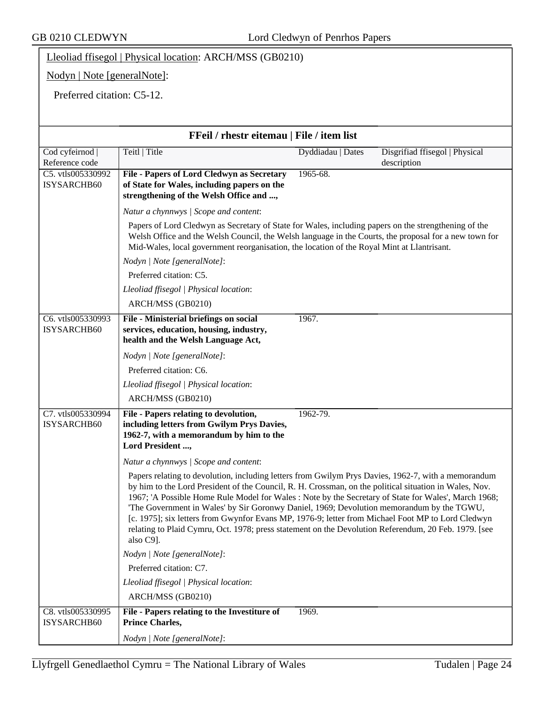Lleoliad ffisegol | Physical location: ARCH/MSS (GB0210)

Nodyn | Note [generalNote]:

Preferred citation: C5-12.

| FFeil / rhestr eitemau   File / item list |                                                                                                                                                                                                                                                                                                                                                                                                                                                                                                                                                                                                                                             |  |  |
|-------------------------------------------|---------------------------------------------------------------------------------------------------------------------------------------------------------------------------------------------------------------------------------------------------------------------------------------------------------------------------------------------------------------------------------------------------------------------------------------------------------------------------------------------------------------------------------------------------------------------------------------------------------------------------------------------|--|--|
| Cod cyfeirnod  <br>Reference code         | Teitl   Title<br>Dyddiadau   Dates<br>Disgrifiad ffisegol   Physical<br>description                                                                                                                                                                                                                                                                                                                                                                                                                                                                                                                                                         |  |  |
| C5. vtls005330992<br>ISYSARCHB60          | File - Papers of Lord Cledwyn as Secretary<br>1965-68.<br>of State for Wales, including papers on the<br>strengthening of the Welsh Office and ,                                                                                                                                                                                                                                                                                                                                                                                                                                                                                            |  |  |
|                                           | Natur a chynnwys / Scope and content:                                                                                                                                                                                                                                                                                                                                                                                                                                                                                                                                                                                                       |  |  |
|                                           | Papers of Lord Cledwyn as Secretary of State for Wales, including papers on the strengthening of the<br>Welsh Office and the Welsh Council, the Welsh language in the Courts, the proposal for a new town for<br>Mid-Wales, local government reorganisation, the location of the Royal Mint at Llantrisant.                                                                                                                                                                                                                                                                                                                                 |  |  |
|                                           | Nodyn   Note [generalNote]:                                                                                                                                                                                                                                                                                                                                                                                                                                                                                                                                                                                                                 |  |  |
|                                           | Preferred citation: C5.                                                                                                                                                                                                                                                                                                                                                                                                                                                                                                                                                                                                                     |  |  |
|                                           | Lleoliad ffisegol   Physical location:                                                                                                                                                                                                                                                                                                                                                                                                                                                                                                                                                                                                      |  |  |
|                                           | ARCH/MSS (GB0210)                                                                                                                                                                                                                                                                                                                                                                                                                                                                                                                                                                                                                           |  |  |
| C6. vtls005330993<br>ISYSARCHB60          | 1967.<br>File - Ministerial briefings on social<br>services, education, housing, industry,<br>health and the Welsh Language Act,                                                                                                                                                                                                                                                                                                                                                                                                                                                                                                            |  |  |
|                                           | Nodyn   Note [generalNote]:                                                                                                                                                                                                                                                                                                                                                                                                                                                                                                                                                                                                                 |  |  |
|                                           | Preferred citation: C6.                                                                                                                                                                                                                                                                                                                                                                                                                                                                                                                                                                                                                     |  |  |
|                                           | Lleoliad ffisegol   Physical location:                                                                                                                                                                                                                                                                                                                                                                                                                                                                                                                                                                                                      |  |  |
|                                           | ARCH/MSS (GB0210)                                                                                                                                                                                                                                                                                                                                                                                                                                                                                                                                                                                                                           |  |  |
| C7. vtls005330994<br>ISYSARCHB60          | 1962-79.<br>File - Papers relating to devolution,<br>including letters from Gwilym Prys Davies,<br>1962-7, with a memorandum by him to the<br>Lord President,                                                                                                                                                                                                                                                                                                                                                                                                                                                                               |  |  |
|                                           | Natur a chynnwys / Scope and content:                                                                                                                                                                                                                                                                                                                                                                                                                                                                                                                                                                                                       |  |  |
|                                           | Papers relating to devolution, including letters from Gwilym Prys Davies, 1962-7, with a memorandum<br>by him to the Lord President of the Council, R. H. Crossman, on the political situation in Wales, Nov.<br>1967; 'A Possible Home Rule Model for Wales : Note by the Secretary of State for Wales', March 1968;<br>The Government in Wales' by Sir Goronwy Daniel, 1969; Devolution memorandum by the TGWU,<br>[c. 1975]; six letters from Gwynfor Evans MP, 1976-9; letter from Michael Foot MP to Lord Cledwyn<br>relating to Plaid Cymru, Oct. 1978; press statement on the Devolution Referendum, 20 Feb. 1979. [see<br>also C9]. |  |  |
|                                           | Nodyn   Note [generalNote]:                                                                                                                                                                                                                                                                                                                                                                                                                                                                                                                                                                                                                 |  |  |
|                                           | Preferred citation: C7.                                                                                                                                                                                                                                                                                                                                                                                                                                                                                                                                                                                                                     |  |  |
|                                           | Lleoliad ffisegol   Physical location:                                                                                                                                                                                                                                                                                                                                                                                                                                                                                                                                                                                                      |  |  |
|                                           | ARCH/MSS (GB0210)                                                                                                                                                                                                                                                                                                                                                                                                                                                                                                                                                                                                                           |  |  |
| C8. vtls005330995<br>ISYSARCHB60          | File - Papers relating to the Investiture of<br>1969.<br><b>Prince Charles,</b>                                                                                                                                                                                                                                                                                                                                                                                                                                                                                                                                                             |  |  |
|                                           | Nodyn   Note [generalNote]:                                                                                                                                                                                                                                                                                                                                                                                                                                                                                                                                                                                                                 |  |  |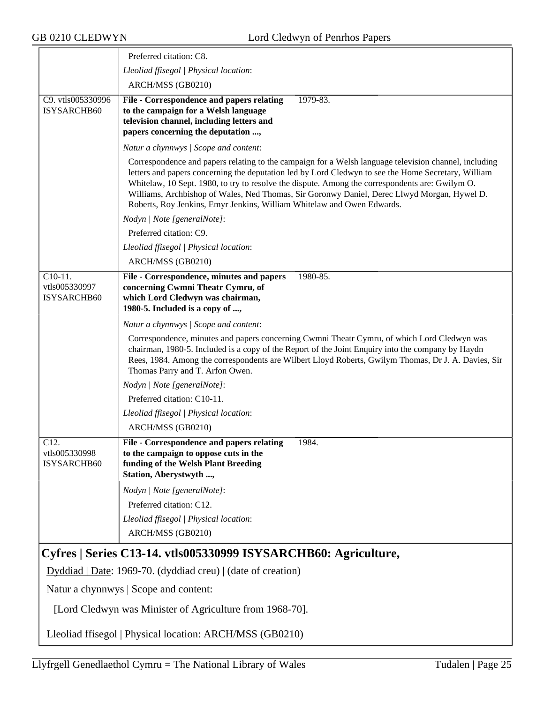|                                                    | Preferred citation: C8.                                                                                                                                                                                                                                                                                                                                                                                                                                                                  |  |
|----------------------------------------------------|------------------------------------------------------------------------------------------------------------------------------------------------------------------------------------------------------------------------------------------------------------------------------------------------------------------------------------------------------------------------------------------------------------------------------------------------------------------------------------------|--|
|                                                    | Lleoliad ffisegol   Physical location:                                                                                                                                                                                                                                                                                                                                                                                                                                                   |  |
|                                                    | ARCH/MSS (GB0210)                                                                                                                                                                                                                                                                                                                                                                                                                                                                        |  |
| C9. vtls005330996<br>ISYSARCHB60                   | 1979-83.<br>File - Correspondence and papers relating<br>to the campaign for a Welsh language<br>television channel, including letters and<br>papers concerning the deputation ,                                                                                                                                                                                                                                                                                                         |  |
|                                                    | Natur a chynnwys / Scope and content:                                                                                                                                                                                                                                                                                                                                                                                                                                                    |  |
|                                                    | Correspondence and papers relating to the campaign for a Welsh language television channel, including<br>letters and papers concerning the deputation led by Lord Cledwyn to see the Home Secretary, William<br>Whitelaw, 10 Sept. 1980, to try to resolve the dispute. Among the correspondents are: Gwilym O.<br>Williams, Archbishop of Wales, Ned Thomas, Sir Goronwy Daniel, Derec Llwyd Morgan, Hywel D.<br>Roberts, Roy Jenkins, Emyr Jenkins, William Whitelaw and Owen Edwards. |  |
|                                                    | Nodyn   Note [generalNote]:                                                                                                                                                                                                                                                                                                                                                                                                                                                              |  |
|                                                    | Preferred citation: C9.                                                                                                                                                                                                                                                                                                                                                                                                                                                                  |  |
|                                                    | Lleoliad ffisegol   Physical location:                                                                                                                                                                                                                                                                                                                                                                                                                                                   |  |
|                                                    | ARCH/MSS (GB0210)                                                                                                                                                                                                                                                                                                                                                                                                                                                                        |  |
| $C10-11.$<br>vtls005330997<br>ISYSARCHB60          | File - Correspondence, minutes and papers<br>1980-85.<br>concerning Cwmni Theatr Cymru, of<br>which Lord Cledwyn was chairman,<br>1980-5. Included is a copy of ,                                                                                                                                                                                                                                                                                                                        |  |
|                                                    | Natur a chynnwys / Scope and content:                                                                                                                                                                                                                                                                                                                                                                                                                                                    |  |
|                                                    | Correspondence, minutes and papers concerning Cwmni Theatr Cymru, of which Lord Cledwyn was<br>chairman, 1980-5. Included is a copy of the Report of the Joint Enquiry into the company by Haydn<br>Rees, 1984. Among the correspondents are Wilbert Lloyd Roberts, Gwilym Thomas, Dr J. A. Davies, Sir<br>Thomas Parry and T. Arfon Owen.                                                                                                                                               |  |
|                                                    | Nodyn   Note [generalNote]:                                                                                                                                                                                                                                                                                                                                                                                                                                                              |  |
|                                                    | Preferred citation: C10-11.                                                                                                                                                                                                                                                                                                                                                                                                                                                              |  |
|                                                    | Lleoliad ffisegol   Physical location:                                                                                                                                                                                                                                                                                                                                                                                                                                                   |  |
|                                                    | ARCH/MSS (GB0210)                                                                                                                                                                                                                                                                                                                                                                                                                                                                        |  |
| $\overline{C12}$ .<br>vtls005330998<br>ISYSARCHB60 | File - Correspondence and papers relating<br>1984.<br>to the campaign to oppose cuts in the<br>funding of the Welsh Plant Breeding<br>Station, Aberystwyth ,                                                                                                                                                                                                                                                                                                                             |  |
|                                                    | Nodyn   Note [generalNote]:                                                                                                                                                                                                                                                                                                                                                                                                                                                              |  |
|                                                    | Preferred citation: C12.                                                                                                                                                                                                                                                                                                                                                                                                                                                                 |  |
|                                                    | Lleoliad ffisegol   Physical location:                                                                                                                                                                                                                                                                                                                                                                                                                                                   |  |
|                                                    | ARCH/MSS (GB0210)                                                                                                                                                                                                                                                                                                                                                                                                                                                                        |  |
|                                                    | Cyfres   Series C13-14. vtls005330999 ISYSARCHB60: Agriculture,                                                                                                                                                                                                                                                                                                                                                                                                                          |  |
|                                                    | $Dyddiad   Date: 1969-70. (dyddiad creu)   (date of creation)$                                                                                                                                                                                                                                                                                                                                                                                                                           |  |
| <u>Natur a chynnwys</u>   Scope and content:       |                                                                                                                                                                                                                                                                                                                                                                                                                                                                                          |  |
|                                                    | [Lord Cledwyn was Minister of Agriculture from 1968-70].                                                                                                                                                                                                                                                                                                                                                                                                                                 |  |

Lleoliad ffisegol | Physical location: ARCH/MSS (GB0210)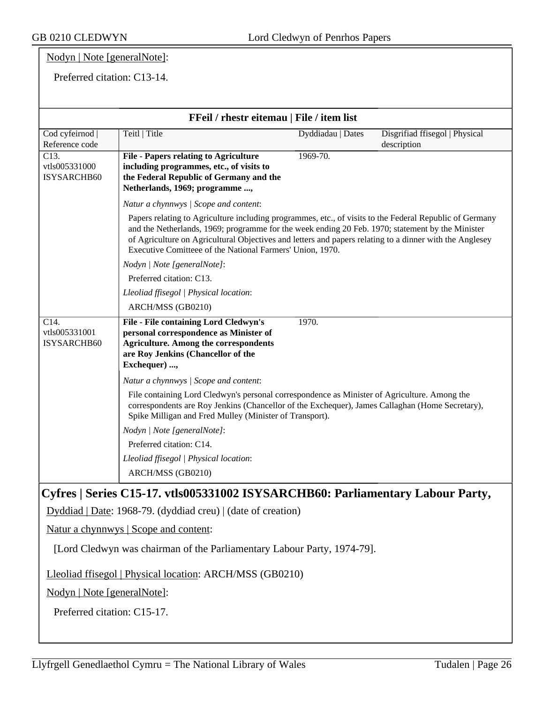#### Nodyn | Note [generalNote]:

Preferred citation: C13-14.

| FFeil / rhestr eitemau   File / item list                                                                                                                                                                                                                  |                                                                                                                                                                                                                                                                                                                                                                                     |                   |                                               |  |  |
|------------------------------------------------------------------------------------------------------------------------------------------------------------------------------------------------------------------------------------------------------------|-------------------------------------------------------------------------------------------------------------------------------------------------------------------------------------------------------------------------------------------------------------------------------------------------------------------------------------------------------------------------------------|-------------------|-----------------------------------------------|--|--|
| Cod cyfeirnod  <br>Reference code                                                                                                                                                                                                                          | Teitl   Title                                                                                                                                                                                                                                                                                                                                                                       | Dyddiadau   Dates | Disgrifiad ffisegol   Physical<br>description |  |  |
| $\overline{C13}$ .<br>vtls005331000<br><b>ISYSARCHB60</b>                                                                                                                                                                                                  | <b>File - Papers relating to Agriculture</b><br>including programmes, etc., of visits to<br>the Federal Republic of Germany and the<br>Netherlands, 1969; programme ,                                                                                                                                                                                                               | 1969-70.          |                                               |  |  |
|                                                                                                                                                                                                                                                            | Natur a chynnwys / Scope and content:                                                                                                                                                                                                                                                                                                                                               |                   |                                               |  |  |
|                                                                                                                                                                                                                                                            | Papers relating to Agriculture including programmes, etc., of visits to the Federal Republic of Germany<br>and the Netherlands, 1969; programme for the week ending 20 Feb. 1970; statement by the Minister<br>of Agriculture on Agricultural Objectives and letters and papers relating to a dinner with the Anglesey<br>Executive Comitteee of the National Farmers' Union, 1970. |                   |                                               |  |  |
|                                                                                                                                                                                                                                                            | Nodyn   Note [generalNote]:                                                                                                                                                                                                                                                                                                                                                         |                   |                                               |  |  |
| Preferred citation: C13.                                                                                                                                                                                                                                   |                                                                                                                                                                                                                                                                                                                                                                                     |                   |                                               |  |  |
|                                                                                                                                                                                                                                                            | Lleoliad ffisegol   Physical location:                                                                                                                                                                                                                                                                                                                                              |                   |                                               |  |  |
| $\overline{C14}$ .                                                                                                                                                                                                                                         | ARCH/MSS (GB0210)                                                                                                                                                                                                                                                                                                                                                                   |                   |                                               |  |  |
| vtls005331001<br>ISYSARCHB60                                                                                                                                                                                                                               | <b>File - File containing Lord Cledwyn's</b><br>1970.<br>personal correspondence as Minister of<br><b>Agriculture. Among the correspondents</b><br>are Roy Jenkins (Chancellor of the<br>Exchequer) ,                                                                                                                                                                               |                   |                                               |  |  |
|                                                                                                                                                                                                                                                            | Natur a chynnwys / Scope and content:                                                                                                                                                                                                                                                                                                                                               |                   |                                               |  |  |
| File containing Lord Cledwyn's personal correspondence as Minister of Agriculture. Among the<br>correspondents are Roy Jenkins (Chancellor of the Exchequer), James Callaghan (Home Secretary),<br>Spike Milligan and Fred Mulley (Minister of Transport). |                                                                                                                                                                                                                                                                                                                                                                                     |                   |                                               |  |  |
|                                                                                                                                                                                                                                                            | Nodyn   Note [generalNote]:                                                                                                                                                                                                                                                                                                                                                         |                   |                                               |  |  |
|                                                                                                                                                                                                                                                            | Preferred citation: C14.                                                                                                                                                                                                                                                                                                                                                            |                   |                                               |  |  |
|                                                                                                                                                                                                                                                            | Lleoliad ffisegol   Physical location:                                                                                                                                                                                                                                                                                                                                              |                   |                                               |  |  |
|                                                                                                                                                                                                                                                            | ARCH/MSS (GB0210)                                                                                                                                                                                                                                                                                                                                                                   |                   |                                               |  |  |
| Cyfres   Series C15-17. vtls005331002 ISYSARCHB60: Parliamentary Labour Party,                                                                                                                                                                             |                                                                                                                                                                                                                                                                                                                                                                                     |                   |                                               |  |  |
|                                                                                                                                                                                                                                                            | Dyddiad   Date: 1968-79. (dyddiad creu)   (date of creation)                                                                                                                                                                                                                                                                                                                        |                   |                                               |  |  |
|                                                                                                                                                                                                                                                            | Natur a chynnwys   Scope and content:                                                                                                                                                                                                                                                                                                                                               |                   |                                               |  |  |
| [Lord Cledwyn was chairman of the Parliamentary Labour Party, 1974-79].                                                                                                                                                                                    |                                                                                                                                                                                                                                                                                                                                                                                     |                   |                                               |  |  |
| Lleoliad ffisegol   Physical location: ARCH/MSS (GB0210)                                                                                                                                                                                                   |                                                                                                                                                                                                                                                                                                                                                                                     |                   |                                               |  |  |

Nodyn | Note [generalNote]:

Preferred citation: C15-17.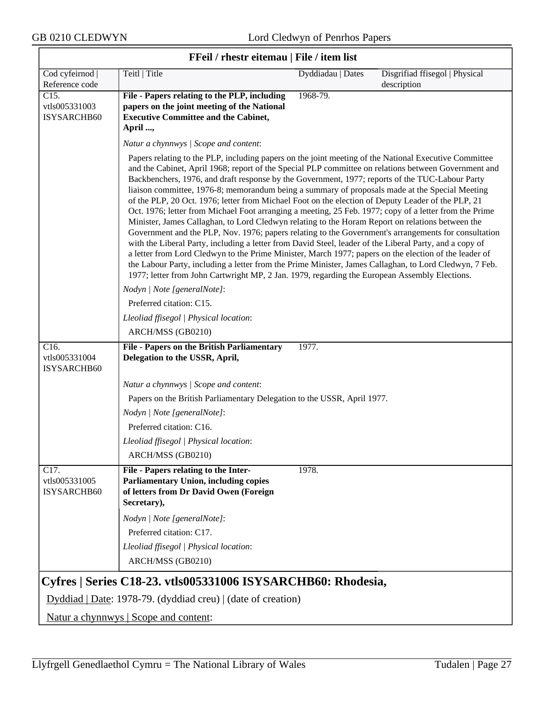$\overline{\mathsf{r}}$ 

|                                                    | <b>FFell</b> / rhestr eitemau   File / item list                                                                                                                                                                                                                                                                                                                                                                                                                                                                                                                                                                                                                                                                                                                                                                                                                                                                                                                                                                                                                                                                                                                                                                                                                              |                   |                                               |
|----------------------------------------------------|-------------------------------------------------------------------------------------------------------------------------------------------------------------------------------------------------------------------------------------------------------------------------------------------------------------------------------------------------------------------------------------------------------------------------------------------------------------------------------------------------------------------------------------------------------------------------------------------------------------------------------------------------------------------------------------------------------------------------------------------------------------------------------------------------------------------------------------------------------------------------------------------------------------------------------------------------------------------------------------------------------------------------------------------------------------------------------------------------------------------------------------------------------------------------------------------------------------------------------------------------------------------------------|-------------------|-----------------------------------------------|
| Cod cyfeirnod  <br>Reference code                  | Teitl   Title                                                                                                                                                                                                                                                                                                                                                                                                                                                                                                                                                                                                                                                                                                                                                                                                                                                                                                                                                                                                                                                                                                                                                                                                                                                                 | Dyddiadau   Dates | Disgrifiad ffisegol   Physical<br>description |
| C <sub>15</sub> .<br>vtls005331003<br>ISYSARCHB60  | File - Papers relating to the PLP, including<br>papers on the joint meeting of the National<br><b>Executive Committee and the Cabinet,</b><br>April ,                                                                                                                                                                                                                                                                                                                                                                                                                                                                                                                                                                                                                                                                                                                                                                                                                                                                                                                                                                                                                                                                                                                         | 1968-79.          |                                               |
|                                                    | Natur a chynnwys / Scope and content:                                                                                                                                                                                                                                                                                                                                                                                                                                                                                                                                                                                                                                                                                                                                                                                                                                                                                                                                                                                                                                                                                                                                                                                                                                         |                   |                                               |
|                                                    | Papers relating to the PLP, including papers on the joint meeting of the National Executive Committee<br>and the Cabinet, April 1968; report of the Special PLP committee on relations between Government and<br>Backbenchers, 1976, and draft response by the Government, 1977; reports of the TUC-Labour Party<br>liaison committee, 1976-8; memorandum being a summary of proposals made at the Special Meeting<br>of the PLP, 20 Oct. 1976; letter from Michael Foot on the election of Deputy Leader of the PLP, 21<br>Oct. 1976; letter from Michael Foot arranging a meeting, 25 Feb. 1977; copy of a letter from the Prime<br>Minister, James Callaghan, to Lord Cledwyn relating to the Horam Report on relations between the<br>Government and the PLP, Nov. 1976; papers relating to the Government's arrangements for consultation<br>with the Liberal Party, including a letter from David Steel, leader of the Liberal Party, and a copy of<br>a letter from Lord Cledwyn to the Prime Minister, March 1977; papers on the election of the leader of<br>the Labour Party, including a letter from the Prime Minister, James Callaghan, to Lord Cledwyn, 7 Feb.<br>1977; letter from John Cartwright MP, 2 Jan. 1979, regarding the European Assembly Elections. |                   |                                               |
|                                                    | Nodyn   Note [generalNote]:                                                                                                                                                                                                                                                                                                                                                                                                                                                                                                                                                                                                                                                                                                                                                                                                                                                                                                                                                                                                                                                                                                                                                                                                                                                   |                   |                                               |
|                                                    | Preferred citation: C15.                                                                                                                                                                                                                                                                                                                                                                                                                                                                                                                                                                                                                                                                                                                                                                                                                                                                                                                                                                                                                                                                                                                                                                                                                                                      |                   |                                               |
|                                                    | Lleoliad ffisegol   Physical location:                                                                                                                                                                                                                                                                                                                                                                                                                                                                                                                                                                                                                                                                                                                                                                                                                                                                                                                                                                                                                                                                                                                                                                                                                                        |                   |                                               |
|                                                    | ARCH/MSS (GB0210)                                                                                                                                                                                                                                                                                                                                                                                                                                                                                                                                                                                                                                                                                                                                                                                                                                                                                                                                                                                                                                                                                                                                                                                                                                                             |                   |                                               |
| C16.<br>vtls005331004<br>ISYSARCHB60               | File - Papers on the British Parliamentary<br>Delegation to the USSR, April,                                                                                                                                                                                                                                                                                                                                                                                                                                                                                                                                                                                                                                                                                                                                                                                                                                                                                                                                                                                                                                                                                                                                                                                                  | 1977.             |                                               |
|                                                    | Natur a chynnwys / Scope and content:                                                                                                                                                                                                                                                                                                                                                                                                                                                                                                                                                                                                                                                                                                                                                                                                                                                                                                                                                                                                                                                                                                                                                                                                                                         |                   |                                               |
|                                                    | Papers on the British Parliamentary Delegation to the USSR, April 1977.                                                                                                                                                                                                                                                                                                                                                                                                                                                                                                                                                                                                                                                                                                                                                                                                                                                                                                                                                                                                                                                                                                                                                                                                       |                   |                                               |
|                                                    | Nodyn   Note [generalNote]:                                                                                                                                                                                                                                                                                                                                                                                                                                                                                                                                                                                                                                                                                                                                                                                                                                                                                                                                                                                                                                                                                                                                                                                                                                                   |                   |                                               |
|                                                    | Preferred citation: C16.                                                                                                                                                                                                                                                                                                                                                                                                                                                                                                                                                                                                                                                                                                                                                                                                                                                                                                                                                                                                                                                                                                                                                                                                                                                      |                   |                                               |
|                                                    | Lleoliad ffisegol   Physical location:                                                                                                                                                                                                                                                                                                                                                                                                                                                                                                                                                                                                                                                                                                                                                                                                                                                                                                                                                                                                                                                                                                                                                                                                                                        |                   |                                               |
|                                                    | ARCH/MSS (GB0210)                                                                                                                                                                                                                                                                                                                                                                                                                                                                                                                                                                                                                                                                                                                                                                                                                                                                                                                                                                                                                                                                                                                                                                                                                                                             |                   |                                               |
| $\overline{C17}$ .<br>vtls005331005<br>ISYSARCHB60 | File - Papers relating to the Inter-<br><b>Parliamentary Union, including copies</b><br>of letters from Dr David Owen (Foreign<br>Secretary),                                                                                                                                                                                                                                                                                                                                                                                                                                                                                                                                                                                                                                                                                                                                                                                                                                                                                                                                                                                                                                                                                                                                 | 1978.             |                                               |
|                                                    | Nodyn   Note [generalNote]:                                                                                                                                                                                                                                                                                                                                                                                                                                                                                                                                                                                                                                                                                                                                                                                                                                                                                                                                                                                                                                                                                                                                                                                                                                                   |                   |                                               |
|                                                    | Preferred citation: C17.                                                                                                                                                                                                                                                                                                                                                                                                                                                                                                                                                                                                                                                                                                                                                                                                                                                                                                                                                                                                                                                                                                                                                                                                                                                      |                   |                                               |
|                                                    | Lleoliad ffisegol   Physical location:                                                                                                                                                                                                                                                                                                                                                                                                                                                                                                                                                                                                                                                                                                                                                                                                                                                                                                                                                                                                                                                                                                                                                                                                                                        |                   |                                               |
|                                                    | ARCH/MSS (GB0210)                                                                                                                                                                                                                                                                                                                                                                                                                                                                                                                                                                                                                                                                                                                                                                                                                                                                                                                                                                                                                                                                                                                                                                                                                                                             |                   |                                               |
|                                                    | Cyfres   Series C18-23. vtls005331006 ISYSARCHB60: Rhodesia,                                                                                                                                                                                                                                                                                                                                                                                                                                                                                                                                                                                                                                                                                                                                                                                                                                                                                                                                                                                                                                                                                                                                                                                                                  |                   |                                               |
|                                                    | Dyddiad   Date: 1978-79. (dyddiad creu)   (date of creation)                                                                                                                                                                                                                                                                                                                                                                                                                                                                                                                                                                                                                                                                                                                                                                                                                                                                                                                                                                                                                                                                                                                                                                                                                  |                   |                                               |

## **FFeil / rhestr eitemau | File / item list**

Natur a chynnwys | Scope and content: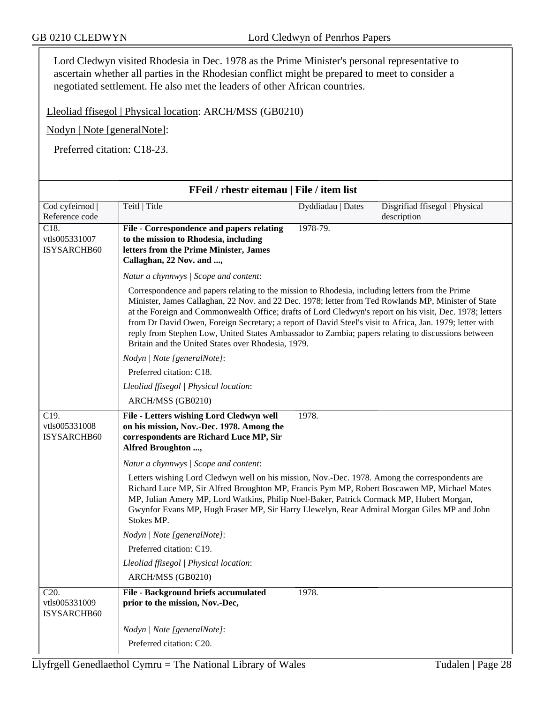Lord Cledwyn visited Rhodesia in Dec. 1978 as the Prime Minister's personal representative to ascertain whether all parties in the Rhodesian conflict might be prepared to meet to consider a negotiated settlement. He also met the leaders of other African countries.

Lleoliad ffisegol | Physical location: ARCH/MSS (GB0210)

Nodyn | Note [generalNote]:

Preferred citation: C18-23.

| FFeil / rhestr eitemau   File / item list          |                                                                                                                                                                                                                                                                                                                                                                                                                                                                                                                                                                                            |                   |                                               |
|----------------------------------------------------|--------------------------------------------------------------------------------------------------------------------------------------------------------------------------------------------------------------------------------------------------------------------------------------------------------------------------------------------------------------------------------------------------------------------------------------------------------------------------------------------------------------------------------------------------------------------------------------------|-------------------|-----------------------------------------------|
| Cod cyfeirnod  <br>Reference code                  | Teitl   Title                                                                                                                                                                                                                                                                                                                                                                                                                                                                                                                                                                              | Dyddiadau   Dates | Disgrifiad ffisegol   Physical<br>description |
| $\overline{C18}$ .<br>vtls005331007<br>ISYSARCHB60 | File - Correspondence and papers relating<br>to the mission to Rhodesia, including<br>letters from the Prime Minister, James<br>Callaghan, 22 Nov. and ,                                                                                                                                                                                                                                                                                                                                                                                                                                   | 1978-79.          |                                               |
|                                                    | Natur a chynnwys / Scope and content:                                                                                                                                                                                                                                                                                                                                                                                                                                                                                                                                                      |                   |                                               |
|                                                    | Correspondence and papers relating to the mission to Rhodesia, including letters from the Prime<br>Minister, James Callaghan, 22 Nov. and 22 Dec. 1978; letter from Ted Rowlands MP, Minister of State<br>at the Foreign and Commonwealth Office; drafts of Lord Cledwyn's report on his visit, Dec. 1978; letters<br>from Dr David Owen, Foreign Secretary; a report of David Steel's visit to Africa, Jan. 1979; letter with<br>reply from Stephen Low, United States Ambassador to Zambia; papers relating to discussions between<br>Britain and the United States over Rhodesia, 1979. |                   |                                               |
|                                                    | Nodyn   Note [generalNote]:                                                                                                                                                                                                                                                                                                                                                                                                                                                                                                                                                                |                   |                                               |
|                                                    | Preferred citation: C18.                                                                                                                                                                                                                                                                                                                                                                                                                                                                                                                                                                   |                   |                                               |
|                                                    | Lleoliad ffisegol   Physical location:                                                                                                                                                                                                                                                                                                                                                                                                                                                                                                                                                     |                   |                                               |
|                                                    | ARCH/MSS (GB0210)                                                                                                                                                                                                                                                                                                                                                                                                                                                                                                                                                                          |                   |                                               |
| C19.<br>vtls005331008<br><b>ISYSARCHB60</b>        | File - Letters wishing Lord Cledwyn well<br>on his mission, Nov.-Dec. 1978. Among the<br>correspondents are Richard Luce MP, Sir<br>Alfred Broughton ,                                                                                                                                                                                                                                                                                                                                                                                                                                     | 1978.             |                                               |
|                                                    | Natur a chynnwys / Scope and content:                                                                                                                                                                                                                                                                                                                                                                                                                                                                                                                                                      |                   |                                               |
|                                                    | Letters wishing Lord Cledwyn well on his mission, Nov.-Dec. 1978. Among the correspondents are<br>Richard Luce MP, Sir Alfred Broughton MP, Francis Pym MP, Robert Boscawen MP, Michael Mates<br>MP, Julian Amery MP, Lord Watkins, Philip Noel-Baker, Patrick Cormack MP, Hubert Morgan,<br>Gwynfor Evans MP, Hugh Fraser MP, Sir Harry Llewelyn, Rear Admiral Morgan Giles MP and John<br>Stokes MP.                                                                                                                                                                                     |                   |                                               |
|                                                    | Nodyn   Note [generalNote]:                                                                                                                                                                                                                                                                                                                                                                                                                                                                                                                                                                |                   |                                               |
|                                                    | Preferred citation: C19.                                                                                                                                                                                                                                                                                                                                                                                                                                                                                                                                                                   |                   |                                               |
|                                                    | Lleoliad ffisegol   Physical location:                                                                                                                                                                                                                                                                                                                                                                                                                                                                                                                                                     |                   |                                               |
|                                                    | ARCH/MSS (GB0210)                                                                                                                                                                                                                                                                                                                                                                                                                                                                                                                                                                          |                   |                                               |
| C <sub>20</sub> .<br>vtls005331009<br>ISYSARCHB60  | File - Background briefs accumulated<br>prior to the mission, Nov.-Dec,                                                                                                                                                                                                                                                                                                                                                                                                                                                                                                                    | 1978.             |                                               |
|                                                    | Nodyn   Note [generalNote]:                                                                                                                                                                                                                                                                                                                                                                                                                                                                                                                                                                |                   |                                               |
|                                                    | Preferred citation: C20.                                                                                                                                                                                                                                                                                                                                                                                                                                                                                                                                                                   |                   |                                               |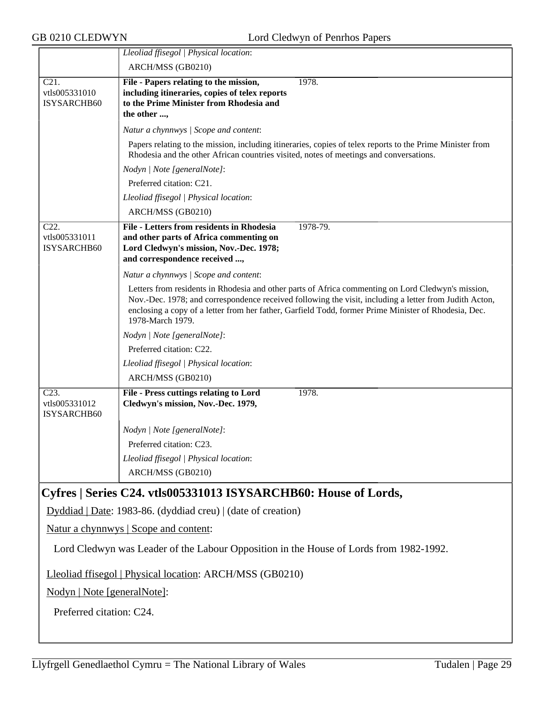|                                         | Lleoliad ffisegol   Physical location:                                                                                                                                                                                                                                                                                                   |
|-----------------------------------------|------------------------------------------------------------------------------------------------------------------------------------------------------------------------------------------------------------------------------------------------------------------------------------------------------------------------------------------|
|                                         | ARCH/MSS (GB0210)                                                                                                                                                                                                                                                                                                                        |
| C21.                                    | File - Papers relating to the mission,<br>1978.                                                                                                                                                                                                                                                                                          |
| vtls005331010                           | including itineraries, copies of telex reports                                                                                                                                                                                                                                                                                           |
| ISYSARCHB60                             | to the Prime Minister from Rhodesia and                                                                                                                                                                                                                                                                                                  |
|                                         | the other ,                                                                                                                                                                                                                                                                                                                              |
|                                         | Natur a chynnwys / Scope and content:                                                                                                                                                                                                                                                                                                    |
|                                         | Papers relating to the mission, including itineraries, copies of telex reports to the Prime Minister from<br>Rhodesia and the other African countries visited, notes of meetings and conversations.                                                                                                                                      |
|                                         | Nodyn   Note [generalNote]:                                                                                                                                                                                                                                                                                                              |
|                                         | Preferred citation: C21.                                                                                                                                                                                                                                                                                                                 |
|                                         | Lleoliad ffisegol   Physical location:                                                                                                                                                                                                                                                                                                   |
|                                         | ARCH/MSS (GB0210)                                                                                                                                                                                                                                                                                                                        |
| C22.                                    | File - Letters from residents in Rhodesia<br>1978-79.                                                                                                                                                                                                                                                                                    |
| vtls005331011                           | and other parts of Africa commenting on                                                                                                                                                                                                                                                                                                  |
| ISYSARCHB60                             | Lord Cledwyn's mission, Nov.-Dec. 1978;                                                                                                                                                                                                                                                                                                  |
|                                         | and correspondence received ,                                                                                                                                                                                                                                                                                                            |
|                                         | Natur a chynnwys / Scope and content:                                                                                                                                                                                                                                                                                                    |
|                                         | Letters from residents in Rhodesia and other parts of Africa commenting on Lord Cledwyn's mission,<br>Nov.-Dec. 1978; and correspondence received following the visit, including a letter from Judith Acton,<br>enclosing a copy of a letter from her father, Garfield Todd, former Prime Minister of Rhodesia, Dec.<br>1978-March 1979. |
|                                         | Nodyn   Note [generalNote]:                                                                                                                                                                                                                                                                                                              |
|                                         | Preferred citation: C22.                                                                                                                                                                                                                                                                                                                 |
|                                         | Lleoliad ffisegol   Physical location:                                                                                                                                                                                                                                                                                                   |
|                                         | ARCH/MSS (GB0210)                                                                                                                                                                                                                                                                                                                        |
| $C23$ .<br>vtls005331012<br>ISYSARCHB60 | File - Press cuttings relating to Lord<br>1978.<br>Cledwyn's mission, Nov.-Dec. 1979,                                                                                                                                                                                                                                                    |
|                                         | Nodyn   Note [generalNote]:                                                                                                                                                                                                                                                                                                              |
|                                         | Preferred citation: C23                                                                                                                                                                                                                                                                                                                  |
|                                         | Lleoliad ffisegol   Physical location:                                                                                                                                                                                                                                                                                                   |
|                                         | ARCH/MSS (GB0210)                                                                                                                                                                                                                                                                                                                        |
|                                         |                                                                                                                                                                                                                                                                                                                                          |
|                                         | Cyfres   Series C24. vtls005331013 ISYSARCHB60: House of Lords,                                                                                                                                                                                                                                                                          |
|                                         | Dyddiad   Date: 1983-86. (dyddiad creu)   (date of creation)                                                                                                                                                                                                                                                                             |
|                                         | Natur a chynnwys   Scope and content:                                                                                                                                                                                                                                                                                                    |
|                                         | Lord Cledwyn was Leader of the Labour Opposition in the House of Lords from 1982-1992.                                                                                                                                                                                                                                                   |
|                                         | Lleoliad ffisegol   Physical location: ARCH/MSS (GB0210)                                                                                                                                                                                                                                                                                 |
| $Nodyn \perp N$ ote $[generalNots]$     |                                                                                                                                                                                                                                                                                                                                          |

Nodyn | Note [generalNote]:

Preferred citation: C24.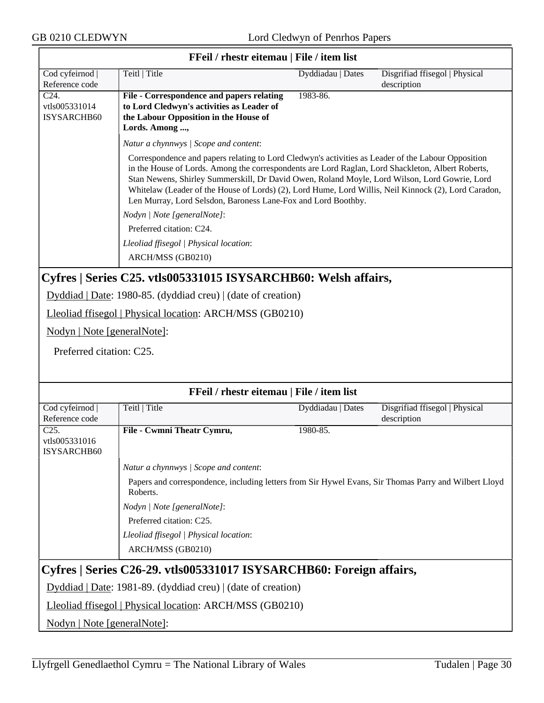$\overline{\phantom{0}}$ 

| FFeil / rhestr eitemau   File / item list |                                                                                                                                                                                                                                                                                                                                                                                                                                                                                   |                   |                                               |  |  |
|-------------------------------------------|-----------------------------------------------------------------------------------------------------------------------------------------------------------------------------------------------------------------------------------------------------------------------------------------------------------------------------------------------------------------------------------------------------------------------------------------------------------------------------------|-------------------|-----------------------------------------------|--|--|
| Cod cyfeirnod<br>Reference code           | Teitl   Title                                                                                                                                                                                                                                                                                                                                                                                                                                                                     | Dyddiadau   Dates | Disgrifiad ffisegol   Physical<br>description |  |  |
| C <sub>24</sub> .                         | File - Correspondence and papers relating                                                                                                                                                                                                                                                                                                                                                                                                                                         | 1983-86.          |                                               |  |  |
| vtls005331014                             | to Lord Cledwyn's activities as Leader of                                                                                                                                                                                                                                                                                                                                                                                                                                         |                   |                                               |  |  |
| ISYSARCHB60                               | the Labour Opposition in the House of                                                                                                                                                                                                                                                                                                                                                                                                                                             |                   |                                               |  |  |
|                                           | Lords. Among ,                                                                                                                                                                                                                                                                                                                                                                                                                                                                    |                   |                                               |  |  |
|                                           | Natur a chynnwys / Scope and content:                                                                                                                                                                                                                                                                                                                                                                                                                                             |                   |                                               |  |  |
|                                           | Correspondence and papers relating to Lord Cledwyn's activities as Leader of the Labour Opposition<br>in the House of Lords. Among the correspondents are Lord Raglan, Lord Shackleton, Albert Roberts,<br>Stan Newens, Shirley Summerskill, Dr David Owen, Roland Moyle, Lord Wilson, Lord Gowrie, Lord<br>Whitelaw (Leader of the House of Lords) (2), Lord Hume, Lord Willis, Neil Kinnock (2), Lord Caradon,<br>Len Murray, Lord Selsdon, Baroness Lane-Fox and Lord Boothby. |                   |                                               |  |  |
|                                           | Nodyn   Note [generalNote]:                                                                                                                                                                                                                                                                                                                                                                                                                                                       |                   |                                               |  |  |
|                                           | Preferred citation: C24.                                                                                                                                                                                                                                                                                                                                                                                                                                                          |                   |                                               |  |  |
|                                           | Lleoliad ffisegol   Physical location:                                                                                                                                                                                                                                                                                                                                                                                                                                            |                   |                                               |  |  |
|                                           | ARCH/MSS (GB0210)                                                                                                                                                                                                                                                                                                                                                                                                                                                                 |                   |                                               |  |  |
|                                           | Cyfres   Series C25. vtls005331015 ISYSARCHB60: Welsh affairs,                                                                                                                                                                                                                                                                                                                                                                                                                    |                   |                                               |  |  |
|                                           | Dyddiad   Date: 1980-85. (dyddiad creu)   (date of creation)                                                                                                                                                                                                                                                                                                                                                                                                                      |                   |                                               |  |  |
|                                           | Lleoliad ffisegol   Physical location: ARCH/MSS (GB0210)                                                                                                                                                                                                                                                                                                                                                                                                                          |                   |                                               |  |  |
| Nodyn   Note [generalNote]:               |                                                                                                                                                                                                                                                                                                                                                                                                                                                                                   |                   |                                               |  |  |
| Preferred citation: C25.                  |                                                                                                                                                                                                                                                                                                                                                                                                                                                                                   |                   |                                               |  |  |
|                                           |                                                                                                                                                                                                                                                                                                                                                                                                                                                                                   |                   |                                               |  |  |
|                                           |                                                                                                                                                                                                                                                                                                                                                                                                                                                                                   |                   |                                               |  |  |
|                                           | FFeil / rhestr eitemau   File / item list                                                                                                                                                                                                                                                                                                                                                                                                                                         |                   |                                               |  |  |
| Cod cyfeirnod                             | Teitl   Title                                                                                                                                                                                                                                                                                                                                                                                                                                                                     | Dyddiadau   Dates | Disgrifiad ffisegol   Physical                |  |  |
| Reference code<br>$C25$ .                 |                                                                                                                                                                                                                                                                                                                                                                                                                                                                                   |                   | description                                   |  |  |
| vtls005331016<br><b>ISYSARCHB60</b>       | File - Cwmni Theatr Cymru,                                                                                                                                                                                                                                                                                                                                                                                                                                                        | 1980-85.          |                                               |  |  |
|                                           |                                                                                                                                                                                                                                                                                                                                                                                                                                                                                   |                   |                                               |  |  |
|                                           | Natur a chynnwys / Scope and content:                                                                                                                                                                                                                                                                                                                                                                                                                                             |                   |                                               |  |  |
|                                           | Papers and correspondence, including letters from Sir Hywel Evans, Sir Thomas Parry and Wilbert Lloyd<br>Roberts.                                                                                                                                                                                                                                                                                                                                                                 |                   |                                               |  |  |
|                                           | Nodyn   Note [generalNote]:                                                                                                                                                                                                                                                                                                                                                                                                                                                       |                   |                                               |  |  |
|                                           | Preferred citation: C25.                                                                                                                                                                                                                                                                                                                                                                                                                                                          |                   |                                               |  |  |
|                                           | Lleoliad ffisegol   Physical location:                                                                                                                                                                                                                                                                                                                                                                                                                                            |                   |                                               |  |  |
|                                           | ARCH/MSS (GB0210)                                                                                                                                                                                                                                                                                                                                                                                                                                                                 |                   |                                               |  |  |
|                                           | Cyfres   Series C26-29. vtls005331017 ISYSARCHB60: Foreign affairs,                                                                                                                                                                                                                                                                                                                                                                                                               |                   |                                               |  |  |
|                                           | Dyddiad   Date: 1981-89. (dyddiad creu)   (date of creation)                                                                                                                                                                                                                                                                                                                                                                                                                      |                   |                                               |  |  |
|                                           | Lleoliad ffisegol   Physical location: ARCH/MSS (GB0210)                                                                                                                                                                                                                                                                                                                                                                                                                          |                   |                                               |  |  |
| Nodyn   Note [generalNote]:               |                                                                                                                                                                                                                                                                                                                                                                                                                                                                                   |                   |                                               |  |  |

#### **FFeil / rhestr eitemau | File / item list**

٦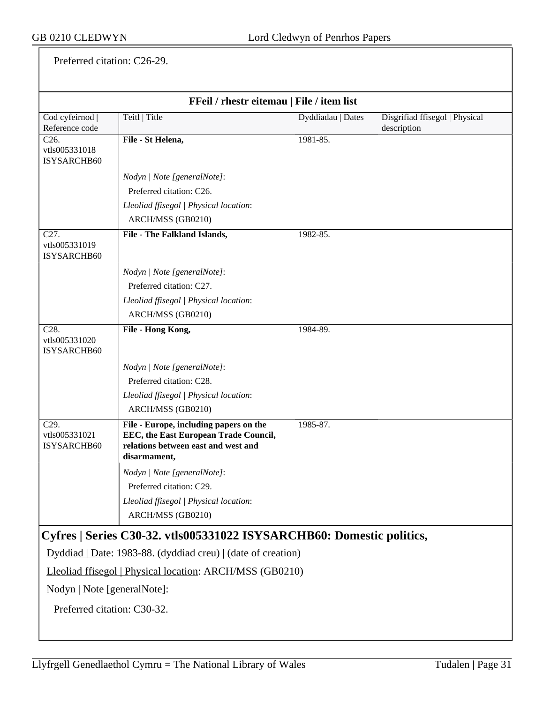Preferred citation: C26-29.

| FFeil / rhestr eitemau   File / item list         |                                                                                                                                        |                   |                                |
|---------------------------------------------------|----------------------------------------------------------------------------------------------------------------------------------------|-------------------|--------------------------------|
| Cod cyfeirnod                                     | Teitl   Title                                                                                                                          | Dyddiadau   Dates | Disgrifiad ffisegol   Physical |
| Reference code                                    |                                                                                                                                        |                   | description                    |
| C26.<br>vtls005331018<br>ISYSARCHB60              | File - St Helena,                                                                                                                      | 1981-85.          |                                |
|                                                   | Nodyn   Note [generalNote]:                                                                                                            |                   |                                |
|                                                   | Preferred citation: C26.                                                                                                               |                   |                                |
|                                                   | Lleoliad ffisegol   Physical location:                                                                                                 |                   |                                |
|                                                   | ARCH/MSS (GB0210)                                                                                                                      |                   |                                |
| C <sub>27</sub> .<br>vtls005331019<br>ISYSARCHB60 | File - The Falkland Islands,                                                                                                           | 1982-85.          |                                |
|                                                   | Nodyn   Note [generalNote]:                                                                                                            |                   |                                |
|                                                   | Preferred citation: C27.                                                                                                               |                   |                                |
|                                                   | Lleoliad ffisegol   Physical location:                                                                                                 |                   |                                |
|                                                   | ARCH/MSS (GB0210)                                                                                                                      |                   |                                |
| C <sub>28</sub> .<br>vtls005331020<br>ISYSARCHB60 | File - Hong Kong,                                                                                                                      | 1984-89.          |                                |
|                                                   | Nodyn   Note [generalNote]:                                                                                                            |                   |                                |
|                                                   | Preferred citation: C28.                                                                                                               |                   |                                |
|                                                   | Lleoliad ffisegol   Physical location:                                                                                                 |                   |                                |
|                                                   | ARCH/MSS (GB0210)                                                                                                                      |                   |                                |
| C <sub>29</sub> .<br>vtls005331021<br>ISYSARCHB60 | File - Europe, including papers on the<br>EEC, the East European Trade Council,<br>relations between east and west and<br>disarmament, | 1985-87.          |                                |
|                                                   | Nodyn   Note [generalNote]:                                                                                                            |                   |                                |
|                                                   | Preferred citation: C29.                                                                                                               |                   |                                |
|                                                   | Lleoliad ffisegol   Physical location:                                                                                                 |                   |                                |
|                                                   | ARCH/MSS (GB0210)                                                                                                                      |                   |                                |
|                                                   | Cyfres   Series C30-32. vtls005331022 ISYSARCHB60: Domestic politics,                                                                  |                   |                                |
|                                                   | Dyddiad   Date: 1983-88. (dyddiad creu)   (date of creation)                                                                           |                   |                                |
|                                                   | Lleoliad ffisegol   Physical location: ARCH/MSS (GB0210)                                                                               |                   |                                |
| Nodyn   Note [generalNote]:                       |                                                                                                                                        |                   |                                |
| Preferred citation: C30-32.                       |                                                                                                                                        |                   |                                |
|                                                   |                                                                                                                                        |                   |                                |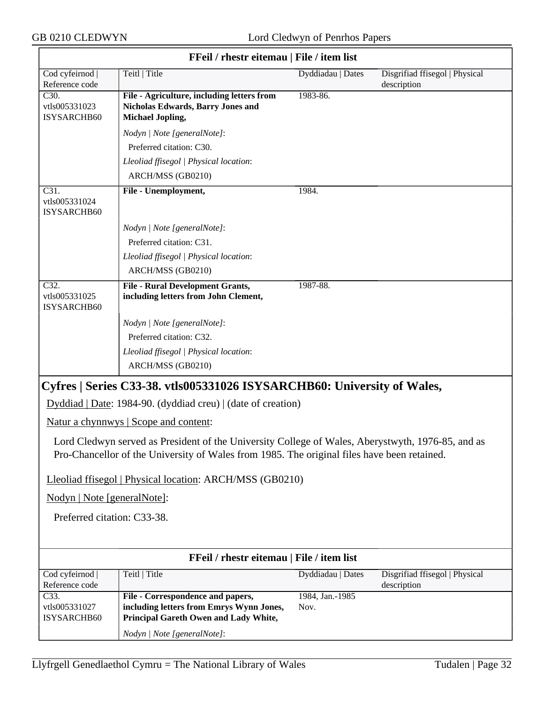|                                                   | FFeil / rhestr eitemau   File / item list                                                                                                                                                        |                         |                                               |
|---------------------------------------------------|--------------------------------------------------------------------------------------------------------------------------------------------------------------------------------------------------|-------------------------|-----------------------------------------------|
| Cod cyfeirnod  <br>Reference code                 | Teitl   Title                                                                                                                                                                                    | Dyddiadau   Dates       | Disgrifiad ffisegol   Physical<br>description |
| C <sub>30</sub> .<br>vtls005331023<br>ISYSARCHB60 | File - Agriculture, including letters from<br><b>Nicholas Edwards, Barry Jones and</b><br><b>Michael Jopling,</b>                                                                                | 1983-86.                |                                               |
|                                                   | Nodyn   Note [generalNote]:                                                                                                                                                                      |                         |                                               |
|                                                   | Preferred citation: C30.                                                                                                                                                                         |                         |                                               |
|                                                   | Lleoliad ffisegol   Physical location:                                                                                                                                                           |                         |                                               |
|                                                   | ARCH/MSS (GB0210)                                                                                                                                                                                |                         |                                               |
| C31.<br>vtls005331024<br>ISYSARCHB60              | File - Unemployment,                                                                                                                                                                             | 1984.                   |                                               |
|                                                   | Nodyn   Note [generalNote]:                                                                                                                                                                      |                         |                                               |
|                                                   | Preferred citation: C31.                                                                                                                                                                         |                         |                                               |
|                                                   | Lleoliad ffisegol   Physical location:                                                                                                                                                           |                         |                                               |
|                                                   | ARCH/MSS (GB0210)                                                                                                                                                                                |                         |                                               |
| C32.<br>vtls005331025<br>ISYSARCHB60              | <b>File - Rural Development Grants,</b><br>including letters from John Clement,                                                                                                                  | 1987-88.                |                                               |
|                                                   | Nodyn   Note [generalNote]:                                                                                                                                                                      |                         |                                               |
|                                                   | Preferred citation: C32.                                                                                                                                                                         |                         |                                               |
|                                                   | Lleoliad ffisegol   Physical location:                                                                                                                                                           |                         |                                               |
|                                                   | ARCH/MSS (GB0210)                                                                                                                                                                                |                         |                                               |
|                                                   | Cyfres   Series C33-38. vtls005331026 ISYSARCHB60: University of Wales,                                                                                                                          |                         |                                               |
|                                                   | Dyddiad   Date: 1984-90. (dyddiad creu)   (date of creation)                                                                                                                                     |                         |                                               |
|                                                   | Natur a chynnwys   Scope and content:                                                                                                                                                            |                         |                                               |
|                                                   | Lord Cledwyn served as President of the University College of Wales, Aberystwyth, 1976-85, and as<br>Pro-Chancellor of the University of Wales from 1985. The original files have been retained. |                         |                                               |
|                                                   | Lleoliad ffisegol   Physical location: ARCH/MSS (GB0210)                                                                                                                                         |                         |                                               |
| Nodyn   Note [generalNote]:                       |                                                                                                                                                                                                  |                         |                                               |
| Preferred citation: C33-38.                       |                                                                                                                                                                                                  |                         |                                               |
|                                                   | FFeil / rhestr eitemau   File / item list                                                                                                                                                        |                         |                                               |
| Cod cyfeirnod  <br>Reference code                 | Teitl   Title                                                                                                                                                                                    | Dyddiadau   Dates       | Disgrifiad ffisegol   Physical<br>description |
| C33.<br>vtls005331027<br>ISYSARCHB60              | File - Correspondence and papers,<br>including letters from Emrys Wynn Jones,<br>Principal Gareth Owen and Lady White,                                                                           | 1984, Jan.-1985<br>Nov. |                                               |
|                                                   | Nodyn   Note [generalNote]:                                                                                                                                                                      |                         |                                               |

# Llyfrgell Genedlaethol Cymru = The National Library of Wales Tudalen | Page 32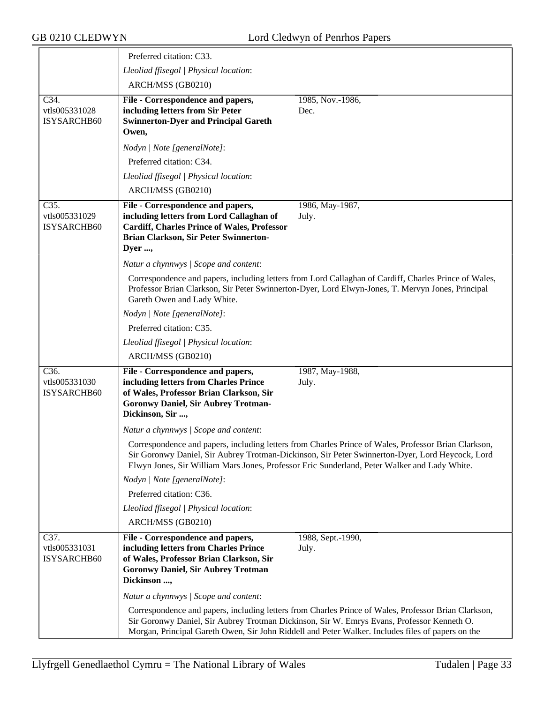|                                      | Preferred citation: C33.                                                                                                                                                                |                                                                                                                                                                                                                                                                                                         |
|--------------------------------------|-----------------------------------------------------------------------------------------------------------------------------------------------------------------------------------------|---------------------------------------------------------------------------------------------------------------------------------------------------------------------------------------------------------------------------------------------------------------------------------------------------------|
|                                      | Lleoliad ffisegol   Physical location:                                                                                                                                                  |                                                                                                                                                                                                                                                                                                         |
|                                      | ARCH/MSS (GB0210)                                                                                                                                                                       |                                                                                                                                                                                                                                                                                                         |
| C34.<br>vtls005331028<br>ISYSARCHB60 | File - Correspondence and papers,<br>including letters from Sir Peter<br><b>Swinnerton-Dyer and Principal Gareth</b><br>Owen,                                                           | 1985, Nov.-1986,<br>Dec.                                                                                                                                                                                                                                                                                |
|                                      | Nodyn   Note [generalNote]:                                                                                                                                                             |                                                                                                                                                                                                                                                                                                         |
|                                      | Preferred citation: C34.                                                                                                                                                                |                                                                                                                                                                                                                                                                                                         |
|                                      | Lleoliad ffisegol   Physical location:                                                                                                                                                  |                                                                                                                                                                                                                                                                                                         |
|                                      | ARCH/MSS (GB0210)                                                                                                                                                                       |                                                                                                                                                                                                                                                                                                         |
| C35.<br>vtls005331029<br>ISYSARCHB60 | File - Correspondence and papers,<br>including letters from Lord Callaghan of<br><b>Cardiff, Charles Prince of Wales, Professor</b><br>Brian Clarkson, Sir Peter Swinnerton-<br>Dyer ,  | 1986, May-1987,<br>July.                                                                                                                                                                                                                                                                                |
|                                      | Natur a chynnwys / Scope and content:                                                                                                                                                   |                                                                                                                                                                                                                                                                                                         |
|                                      | Gareth Owen and Lady White.                                                                                                                                                             | Correspondence and papers, including letters from Lord Callaghan of Cardiff, Charles Prince of Wales,<br>Professor Brian Clarkson, Sir Peter Swinnerton-Dyer, Lord Elwyn-Jones, T. Mervyn Jones, Principal                                                                                              |
|                                      | Nodyn   Note [generalNote]:                                                                                                                                                             |                                                                                                                                                                                                                                                                                                         |
|                                      | Preferred citation: C35.                                                                                                                                                                |                                                                                                                                                                                                                                                                                                         |
|                                      | Lleoliad ffisegol   Physical location:                                                                                                                                                  |                                                                                                                                                                                                                                                                                                         |
|                                      | ARCH/MSS (GB0210)                                                                                                                                                                       |                                                                                                                                                                                                                                                                                                         |
| C36.<br>vtls005331030<br>ISYSARCHB60 | File - Correspondence and papers,<br>including letters from Charles Prince<br>of Wales, Professor Brian Clarkson, Sir<br><b>Goronwy Daniel, Sir Aubrey Trotman-</b><br>Dickinson, Sir , | 1987, May-1988,<br>July.                                                                                                                                                                                                                                                                                |
|                                      | Natur a chynnwys / Scope and content:                                                                                                                                                   |                                                                                                                                                                                                                                                                                                         |
|                                      |                                                                                                                                                                                         | Correspondence and papers, including letters from Charles Prince of Wales, Professor Brian Clarkson,<br>Sir Goronwy Daniel, Sir Aubrey Trotman-Dickinson, Sir Peter Swinnerton-Dyer, Lord Heycock, Lord<br>Elwyn Jones, Sir William Mars Jones, Professor Eric Sunderland, Peter Walker and Lady White. |
|                                      | Nodyn   Note [generalNote]:                                                                                                                                                             |                                                                                                                                                                                                                                                                                                         |
|                                      | Preferred citation: C36.                                                                                                                                                                |                                                                                                                                                                                                                                                                                                         |
|                                      | Lleoliad ffisegol   Physical location:                                                                                                                                                  |                                                                                                                                                                                                                                                                                                         |
|                                      | ARCH/MSS (GB0210)                                                                                                                                                                       |                                                                                                                                                                                                                                                                                                         |
| C37.<br>vtls005331031<br>ISYSARCHB60 | File - Correspondence and papers,<br>including letters from Charles Prince<br>of Wales, Professor Brian Clarkson, Sir<br><b>Goronwy Daniel, Sir Aubrey Trotman</b><br>Dickinson ,       | 1988, Sept.-1990,<br>July.                                                                                                                                                                                                                                                                              |
|                                      | Natur a chynnwys / Scope and content:                                                                                                                                                   |                                                                                                                                                                                                                                                                                                         |
|                                      |                                                                                                                                                                                         | Correspondence and papers, including letters from Charles Prince of Wales, Professor Brian Clarkson,<br>Sir Goronwy Daniel, Sir Aubrey Trotman Dickinson, Sir W. Emrys Evans, Professor Kenneth O.<br>Morgan, Principal Gareth Owen, Sir John Riddell and Peter Walker. Includes files of papers on the |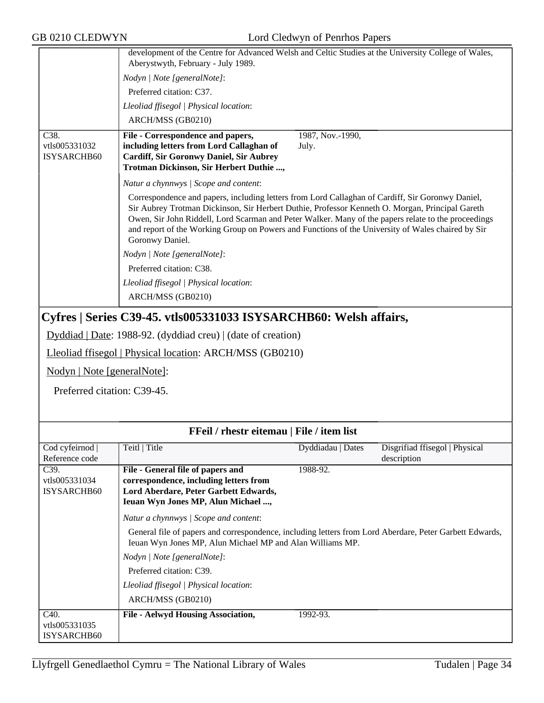| GB 0210 CLEDWYN                                    |                                                                                                                                                                                                                                                                                                                                                                                                                                    | Lord Cledwyn of Penrhos Papers |                                               |
|----------------------------------------------------|------------------------------------------------------------------------------------------------------------------------------------------------------------------------------------------------------------------------------------------------------------------------------------------------------------------------------------------------------------------------------------------------------------------------------------|--------------------------------|-----------------------------------------------|
|                                                    | development of the Centre for Advanced Welsh and Celtic Studies at the University College of Wales,<br>Aberystwyth, February - July 1989.                                                                                                                                                                                                                                                                                          |                                |                                               |
|                                                    | Nodyn   Note [generalNote]:                                                                                                                                                                                                                                                                                                                                                                                                        |                                |                                               |
|                                                    | Preferred citation: C37.                                                                                                                                                                                                                                                                                                                                                                                                           |                                |                                               |
|                                                    | Lleoliad ffisegol   Physical location:                                                                                                                                                                                                                                                                                                                                                                                             |                                |                                               |
|                                                    | ARCH/MSS (GB0210)                                                                                                                                                                                                                                                                                                                                                                                                                  |                                |                                               |
| C38.<br>vtls005331032<br>ISYSARCHB60               | File - Correspondence and papers,<br>including letters from Lord Callaghan of<br>Cardiff, Sir Goronwy Daniel, Sir Aubrey<br>Trotman Dickinson, Sir Herbert Duthie ,                                                                                                                                                                                                                                                                | 1987, Nov.-1990,<br>July.      |                                               |
|                                                    | Natur a chynnwys / Scope and content:                                                                                                                                                                                                                                                                                                                                                                                              |                                |                                               |
|                                                    | Correspondence and papers, including letters from Lord Callaghan of Cardiff, Sir Goronwy Daniel,<br>Sir Aubrey Trotman Dickinson, Sir Herbert Duthie, Professor Kenneth O. Morgan, Principal Gareth<br>Owen, Sir John Riddell, Lord Scarman and Peter Walker. Many of the papers relate to the proceedings<br>and report of the Working Group on Powers and Functions of the University of Wales chaired by Sir<br>Goronwy Daniel. |                                |                                               |
|                                                    | Nodyn   Note [generalNote]:                                                                                                                                                                                                                                                                                                                                                                                                        |                                |                                               |
|                                                    | Preferred citation: C38.                                                                                                                                                                                                                                                                                                                                                                                                           |                                |                                               |
|                                                    | Lleoliad ffisegol   Physical location:                                                                                                                                                                                                                                                                                                                                                                                             |                                |                                               |
|                                                    | ARCH/MSS (GB0210)                                                                                                                                                                                                                                                                                                                                                                                                                  |                                |                                               |
|                                                    | Cyfres   Series C39-45. vtls005331033 ISYSARCHB60: Welsh affairs,                                                                                                                                                                                                                                                                                                                                                                  |                                |                                               |
|                                                    | Dyddiad   Date: 1988-92. (dyddiad creu)   (date of creation)                                                                                                                                                                                                                                                                                                                                                                       |                                |                                               |
|                                                    | Lleoliad ffisegol   Physical location: ARCH/MSS (GB0210)                                                                                                                                                                                                                                                                                                                                                                           |                                |                                               |
| Nodyn   Note [generalNote]:                        |                                                                                                                                                                                                                                                                                                                                                                                                                                    |                                |                                               |
| Preferred citation: C39-45.                        |                                                                                                                                                                                                                                                                                                                                                                                                                                    |                                |                                               |
|                                                    |                                                                                                                                                                                                                                                                                                                                                                                                                                    |                                |                                               |
|                                                    | FFeil / rhestr eitemau   File / item list                                                                                                                                                                                                                                                                                                                                                                                          |                                |                                               |
| Cod cyfeirnod  <br>Reference code                  | Teitl   Title                                                                                                                                                                                                                                                                                                                                                                                                                      | Dyddiadau   Dates              | Disgrifiad ffisegol   Physical<br>description |
| $\overline{C39}$ .<br>vtls005331034<br>ISYSARCHB60 | File - General file of papers and<br>correspondence, including letters from<br>Lord Aberdare, Peter Garbett Edwards,<br>Ieuan Wyn Jones MP, Alun Michael ,                                                                                                                                                                                                                                                                         | 1988-92.                       |                                               |
|                                                    | Natur a chynnwys / Scope and content:                                                                                                                                                                                                                                                                                                                                                                                              |                                |                                               |

| General file of papers and correspondence, including letters from Lord Aberdare, Peter Garbett Edwards, |
|---------------------------------------------------------------------------------------------------------|
| Ieuan Wyn Jones MP, Alun Michael MP and Alan Williams MP.                                               |
| $\big \;Nodyn\;/\;Note\; [generalNote\,].$                                                              |
| $D_{\text{max}}$ $C_{\text{max}}$ $A_{\text{max}}$ $C_{\text{max}}$ $C_{\text{max}}$                    |

Preferred citation: C39. *Lleoliad ffisegol | Physical location*:

ARCH/MSS (GB0210)

C40.

vtls005331035 ISYSARCHB60 File - Aelwyd Housing Association, 1992-93.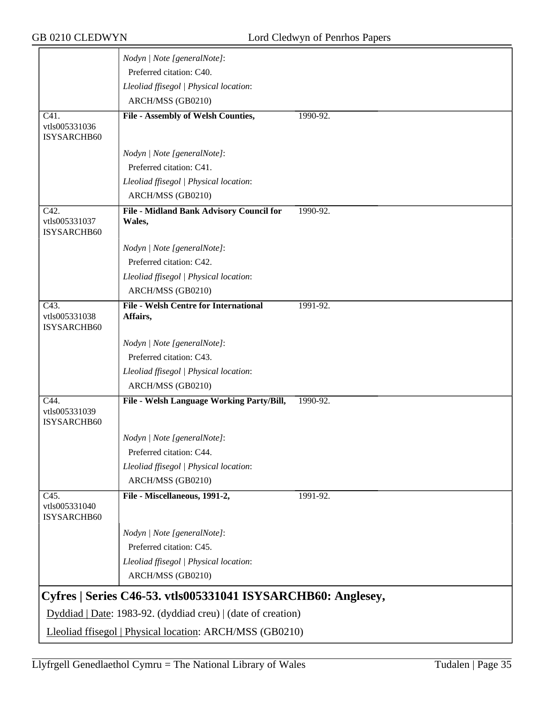|                                      | Nodyn   Note [generalNote]:                                                                                                  |          |
|--------------------------------------|------------------------------------------------------------------------------------------------------------------------------|----------|
|                                      | Preferred citation: C40.                                                                                                     |          |
|                                      |                                                                                                                              |          |
|                                      | Lleoliad ffisegol   Physical location:                                                                                       |          |
|                                      | ARCH/MSS (GB0210)                                                                                                            |          |
| C41.<br>vtls005331036                | <b>File - Assembly of Welsh Counties,</b>                                                                                    | 1990-92. |
| ISYSARCHB60                          |                                                                                                                              |          |
|                                      | Nodyn   Note [generalNote]:                                                                                                  |          |
|                                      | Preferred citation: C41.                                                                                                     |          |
|                                      | Lleoliad ffisegol   Physical location:                                                                                       |          |
|                                      | ARCH/MSS (GB0210)                                                                                                            |          |
| C42.<br>vtls005331037<br>ISYSARCHB60 | <b>File - Midland Bank Advisory Council for</b><br>Wales,                                                                    | 1990-92. |
|                                      | Nodyn   Note [generalNote]:                                                                                                  |          |
|                                      | Preferred citation: C42.                                                                                                     |          |
|                                      |                                                                                                                              |          |
|                                      | Lleoliad ffisegol   Physical location:<br>ARCH/MSS (GB0210)                                                                  |          |
|                                      |                                                                                                                              |          |
| C43.<br>vtls005331038<br>ISYSARCHB60 | <b>File - Welsh Centre for International</b><br>Affairs,                                                                     | 1991-92. |
|                                      | Nodyn   Note [generalNote]:                                                                                                  |          |
|                                      | Preferred citation: C43.                                                                                                     |          |
|                                      | Lleoliad ffisegol   Physical location:                                                                                       |          |
|                                      | ARCH/MSS (GB0210)                                                                                                            |          |
| C44.                                 | File - Welsh Language Working Party/Bill,                                                                                    | 1990-92. |
| vtls005331039<br>ISYSARCHB60         |                                                                                                                              |          |
|                                      | Nodyn   Note [generalNote]:                                                                                                  |          |
|                                      | Preferred citation: C44.                                                                                                     |          |
|                                      | Lleoliad ffisegol   Physical location:                                                                                       |          |
|                                      | ARCH/MSS (GB0210)                                                                                                            |          |
| C45.<br>vtls005331040<br>ISYSARCHB60 | File - Miscellaneous, 1991-2,                                                                                                | 1991-92. |
|                                      | Nodyn   Note [generalNote]:                                                                                                  |          |
|                                      | Preferred citation: C45.                                                                                                     |          |
|                                      | Lleoliad ffisegol   Physical location:                                                                                       |          |
|                                      | ARCH/MSS (GB0210)                                                                                                            |          |
|                                      |                                                                                                                              |          |
|                                      | Cyfres   Series C46-53. vtls005331041 ISYSARCHB60: Anglesey,<br>Dyddiad   Date: 1983-92. (dyddiad creu)   (date of creation) |          |
|                                      |                                                                                                                              |          |
|                                      | Lleoliad ffisegol   Physical location: ARCH/MSS (GB0210)                                                                     |          |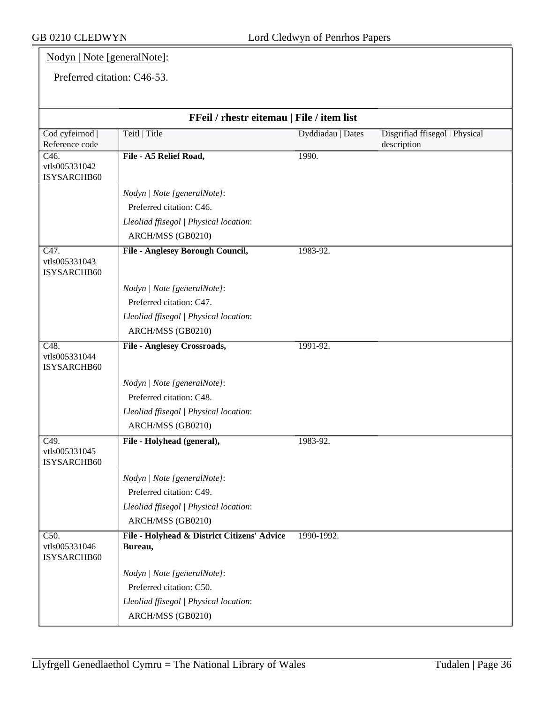## Nodyn | Note [generalNote]:

Preferred citation: C46-53.

| FFeil / rhestr eitemau   File / item list          |                                                        |                   |                                               |
|----------------------------------------------------|--------------------------------------------------------|-------------------|-----------------------------------------------|
| Cod cyfeirnod  <br>Reference code                  | Teitl   Title                                          | Dyddiadau   Dates | Disgrifiad ffisegol   Physical<br>description |
| $\overline{C46}$ .<br>vtls005331042<br>ISYSARCHB60 | File - A5 Relief Road,                                 | 1990.             |                                               |
|                                                    | Nodyn   Note [generalNote]:                            |                   |                                               |
|                                                    | Preferred citation: C46.                               |                   |                                               |
|                                                    | Lleoliad ffisegol   Physical location:                 |                   |                                               |
|                                                    | ARCH/MSS (GB0210)                                      |                   |                                               |
| C47.<br>vtls005331043<br>ISYSARCHB60               | <b>File - Anglesey Borough Council,</b>                | 1983-92.          |                                               |
|                                                    | Nodyn   Note [generalNote]:                            |                   |                                               |
|                                                    | Preferred citation: C47.                               |                   |                                               |
|                                                    | Lleoliad ffisegol   Physical location:                 |                   |                                               |
|                                                    | ARCH/MSS (GB0210)                                      |                   |                                               |
| $\overline{C48}$ .<br>vtls005331044<br>ISYSARCHB60 | <b>File - Anglesey Crossroads,</b>                     | 1991-92.          |                                               |
|                                                    | Nodyn   Note [generalNote]:                            |                   |                                               |
|                                                    | Preferred citation: C48.                               |                   |                                               |
|                                                    | Lleoliad ffisegol   Physical location:                 |                   |                                               |
|                                                    | ARCH/MSS (GB0210)                                      |                   |                                               |
| $\overline{C49}$ .<br>vtls005331045<br>ISYSARCHB60 | File - Holyhead (general),                             | 1983-92.          |                                               |
|                                                    | Nodyn   Note [generalNote]:                            |                   |                                               |
|                                                    | Preferred citation: C49.                               |                   |                                               |
|                                                    | Lleoliad ffisegol   Physical location:                 |                   |                                               |
|                                                    | ARCH/MSS (GB0210)                                      |                   |                                               |
| C50.<br>vtls005331046<br>ISYSARCHB60               | File - Holyhead & District Citizens' Advice<br>Bureau, | 1990-1992.        |                                               |
|                                                    | Nodyn   Note [generalNote]:                            |                   |                                               |
|                                                    | Preferred citation: C50.                               |                   |                                               |
|                                                    | Lleoliad ffisegol   Physical location:                 |                   |                                               |
|                                                    | ARCH/MSS (GB0210)                                      |                   |                                               |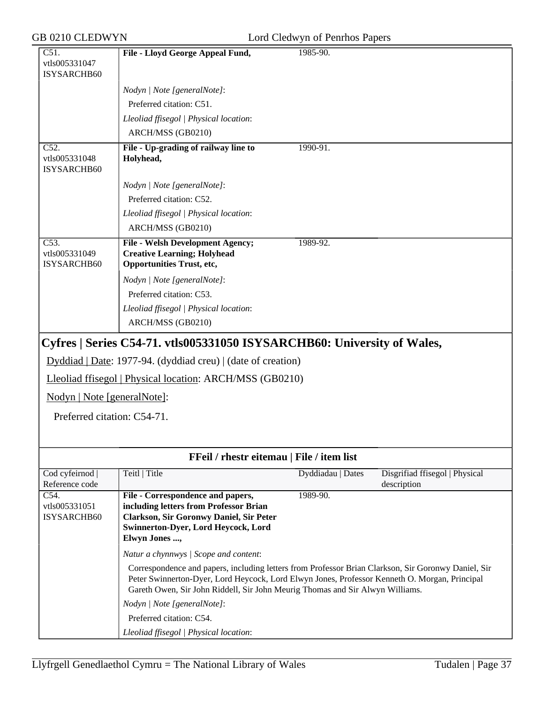| C51.<br>vtls005331047                              | File - Lloyd George Appeal Fund,                                                                                                                                                                                                                                                      | 1985-90.          |                                               |
|----------------------------------------------------|---------------------------------------------------------------------------------------------------------------------------------------------------------------------------------------------------------------------------------------------------------------------------------------|-------------------|-----------------------------------------------|
| ISYSARCHB60                                        |                                                                                                                                                                                                                                                                                       |                   |                                               |
|                                                    | Nodyn   Note [generalNote]:                                                                                                                                                                                                                                                           |                   |                                               |
|                                                    | Preferred citation: C51.                                                                                                                                                                                                                                                              |                   |                                               |
|                                                    | Lleoliad ffisegol   Physical location:                                                                                                                                                                                                                                                |                   |                                               |
|                                                    | ARCH/MSS (GB0210)                                                                                                                                                                                                                                                                     |                   |                                               |
| $\overline{C52}$ .<br>vtls005331048<br>ISYSARCHB60 | File - Up-grading of railway line to<br>Holyhead,                                                                                                                                                                                                                                     | 1990-91.          |                                               |
|                                                    | Nodyn   Note [generalNote]:                                                                                                                                                                                                                                                           |                   |                                               |
|                                                    | Preferred citation: C52.                                                                                                                                                                                                                                                              |                   |                                               |
|                                                    | Lleoliad ffisegol   Physical location:                                                                                                                                                                                                                                                |                   |                                               |
|                                                    | ARCH/MSS (GB0210)                                                                                                                                                                                                                                                                     |                   |                                               |
| $\overline{C53}$ .<br>vtls005331049<br>ISYSARCHB60 | <b>File - Welsh Development Agency;</b><br><b>Creative Learning; Holyhead</b><br><b>Opportunities Trust, etc,</b>                                                                                                                                                                     | 1989-92.          |                                               |
|                                                    | Nodyn   Note [generalNote]:                                                                                                                                                                                                                                                           |                   |                                               |
|                                                    | Preferred citation: C53.                                                                                                                                                                                                                                                              |                   |                                               |
|                                                    | Lleoliad ffisegol   Physical location:                                                                                                                                                                                                                                                |                   |                                               |
|                                                    | ARCH/MSS (GB0210)                                                                                                                                                                                                                                                                     |                   |                                               |
|                                                    | Cyfres   Series C54-71. vtls005331050 ISYSARCHB60: University of Wales,                                                                                                                                                                                                               |                   |                                               |
|                                                    | Dyddiad   Date: 1977-94. (dyddiad creu)   (date of creation)                                                                                                                                                                                                                          |                   |                                               |
|                                                    | Lleoliad ffisegol   Physical location: ARCH/MSS (GB0210)                                                                                                                                                                                                                              |                   |                                               |
| Nodyn   Note [generalNote]:                        |                                                                                                                                                                                                                                                                                       |                   |                                               |
| Preferred citation: C54-71.                        |                                                                                                                                                                                                                                                                                       |                   |                                               |
|                                                    |                                                                                                                                                                                                                                                                                       |                   |                                               |
|                                                    |                                                                                                                                                                                                                                                                                       |                   |                                               |
|                                                    | FFeil / rhestr eitemau   File / item list                                                                                                                                                                                                                                             |                   |                                               |
| Cod cyfeirnod<br>Reference code                    | Teitl   Title                                                                                                                                                                                                                                                                         | Dyddiadau   Dates | Disgrifiad ffisegol   Physical<br>description |
| C54.                                               | File - Correspondence and papers,                                                                                                                                                                                                                                                     | 1989-90.          |                                               |
| vtls005331051<br><b>ISYSARCHB60</b>                | including letters from Professor Brian<br><b>Clarkson, Sir Goronwy Daniel, Sir Peter</b>                                                                                                                                                                                              |                   |                                               |
|                                                    | <b>Swinnerton-Dyer, Lord Heycock, Lord</b>                                                                                                                                                                                                                                            |                   |                                               |
|                                                    | Elwyn Jones ,                                                                                                                                                                                                                                                                         |                   |                                               |
|                                                    | Natur a chynnwys / Scope and content:                                                                                                                                                                                                                                                 |                   |                                               |
|                                                    | Correspondence and papers, including letters from Professor Brian Clarkson, Sir Goronwy Daniel, Sir<br>Peter Swinnerton-Dyer, Lord Heycock, Lord Elwyn Jones, Professor Kenneth O. Morgan, Principal<br>Gareth Owen, Sir John Riddell, Sir John Meurig Thomas and Sir Alwyn Williams. |                   |                                               |
|                                                    |                                                                                                                                                                                                                                                                                       |                   |                                               |

Preferred citation: C54.

*Lleoliad ffisegol | Physical location*: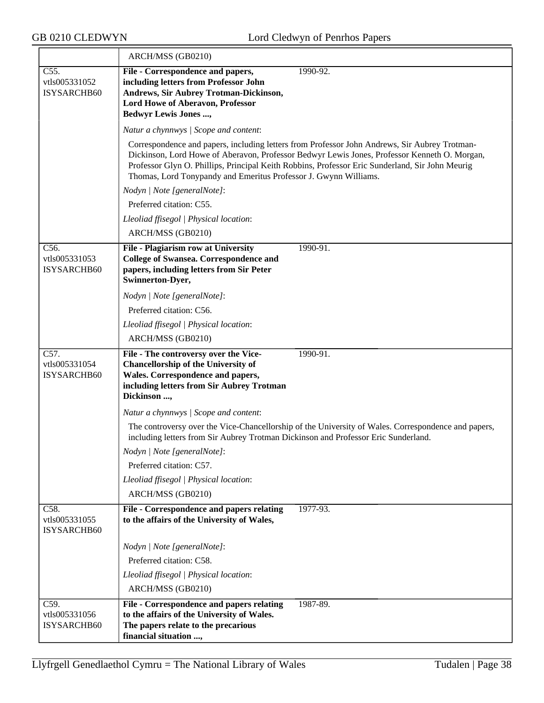|                                      | ARCH/MSS (GB0210)                                                                                                                                                                                                                                                   |
|--------------------------------------|---------------------------------------------------------------------------------------------------------------------------------------------------------------------------------------------------------------------------------------------------------------------|
| C55.<br>vtls005331052                | 1990-92.<br>File - Correspondence and papers,<br>including letters from Professor John                                                                                                                                                                              |
| ISYSARCHB60                          | <b>Andrews, Sir Aubrey Trotman-Dickinson,</b>                                                                                                                                                                                                                       |
|                                      | <b>Lord Howe of Aberavon, Professor</b><br><b>Bedwyr Lewis Jones ,</b>                                                                                                                                                                                              |
|                                      | Natur a chynnwys / Scope and content:                                                                                                                                                                                                                               |
|                                      | Correspondence and papers, including letters from Professor John Andrews, Sir Aubrey Trotman-                                                                                                                                                                       |
|                                      | Dickinson, Lord Howe of Aberavon, Professor Bedwyr Lewis Jones, Professor Kenneth O. Morgan,<br>Professor Glyn O. Phillips, Principal Keith Robbins, Professor Eric Sunderland, Sir John Meurig<br>Thomas, Lord Tonypandy and Emeritus Professor J. Gwynn Williams. |
|                                      | Nodyn   Note [generalNote]:                                                                                                                                                                                                                                         |
|                                      | Preferred citation: C55.                                                                                                                                                                                                                                            |
|                                      | Lleoliad ffisegol   Physical location:                                                                                                                                                                                                                              |
|                                      | ARCH/MSS (GB0210)                                                                                                                                                                                                                                                   |
| C56.                                 | File - Plagiarism row at University<br>1990-91.                                                                                                                                                                                                                     |
| vtls005331053<br>ISYSARCHB60         | <b>College of Swansea. Correspondence and</b><br>papers, including letters from Sir Peter                                                                                                                                                                           |
|                                      | Swinnerton-Dyer,                                                                                                                                                                                                                                                    |
|                                      | Nodyn   Note [generalNote]:                                                                                                                                                                                                                                         |
|                                      | Preferred citation: C56.                                                                                                                                                                                                                                            |
|                                      | Lleoliad ffisegol   Physical location:                                                                                                                                                                                                                              |
|                                      | ARCH/MSS (GB0210)                                                                                                                                                                                                                                                   |
|                                      |                                                                                                                                                                                                                                                                     |
| C57.<br>vtls005331054                | File - The controversy over the Vice-<br>1990-91.<br><b>Chancellorship of the University of</b>                                                                                                                                                                     |
| ISYSARCHB60                          | Wales. Correspondence and papers,                                                                                                                                                                                                                                   |
|                                      | including letters from Sir Aubrey Trotman<br>Dickinson ,                                                                                                                                                                                                            |
|                                      | Natur a chynnwys / Scope and content:                                                                                                                                                                                                                               |
|                                      | The controversy over the Vice-Chancellorship of the University of Wales. Correspondence and papers,<br>including letters from Sir Aubrey Trotman Dickinson and Professor Eric Sunderland.                                                                           |
|                                      | Nodyn   Note [generalNote]:                                                                                                                                                                                                                                         |
|                                      | Preferred citation: C57.                                                                                                                                                                                                                                            |
|                                      | Lleoliad ffisegol   Physical location:                                                                                                                                                                                                                              |
|                                      | ARCH/MSS (GB0210)                                                                                                                                                                                                                                                   |
| C58.<br>vtls005331055<br>ISYSARCHB60 | File - Correspondence and papers relating<br>1977-93.<br>to the affairs of the University of Wales,                                                                                                                                                                 |
|                                      | Nodyn   Note [generalNote]:                                                                                                                                                                                                                                         |
|                                      | Preferred citation: C58.                                                                                                                                                                                                                                            |
|                                      | Lleoliad ffisegol   Physical location:                                                                                                                                                                                                                              |
|                                      | ARCH/MSS (GB0210)                                                                                                                                                                                                                                                   |
| C59.                                 | 1987-89.<br>File - Correspondence and papers relating                                                                                                                                                                                                               |
| vtls005331056<br>ISYSARCHB60         | to the affairs of the University of Wales.<br>The papers relate to the precarious                                                                                                                                                                                   |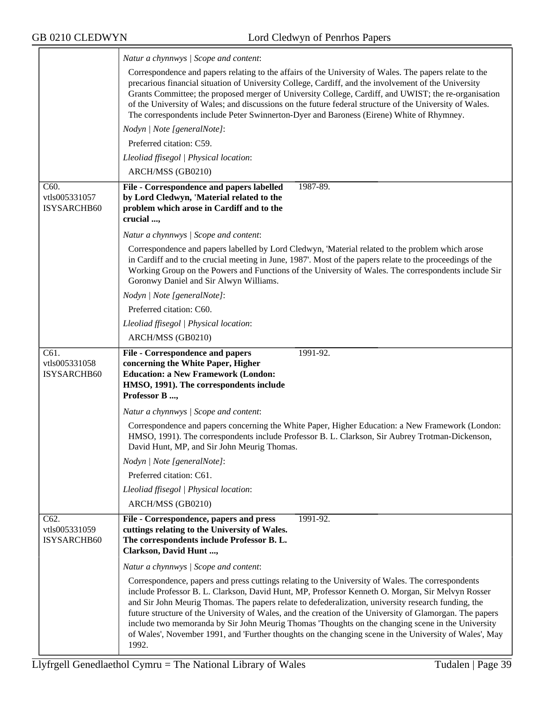$\overline{\phantom{a}}$ 

|                                             | Natur a chynnwys / Scope and content:                                                                                                                                                                                                                                                                                                                                                                                                                                                                                                                                                                                                            |
|---------------------------------------------|--------------------------------------------------------------------------------------------------------------------------------------------------------------------------------------------------------------------------------------------------------------------------------------------------------------------------------------------------------------------------------------------------------------------------------------------------------------------------------------------------------------------------------------------------------------------------------------------------------------------------------------------------|
|                                             | Correspondence and papers relating to the affairs of the University of Wales. The papers relate to the<br>precarious financial situation of University College, Cardiff, and the involvement of the University<br>Grants Committee; the proposed merger of University College, Cardiff, and UWIST; the re-organisation<br>of the University of Wales; and discussions on the future federal structure of the University of Wales.<br>The correspondents include Peter Swinnerton-Dyer and Baroness (Eirene) White of Rhymney.                                                                                                                    |
|                                             | Nodyn   Note [generalNote]:                                                                                                                                                                                                                                                                                                                                                                                                                                                                                                                                                                                                                      |
|                                             | Preferred citation: C59.                                                                                                                                                                                                                                                                                                                                                                                                                                                                                                                                                                                                                         |
|                                             | Lleoliad ffisegol   Physical location:                                                                                                                                                                                                                                                                                                                                                                                                                                                                                                                                                                                                           |
|                                             | ARCH/MSS (GB0210)                                                                                                                                                                                                                                                                                                                                                                                                                                                                                                                                                                                                                                |
| C60.<br>vtls005331057<br><b>ISYSARCHB60</b> | File - Correspondence and papers labelled<br>1987-89.<br>by Lord Cledwyn, 'Material related to the<br>problem which arose in Cardiff and to the<br>crucial ,                                                                                                                                                                                                                                                                                                                                                                                                                                                                                     |
|                                             | Natur a chynnwys / Scope and content:                                                                                                                                                                                                                                                                                                                                                                                                                                                                                                                                                                                                            |
|                                             | Correspondence and papers labelled by Lord Cledwyn, 'Material related to the problem which arose<br>in Cardiff and to the crucial meeting in June, 1987'. Most of the papers relate to the proceedings of the<br>Working Group on the Powers and Functions of the University of Wales. The correspondents include Sir<br>Goronwy Daniel and Sir Alwyn Williams.                                                                                                                                                                                                                                                                                  |
|                                             | Nodyn   Note [generalNote]:                                                                                                                                                                                                                                                                                                                                                                                                                                                                                                                                                                                                                      |
|                                             | Preferred citation: C60.                                                                                                                                                                                                                                                                                                                                                                                                                                                                                                                                                                                                                         |
|                                             | Lleoliad ffisegol   Physical location:                                                                                                                                                                                                                                                                                                                                                                                                                                                                                                                                                                                                           |
|                                             | ARCH/MSS (GB0210)                                                                                                                                                                                                                                                                                                                                                                                                                                                                                                                                                                                                                                |
| C61.<br>vtls005331058<br>ISYSARCHB60        | <b>File - Correspondence and papers</b><br>1991-92.<br>concerning the White Paper, Higher<br><b>Education: a New Framework (London:</b><br>HMSO, 1991). The correspondents include<br>Professor B ,                                                                                                                                                                                                                                                                                                                                                                                                                                              |
|                                             | Natur a chynnwys / Scope and content:                                                                                                                                                                                                                                                                                                                                                                                                                                                                                                                                                                                                            |
|                                             | Correspondence and papers concerning the White Paper, Higher Education: a New Framework (London:<br>HMSO, 1991). The correspondents include Professor B. L. Clarkson, Sir Aubrey Trotman-Dickenson,<br>David Hunt, MP, and Sir John Meurig Thomas.                                                                                                                                                                                                                                                                                                                                                                                               |
|                                             | Nodyn   Note [generalNote]:                                                                                                                                                                                                                                                                                                                                                                                                                                                                                                                                                                                                                      |
|                                             | Preferred citation: C61.                                                                                                                                                                                                                                                                                                                                                                                                                                                                                                                                                                                                                         |
|                                             | Lleoliad ffisegol   Physical location:                                                                                                                                                                                                                                                                                                                                                                                                                                                                                                                                                                                                           |
|                                             | ARCH/MSS (GB0210)                                                                                                                                                                                                                                                                                                                                                                                                                                                                                                                                                                                                                                |
| C62.<br>vtls005331059<br>ISYSARCHB60        | File - Correspondence, papers and press<br>1991-92.<br>cuttings relating to the University of Wales.<br>The correspondents include Professor B. L.<br>Clarkson, David Hunt ,                                                                                                                                                                                                                                                                                                                                                                                                                                                                     |
|                                             | Natur a chynnwys / Scope and content:                                                                                                                                                                                                                                                                                                                                                                                                                                                                                                                                                                                                            |
|                                             | Correspondence, papers and press cuttings relating to the University of Wales. The correspondents<br>include Professor B. L. Clarkson, David Hunt, MP, Professor Kenneth O. Morgan, Sir Melvyn Rosser<br>and Sir John Meurig Thomas. The papers relate to defederalization, university research funding, the<br>future structure of the University of Wales, and the creation of the University of Glamorgan. The papers<br>include two memoranda by Sir John Meurig Thomas 'Thoughts on the changing scene in the University<br>of Wales', November 1991, and 'Further thoughts on the changing scene in the University of Wales', May<br>1992. |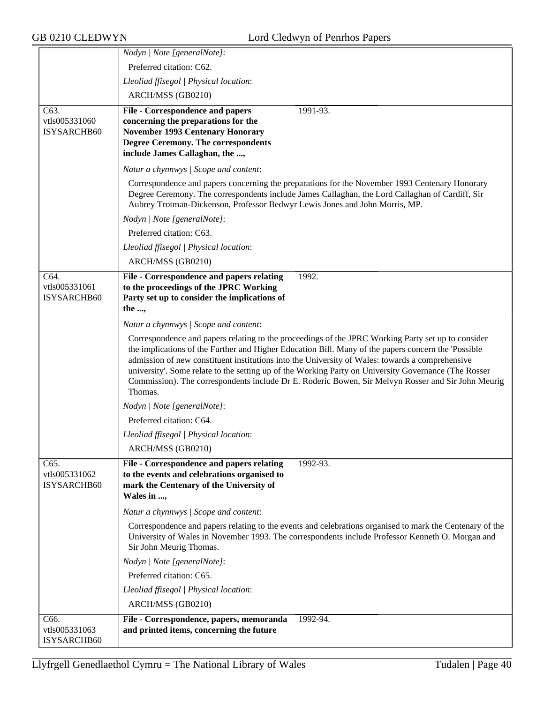|                                     | Nodyn   Note [generalNote]:                                                                                                                                                                                                                                                                                                                                                                                                                                                                                                           |
|-------------------------------------|---------------------------------------------------------------------------------------------------------------------------------------------------------------------------------------------------------------------------------------------------------------------------------------------------------------------------------------------------------------------------------------------------------------------------------------------------------------------------------------------------------------------------------------|
|                                     | Preferred citation: C62.                                                                                                                                                                                                                                                                                                                                                                                                                                                                                                              |
|                                     | Lleoliad ffisegol   Physical location:                                                                                                                                                                                                                                                                                                                                                                                                                                                                                                |
|                                     | ARCH/MSS (GB0210)                                                                                                                                                                                                                                                                                                                                                                                                                                                                                                                     |
| $\overline{C63}$ .                  | <b>File - Correspondence and papers</b><br>1991-93.                                                                                                                                                                                                                                                                                                                                                                                                                                                                                   |
| vtls005331060                       | concerning the preparations for the                                                                                                                                                                                                                                                                                                                                                                                                                                                                                                   |
| ISYSARCHB60                         | <b>November 1993 Centenary Honorary</b><br><b>Degree Ceremony. The correspondents</b>                                                                                                                                                                                                                                                                                                                                                                                                                                                 |
|                                     | include James Callaghan, the ,                                                                                                                                                                                                                                                                                                                                                                                                                                                                                                        |
|                                     | Natur a chynnwys / Scope and content:                                                                                                                                                                                                                                                                                                                                                                                                                                                                                                 |
|                                     | Correspondence and papers concerning the preparations for the November 1993 Centenary Honorary<br>Degree Ceremony. The correspondents include James Callaghan, the Lord Callaghan of Cardiff, Sir<br>Aubrey Trotman-Dickenson, Professor Bedwyr Lewis Jones and John Morris, MP.                                                                                                                                                                                                                                                      |
|                                     | Nodyn   Note [generalNote]:                                                                                                                                                                                                                                                                                                                                                                                                                                                                                                           |
|                                     | Preferred citation: C63.                                                                                                                                                                                                                                                                                                                                                                                                                                                                                                              |
|                                     | Lleoliad ffisegol   Physical location:                                                                                                                                                                                                                                                                                                                                                                                                                                                                                                |
|                                     | ARCH/MSS (GB0210)                                                                                                                                                                                                                                                                                                                                                                                                                                                                                                                     |
| C64.                                | File - Correspondence and papers relating<br>1992.                                                                                                                                                                                                                                                                                                                                                                                                                                                                                    |
| vtls005331061                       | to the proceedings of the JPRC Working                                                                                                                                                                                                                                                                                                                                                                                                                                                                                                |
| ISYSARCHB60                         | Party set up to consider the implications of                                                                                                                                                                                                                                                                                                                                                                                                                                                                                          |
|                                     | the ,                                                                                                                                                                                                                                                                                                                                                                                                                                                                                                                                 |
|                                     | Natur a chynnwys / Scope and content:                                                                                                                                                                                                                                                                                                                                                                                                                                                                                                 |
|                                     | Correspondence and papers relating to the proceedings of the JPRC Working Party set up to consider<br>the implications of the Further and Higher Education Bill. Many of the papers concern the 'Possible<br>admission of new constituent institutions into the University of Wales: towards a comprehensive<br>university'. Some relate to the setting up of the Working Party on University Governance (The Rosser<br>Commission). The correspondents include Dr E. Roderic Bowen, Sir Melvyn Rosser and Sir John Meurig<br>Thomas. |
|                                     | Nodyn   Note [generalNote]:                                                                                                                                                                                                                                                                                                                                                                                                                                                                                                           |
|                                     | Preferred citation: C64.                                                                                                                                                                                                                                                                                                                                                                                                                                                                                                              |
|                                     | Lleoliad ffisegol   Physical location:                                                                                                                                                                                                                                                                                                                                                                                                                                                                                                |
|                                     | ARCH/MSS (GB0210)                                                                                                                                                                                                                                                                                                                                                                                                                                                                                                                     |
| C65.                                | File - Correspondence and papers relating<br>1992-93.                                                                                                                                                                                                                                                                                                                                                                                                                                                                                 |
| vtls005331062<br><b>ISYSARCHB60</b> | to the events and celebrations organised to<br>mark the Centenary of the University of<br>Wales in ,                                                                                                                                                                                                                                                                                                                                                                                                                                  |
|                                     | Natur a chynnwys / Scope and content:                                                                                                                                                                                                                                                                                                                                                                                                                                                                                                 |
|                                     | Correspondence and papers relating to the events and celebrations organised to mark the Centenary of the<br>University of Wales in November 1993. The correspondents include Professor Kenneth O. Morgan and<br>Sir John Meurig Thomas.                                                                                                                                                                                                                                                                                               |
|                                     | Nodyn   Note [generalNote]:                                                                                                                                                                                                                                                                                                                                                                                                                                                                                                           |
|                                     | Preferred citation: C65.                                                                                                                                                                                                                                                                                                                                                                                                                                                                                                              |
|                                     | Lleoliad ffisegol   Physical location:                                                                                                                                                                                                                                                                                                                                                                                                                                                                                                |
|                                     | ARCH/MSS (GB0210)                                                                                                                                                                                                                                                                                                                                                                                                                                                                                                                     |
| C66.                                | File - Correspondence, papers, memoranda<br>1992-94.                                                                                                                                                                                                                                                                                                                                                                                                                                                                                  |
| vtls005331063<br>ISYSARCHB60        | and printed items, concerning the future                                                                                                                                                                                                                                                                                                                                                                                                                                                                                              |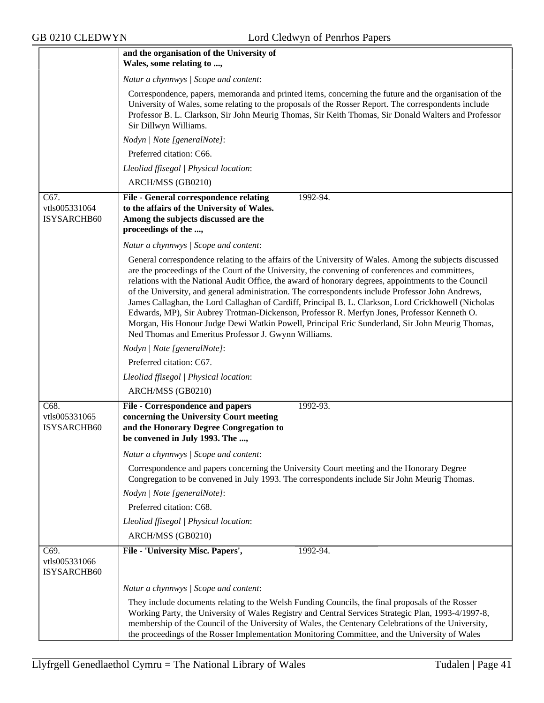|                                      | and the organisation of the University of                                                                                                                                                                                                                                                                                                                                                                                                                                                                                                                                                                                                                                                                                                                                                  |
|--------------------------------------|--------------------------------------------------------------------------------------------------------------------------------------------------------------------------------------------------------------------------------------------------------------------------------------------------------------------------------------------------------------------------------------------------------------------------------------------------------------------------------------------------------------------------------------------------------------------------------------------------------------------------------------------------------------------------------------------------------------------------------------------------------------------------------------------|
|                                      | Wales, some relating to ,                                                                                                                                                                                                                                                                                                                                                                                                                                                                                                                                                                                                                                                                                                                                                                  |
|                                      | Natur a chynnwys / Scope and content:                                                                                                                                                                                                                                                                                                                                                                                                                                                                                                                                                                                                                                                                                                                                                      |
|                                      | Correspondence, papers, memoranda and printed items, concerning the future and the organisation of the<br>University of Wales, some relating to the proposals of the Rosser Report. The correspondents include<br>Professor B. L. Clarkson, Sir John Meurig Thomas, Sir Keith Thomas, Sir Donald Walters and Professor<br>Sir Dillwyn Williams.                                                                                                                                                                                                                                                                                                                                                                                                                                            |
|                                      | Nodyn   Note [generalNote]:                                                                                                                                                                                                                                                                                                                                                                                                                                                                                                                                                                                                                                                                                                                                                                |
|                                      | Preferred citation: C66.                                                                                                                                                                                                                                                                                                                                                                                                                                                                                                                                                                                                                                                                                                                                                                   |
|                                      | Lleoliad ffisegol   Physical location:                                                                                                                                                                                                                                                                                                                                                                                                                                                                                                                                                                                                                                                                                                                                                     |
|                                      | ARCH/MSS (GB0210)                                                                                                                                                                                                                                                                                                                                                                                                                                                                                                                                                                                                                                                                                                                                                                          |
| C67.<br>vtls005331064<br>ISYSARCHB60 | File - General correspondence relating<br>1992-94.<br>to the affairs of the University of Wales.<br>Among the subjects discussed are the<br>proceedings of the ,                                                                                                                                                                                                                                                                                                                                                                                                                                                                                                                                                                                                                           |
|                                      | Natur a chynnwys / Scope and content:                                                                                                                                                                                                                                                                                                                                                                                                                                                                                                                                                                                                                                                                                                                                                      |
|                                      | General correspondence relating to the affairs of the University of Wales. Among the subjects discussed<br>are the proceedings of the Court of the University, the convening of conferences and committees,<br>relations with the National Audit Office, the award of honorary degrees, appointments to the Council<br>of the University, and general administration. The correspondents include Professor John Andrews,<br>James Callaghan, the Lord Callaghan of Cardiff, Principal B. L. Clarkson, Lord Crickhowell (Nicholas<br>Edwards, MP), Sir Aubrey Trotman-Dickenson, Professor R. Merfyn Jones, Professor Kenneth O.<br>Morgan, His Honour Judge Dewi Watkin Powell, Principal Eric Sunderland, Sir John Meurig Thomas,<br>Ned Thomas and Emeritus Professor J. Gwynn Williams. |
|                                      | Nodyn   Note [generalNote]:                                                                                                                                                                                                                                                                                                                                                                                                                                                                                                                                                                                                                                                                                                                                                                |
|                                      | Preferred citation: C67.                                                                                                                                                                                                                                                                                                                                                                                                                                                                                                                                                                                                                                                                                                                                                                   |
|                                      | Lleoliad ffisegol   Physical location:                                                                                                                                                                                                                                                                                                                                                                                                                                                                                                                                                                                                                                                                                                                                                     |
|                                      | ARCH/MSS (GB0210)                                                                                                                                                                                                                                                                                                                                                                                                                                                                                                                                                                                                                                                                                                                                                                          |
| C68.                                 | $1992 - 93.$<br>File - Correspondence and papers                                                                                                                                                                                                                                                                                                                                                                                                                                                                                                                                                                                                                                                                                                                                           |
| vtls005331065<br><b>ISYSARCHB60</b>  | concerning the University Court meeting<br>and the Honorary Degree Congregation to<br>be convened in July 1993. The ,                                                                                                                                                                                                                                                                                                                                                                                                                                                                                                                                                                                                                                                                      |
|                                      | Natur a chynnwys / Scope and content:                                                                                                                                                                                                                                                                                                                                                                                                                                                                                                                                                                                                                                                                                                                                                      |
|                                      | Correspondence and papers concerning the University Court meeting and the Honorary Degree<br>Congregation to be convened in July 1993. The correspondents include Sir John Meurig Thomas.                                                                                                                                                                                                                                                                                                                                                                                                                                                                                                                                                                                                  |
|                                      | Nodyn   Note [generalNote]:                                                                                                                                                                                                                                                                                                                                                                                                                                                                                                                                                                                                                                                                                                                                                                |
|                                      | Preferred citation: C68.                                                                                                                                                                                                                                                                                                                                                                                                                                                                                                                                                                                                                                                                                                                                                                   |
|                                      | Lleoliad ffisegol   Physical location:                                                                                                                                                                                                                                                                                                                                                                                                                                                                                                                                                                                                                                                                                                                                                     |
|                                      | ARCH/MSS (GB0210)                                                                                                                                                                                                                                                                                                                                                                                                                                                                                                                                                                                                                                                                                                                                                                          |
| C69.<br>vtls005331066<br>ISYSARCHB60 | File - 'University Misc. Papers',<br>1992-94.                                                                                                                                                                                                                                                                                                                                                                                                                                                                                                                                                                                                                                                                                                                                              |
|                                      | Natur a chynnwys / Scope and content:                                                                                                                                                                                                                                                                                                                                                                                                                                                                                                                                                                                                                                                                                                                                                      |
|                                      | They include documents relating to the Welsh Funding Councils, the final proposals of the Rosser<br>Working Party, the University of Wales Registry and Central Services Strategic Plan, 1993-4/1997-8,<br>membership of the Council of the University of Wales, the Centenary Celebrations of the University,<br>the proceedings of the Rosser Implementation Monitoring Committee, and the University of Wales                                                                                                                                                                                                                                                                                                                                                                           |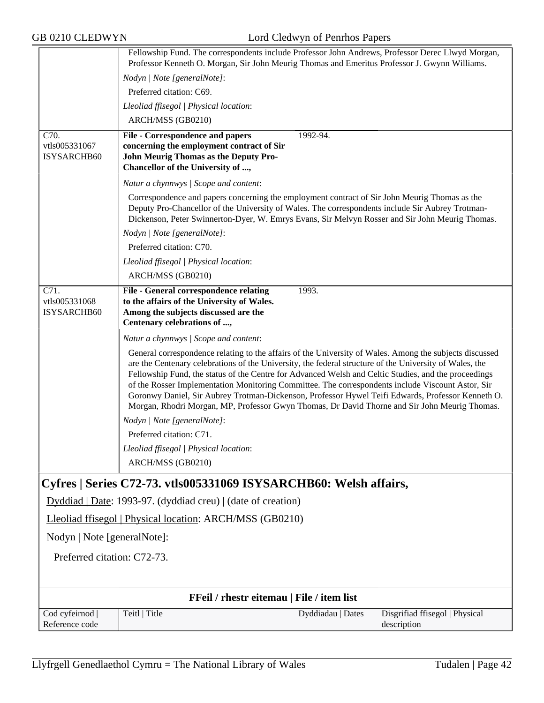|                                           | Fellowship Fund. The correspondents include Professor John Andrews, Professor Derec Llwyd Morgan,<br>Professor Kenneth O. Morgan, Sir John Meurig Thomas and Emeritus Professor J. Gwynn Williams.                                                                                                                                                                                                                                                                                                                                                                                                                                    |  |
|-------------------------------------------|---------------------------------------------------------------------------------------------------------------------------------------------------------------------------------------------------------------------------------------------------------------------------------------------------------------------------------------------------------------------------------------------------------------------------------------------------------------------------------------------------------------------------------------------------------------------------------------------------------------------------------------|--|
|                                           | Nodyn   Note [generalNote]:                                                                                                                                                                                                                                                                                                                                                                                                                                                                                                                                                                                                           |  |
|                                           | Preferred citation: C69.                                                                                                                                                                                                                                                                                                                                                                                                                                                                                                                                                                                                              |  |
|                                           | Lleoliad ffisegol   Physical location:                                                                                                                                                                                                                                                                                                                                                                                                                                                                                                                                                                                                |  |
|                                           | ARCH/MSS (GB0210)                                                                                                                                                                                                                                                                                                                                                                                                                                                                                                                                                                                                                     |  |
| C70.                                      | 1992-94.                                                                                                                                                                                                                                                                                                                                                                                                                                                                                                                                                                                                                              |  |
| vtls005331067                             | File - Correspondence and papers<br>concerning the employment contract of Sir                                                                                                                                                                                                                                                                                                                                                                                                                                                                                                                                                         |  |
| ISYSARCHB60                               | John Meurig Thomas as the Deputy Pro-                                                                                                                                                                                                                                                                                                                                                                                                                                                                                                                                                                                                 |  |
|                                           | Chancellor of the University of ,                                                                                                                                                                                                                                                                                                                                                                                                                                                                                                                                                                                                     |  |
|                                           | Natur a chynnwys / Scope and content:                                                                                                                                                                                                                                                                                                                                                                                                                                                                                                                                                                                                 |  |
|                                           | Correspondence and papers concerning the employment contract of Sir John Meurig Thomas as the<br>Deputy Pro-Chancellor of the University of Wales. The correspondents include Sir Aubrey Trotman-<br>Dickenson, Peter Swinnerton-Dyer, W. Emrys Evans, Sir Melvyn Rosser and Sir John Meurig Thomas.                                                                                                                                                                                                                                                                                                                                  |  |
|                                           | Nodyn   Note [generalNote]:                                                                                                                                                                                                                                                                                                                                                                                                                                                                                                                                                                                                           |  |
|                                           | Preferred citation: C70.                                                                                                                                                                                                                                                                                                                                                                                                                                                                                                                                                                                                              |  |
|                                           | Lleoliad ffisegol   Physical location:                                                                                                                                                                                                                                                                                                                                                                                                                                                                                                                                                                                                |  |
|                                           | ARCH/MSS (GB0210)                                                                                                                                                                                                                                                                                                                                                                                                                                                                                                                                                                                                                     |  |
| C71.<br>vtls005331068<br>ISYSARCHB60      | File - General correspondence relating<br>1993.<br>to the affairs of the University of Wales.<br>Among the subjects discussed are the<br>Centenary celebrations of ,                                                                                                                                                                                                                                                                                                                                                                                                                                                                  |  |
|                                           | Natur a chynnwys / Scope and content:                                                                                                                                                                                                                                                                                                                                                                                                                                                                                                                                                                                                 |  |
|                                           | General correspondence relating to the affairs of the University of Wales. Among the subjects discussed<br>are the Centenary celebrations of the University, the federal structure of the University of Wales, the<br>Fellowship Fund, the status of the Centre for Advanced Welsh and Celtic Studies, and the proceedings<br>of the Rosser Implementation Monitoring Committee. The correspondents include Viscount Astor, Sir<br>Goronwy Daniel, Sir Aubrey Trotman-Dickenson, Professor Hywel Teifi Edwards, Professor Kenneth O.<br>Morgan, Rhodri Morgan, MP, Professor Gwyn Thomas, Dr David Thorne and Sir John Meurig Thomas. |  |
|                                           | Nodyn   Note [generalNote]:                                                                                                                                                                                                                                                                                                                                                                                                                                                                                                                                                                                                           |  |
|                                           | Preferred citation: C71.                                                                                                                                                                                                                                                                                                                                                                                                                                                                                                                                                                                                              |  |
|                                           | Lleoliad ffisegol   Physical location:                                                                                                                                                                                                                                                                                                                                                                                                                                                                                                                                                                                                |  |
|                                           | ARCH/MSS (GB0210)                                                                                                                                                                                                                                                                                                                                                                                                                                                                                                                                                                                                                     |  |
|                                           | Cyfres   Series C72-73. vtls005331069 ISYSARCHB60: Welsh affairs,                                                                                                                                                                                                                                                                                                                                                                                                                                                                                                                                                                     |  |
|                                           | Dyddiad   Date: 1993-97. (dyddiad creu)   (date of creation)                                                                                                                                                                                                                                                                                                                                                                                                                                                                                                                                                                          |  |
|                                           | Lleoliad ffisegol   Physical location: ARCH/MSS (GB0210)                                                                                                                                                                                                                                                                                                                                                                                                                                                                                                                                                                              |  |
| Nodyn   Note [generalNote]:               |                                                                                                                                                                                                                                                                                                                                                                                                                                                                                                                                                                                                                                       |  |
| Preferred citation: C72-73.               |                                                                                                                                                                                                                                                                                                                                                                                                                                                                                                                                                                                                                                       |  |
|                                           |                                                                                                                                                                                                                                                                                                                                                                                                                                                                                                                                                                                                                                       |  |
| FFeil / rhestr eitemau   File / item list |                                                                                                                                                                                                                                                                                                                                                                                                                                                                                                                                                                                                                                       |  |
| Cod cyfeirnod<br>Reference code           | Teitl   Title<br>Disgrifiad ffisegol   Physical<br>Dyddiadau   Dates<br>description                                                                                                                                                                                                                                                                                                                                                                                                                                                                                                                                                   |  |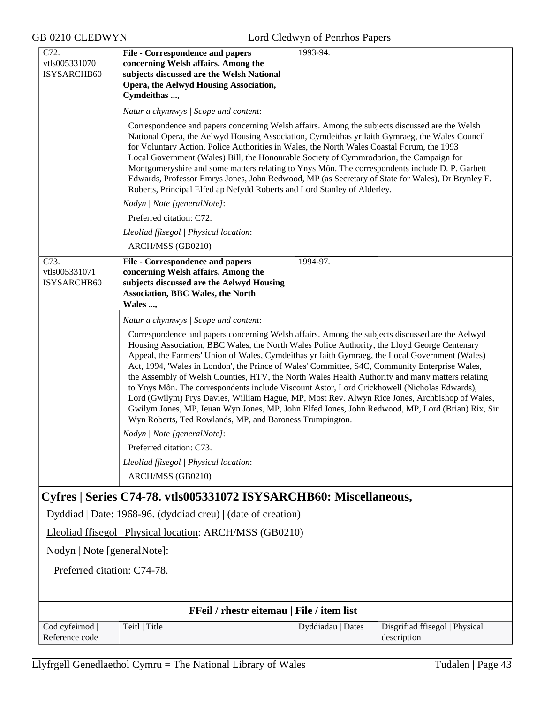| concerning Welsh affairs. Among the<br>vtls005331070<br>ISYSARCHB60<br>subjects discussed are the Welsh National<br>Opera, the Aelwyd Housing Association,<br>Cymdeithas ,<br>Natur a chynnwys / Scope and content:<br>Correspondence and papers concerning Welsh affairs. Among the subjects discussed are the Welsh<br>National Opera, the Aelwyd Housing Association, Cymdeithas yr Iaith Gymraeg, the Wales Council<br>for Voluntary Action, Police Authorities in Wales, the North Wales Coastal Forum, the 1993<br>Local Government (Wales) Bill, the Honourable Society of Cymmrodorion, the Campaign for<br>Montgomeryshire and some matters relating to Ynys Môn. The correspondents include D. P. Garbett<br>Edwards, Professor Emrys Jones, John Redwood, MP (as Secretary of State for Wales), Dr Brynley F.<br>Roberts, Principal Elfed ap Nefydd Roberts and Lord Stanley of Alderley.<br>Nodyn   Note [generalNote]:<br>Preferred citation: C72.<br>Lleoliad ffisegol   Physical location:<br>ARCH/MSS (GB0210)<br>C73.<br>File - Correspondence and papers<br>1994-97.<br>vtls005331071<br>concerning Welsh affairs. Among the<br>ISYSARCHB60<br>subjects discussed are the Aelwyd Housing<br><b>Association, BBC Wales, the North</b><br>Wales ,<br>Natur a chynnwys / Scope and content:<br>Correspondence and papers concerning Welsh affairs. Among the subjects discussed are the Aelwyd<br>Housing Association, BBC Wales, the North Wales Police Authority, the Lloyd George Centenary<br>Appeal, the Farmers' Union of Wales, Cymdeithas yr Iaith Gymraeg, the Local Government (Wales)<br>Act, 1994, 'Wales in London', the Prince of Wales' Committee, S4C, Community Enterprise Wales,<br>the Assembly of Welsh Counties, HTV, the North Wales Health Authority and many matters relating<br>to Ynys Môn. The correspondents include Viscount Astor, Lord Crickhowell (Nicholas Edwards),<br>Lord (Gwilym) Prys Davies, William Hague, MP, Most Rev. Alwyn Rice Jones, Archbishop of Wales,<br>Gwilym Jones, MP, Ieuan Wyn Jones, MP, John Elfed Jones, John Redwood, MP, Lord (Brian) Rix, Sir<br>Wyn Roberts, Ted Rowlands, MP, and Baroness Trumpington.<br>Nodyn   Note [generalNote]:<br>Preferred citation: C73.<br>Lleoliad ffisegol   Physical location:<br>ARCH/MSS (GB0210)<br>Cyfres   Series C74-78. vtls005331072 ISYSARCHB60: Miscellaneous,<br>Dyddiad   Date: 1968-96. (dyddiad creu)   (date of creation)<br>Lleoliad ffisegol   Physical location: ARCH/MSS (GB0210)<br>Nodyn   Note [generalNote]:<br>Preferred citation: C74-78.<br>FFeil / rhestr eitemau   File / item list<br>Cod cyfeirnod<br>Teitl   Title<br>Disgrifiad ffisegol   Physical<br>Dyddiadau   Dates<br>Reference code<br>description | C72. | <b>File - Correspondence and papers</b><br>1993-94. |  |
|--------------------------------------------------------------------------------------------------------------------------------------------------------------------------------------------------------------------------------------------------------------------------------------------------------------------------------------------------------------------------------------------------------------------------------------------------------------------------------------------------------------------------------------------------------------------------------------------------------------------------------------------------------------------------------------------------------------------------------------------------------------------------------------------------------------------------------------------------------------------------------------------------------------------------------------------------------------------------------------------------------------------------------------------------------------------------------------------------------------------------------------------------------------------------------------------------------------------------------------------------------------------------------------------------------------------------------------------------------------------------------------------------------------------------------------------------------------------------------------------------------------------------------------------------------------------------------------------------------------------------------------------------------------------------------------------------------------------------------------------------------------------------------------------------------------------------------------------------------------------------------------------------------------------------------------------------------------------------------------------------------------------------------------------------------------------------------------------------------------------------------------------------------------------------------------------------------------------------------------------------------------------------------------------------------------------------------------------------------------------------------------------------------------------------------------------------------------------------------------------------------------------------------------------------------------------------------------------------------------------------------------------------------------------------------------------------------------------------------------------------------|------|-----------------------------------------------------|--|
|                                                                                                                                                                                                                                                                                                                                                                                                                                                                                                                                                                                                                                                                                                                                                                                                                                                                                                                                                                                                                                                                                                                                                                                                                                                                                                                                                                                                                                                                                                                                                                                                                                                                                                                                                                                                                                                                                                                                                                                                                                                                                                                                                                                                                                                                                                                                                                                                                                                                                                                                                                                                                                                                                                                                                        |      |                                                     |  |
|                                                                                                                                                                                                                                                                                                                                                                                                                                                                                                                                                                                                                                                                                                                                                                                                                                                                                                                                                                                                                                                                                                                                                                                                                                                                                                                                                                                                                                                                                                                                                                                                                                                                                                                                                                                                                                                                                                                                                                                                                                                                                                                                                                                                                                                                                                                                                                                                                                                                                                                                                                                                                                                                                                                                                        |      |                                                     |  |
|                                                                                                                                                                                                                                                                                                                                                                                                                                                                                                                                                                                                                                                                                                                                                                                                                                                                                                                                                                                                                                                                                                                                                                                                                                                                                                                                                                                                                                                                                                                                                                                                                                                                                                                                                                                                                                                                                                                                                                                                                                                                                                                                                                                                                                                                                                                                                                                                                                                                                                                                                                                                                                                                                                                                                        |      |                                                     |  |
|                                                                                                                                                                                                                                                                                                                                                                                                                                                                                                                                                                                                                                                                                                                                                                                                                                                                                                                                                                                                                                                                                                                                                                                                                                                                                                                                                                                                                                                                                                                                                                                                                                                                                                                                                                                                                                                                                                                                                                                                                                                                                                                                                                                                                                                                                                                                                                                                                                                                                                                                                                                                                                                                                                                                                        |      |                                                     |  |
|                                                                                                                                                                                                                                                                                                                                                                                                                                                                                                                                                                                                                                                                                                                                                                                                                                                                                                                                                                                                                                                                                                                                                                                                                                                                                                                                                                                                                                                                                                                                                                                                                                                                                                                                                                                                                                                                                                                                                                                                                                                                                                                                                                                                                                                                                                                                                                                                                                                                                                                                                                                                                                                                                                                                                        |      |                                                     |  |
|                                                                                                                                                                                                                                                                                                                                                                                                                                                                                                                                                                                                                                                                                                                                                                                                                                                                                                                                                                                                                                                                                                                                                                                                                                                                                                                                                                                                                                                                                                                                                                                                                                                                                                                                                                                                                                                                                                                                                                                                                                                                                                                                                                                                                                                                                                                                                                                                                                                                                                                                                                                                                                                                                                                                                        |      |                                                     |  |
|                                                                                                                                                                                                                                                                                                                                                                                                                                                                                                                                                                                                                                                                                                                                                                                                                                                                                                                                                                                                                                                                                                                                                                                                                                                                                                                                                                                                                                                                                                                                                                                                                                                                                                                                                                                                                                                                                                                                                                                                                                                                                                                                                                                                                                                                                                                                                                                                                                                                                                                                                                                                                                                                                                                                                        |      |                                                     |  |
|                                                                                                                                                                                                                                                                                                                                                                                                                                                                                                                                                                                                                                                                                                                                                                                                                                                                                                                                                                                                                                                                                                                                                                                                                                                                                                                                                                                                                                                                                                                                                                                                                                                                                                                                                                                                                                                                                                                                                                                                                                                                                                                                                                                                                                                                                                                                                                                                                                                                                                                                                                                                                                                                                                                                                        |      |                                                     |  |
|                                                                                                                                                                                                                                                                                                                                                                                                                                                                                                                                                                                                                                                                                                                                                                                                                                                                                                                                                                                                                                                                                                                                                                                                                                                                                                                                                                                                                                                                                                                                                                                                                                                                                                                                                                                                                                                                                                                                                                                                                                                                                                                                                                                                                                                                                                                                                                                                                                                                                                                                                                                                                                                                                                                                                        |      |                                                     |  |
|                                                                                                                                                                                                                                                                                                                                                                                                                                                                                                                                                                                                                                                                                                                                                                                                                                                                                                                                                                                                                                                                                                                                                                                                                                                                                                                                                                                                                                                                                                                                                                                                                                                                                                                                                                                                                                                                                                                                                                                                                                                                                                                                                                                                                                                                                                                                                                                                                                                                                                                                                                                                                                                                                                                                                        |      |                                                     |  |
|                                                                                                                                                                                                                                                                                                                                                                                                                                                                                                                                                                                                                                                                                                                                                                                                                                                                                                                                                                                                                                                                                                                                                                                                                                                                                                                                                                                                                                                                                                                                                                                                                                                                                                                                                                                                                                                                                                                                                                                                                                                                                                                                                                                                                                                                                                                                                                                                                                                                                                                                                                                                                                                                                                                                                        |      |                                                     |  |
|                                                                                                                                                                                                                                                                                                                                                                                                                                                                                                                                                                                                                                                                                                                                                                                                                                                                                                                                                                                                                                                                                                                                                                                                                                                                                                                                                                                                                                                                                                                                                                                                                                                                                                                                                                                                                                                                                                                                                                                                                                                                                                                                                                                                                                                                                                                                                                                                                                                                                                                                                                                                                                                                                                                                                        |      |                                                     |  |
|                                                                                                                                                                                                                                                                                                                                                                                                                                                                                                                                                                                                                                                                                                                                                                                                                                                                                                                                                                                                                                                                                                                                                                                                                                                                                                                                                                                                                                                                                                                                                                                                                                                                                                                                                                                                                                                                                                                                                                                                                                                                                                                                                                                                                                                                                                                                                                                                                                                                                                                                                                                                                                                                                                                                                        |      |                                                     |  |
|                                                                                                                                                                                                                                                                                                                                                                                                                                                                                                                                                                                                                                                                                                                                                                                                                                                                                                                                                                                                                                                                                                                                                                                                                                                                                                                                                                                                                                                                                                                                                                                                                                                                                                                                                                                                                                                                                                                                                                                                                                                                                                                                                                                                                                                                                                                                                                                                                                                                                                                                                                                                                                                                                                                                                        |      |                                                     |  |
|                                                                                                                                                                                                                                                                                                                                                                                                                                                                                                                                                                                                                                                                                                                                                                                                                                                                                                                                                                                                                                                                                                                                                                                                                                                                                                                                                                                                                                                                                                                                                                                                                                                                                                                                                                                                                                                                                                                                                                                                                                                                                                                                                                                                                                                                                                                                                                                                                                                                                                                                                                                                                                                                                                                                                        |      |                                                     |  |
|                                                                                                                                                                                                                                                                                                                                                                                                                                                                                                                                                                                                                                                                                                                                                                                                                                                                                                                                                                                                                                                                                                                                                                                                                                                                                                                                                                                                                                                                                                                                                                                                                                                                                                                                                                                                                                                                                                                                                                                                                                                                                                                                                                                                                                                                                                                                                                                                                                                                                                                                                                                                                                                                                                                                                        |      |                                                     |  |
|                                                                                                                                                                                                                                                                                                                                                                                                                                                                                                                                                                                                                                                                                                                                                                                                                                                                                                                                                                                                                                                                                                                                                                                                                                                                                                                                                                                                                                                                                                                                                                                                                                                                                                                                                                                                                                                                                                                                                                                                                                                                                                                                                                                                                                                                                                                                                                                                                                                                                                                                                                                                                                                                                                                                                        |      |                                                     |  |
|                                                                                                                                                                                                                                                                                                                                                                                                                                                                                                                                                                                                                                                                                                                                                                                                                                                                                                                                                                                                                                                                                                                                                                                                                                                                                                                                                                                                                                                                                                                                                                                                                                                                                                                                                                                                                                                                                                                                                                                                                                                                                                                                                                                                                                                                                                                                                                                                                                                                                                                                                                                                                                                                                                                                                        |      |                                                     |  |
|                                                                                                                                                                                                                                                                                                                                                                                                                                                                                                                                                                                                                                                                                                                                                                                                                                                                                                                                                                                                                                                                                                                                                                                                                                                                                                                                                                                                                                                                                                                                                                                                                                                                                                                                                                                                                                                                                                                                                                                                                                                                                                                                                                                                                                                                                                                                                                                                                                                                                                                                                                                                                                                                                                                                                        |      |                                                     |  |
|                                                                                                                                                                                                                                                                                                                                                                                                                                                                                                                                                                                                                                                                                                                                                                                                                                                                                                                                                                                                                                                                                                                                                                                                                                                                                                                                                                                                                                                                                                                                                                                                                                                                                                                                                                                                                                                                                                                                                                                                                                                                                                                                                                                                                                                                                                                                                                                                                                                                                                                                                                                                                                                                                                                                                        |      |                                                     |  |
|                                                                                                                                                                                                                                                                                                                                                                                                                                                                                                                                                                                                                                                                                                                                                                                                                                                                                                                                                                                                                                                                                                                                                                                                                                                                                                                                                                                                                                                                                                                                                                                                                                                                                                                                                                                                                                                                                                                                                                                                                                                                                                                                                                                                                                                                                                                                                                                                                                                                                                                                                                                                                                                                                                                                                        |      |                                                     |  |
|                                                                                                                                                                                                                                                                                                                                                                                                                                                                                                                                                                                                                                                                                                                                                                                                                                                                                                                                                                                                                                                                                                                                                                                                                                                                                                                                                                                                                                                                                                                                                                                                                                                                                                                                                                                                                                                                                                                                                                                                                                                                                                                                                                                                                                                                                                                                                                                                                                                                                                                                                                                                                                                                                                                                                        |      |                                                     |  |
|                                                                                                                                                                                                                                                                                                                                                                                                                                                                                                                                                                                                                                                                                                                                                                                                                                                                                                                                                                                                                                                                                                                                                                                                                                                                                                                                                                                                                                                                                                                                                                                                                                                                                                                                                                                                                                                                                                                                                                                                                                                                                                                                                                                                                                                                                                                                                                                                                                                                                                                                                                                                                                                                                                                                                        |      |                                                     |  |
|                                                                                                                                                                                                                                                                                                                                                                                                                                                                                                                                                                                                                                                                                                                                                                                                                                                                                                                                                                                                                                                                                                                                                                                                                                                                                                                                                                                                                                                                                                                                                                                                                                                                                                                                                                                                                                                                                                                                                                                                                                                                                                                                                                                                                                                                                                                                                                                                                                                                                                                                                                                                                                                                                                                                                        |      |                                                     |  |
|                                                                                                                                                                                                                                                                                                                                                                                                                                                                                                                                                                                                                                                                                                                                                                                                                                                                                                                                                                                                                                                                                                                                                                                                                                                                                                                                                                                                                                                                                                                                                                                                                                                                                                                                                                                                                                                                                                                                                                                                                                                                                                                                                                                                                                                                                                                                                                                                                                                                                                                                                                                                                                                                                                                                                        |      |                                                     |  |
|                                                                                                                                                                                                                                                                                                                                                                                                                                                                                                                                                                                                                                                                                                                                                                                                                                                                                                                                                                                                                                                                                                                                                                                                                                                                                                                                                                                                                                                                                                                                                                                                                                                                                                                                                                                                                                                                                                                                                                                                                                                                                                                                                                                                                                                                                                                                                                                                                                                                                                                                                                                                                                                                                                                                                        |      |                                                     |  |
|                                                                                                                                                                                                                                                                                                                                                                                                                                                                                                                                                                                                                                                                                                                                                                                                                                                                                                                                                                                                                                                                                                                                                                                                                                                                                                                                                                                                                                                                                                                                                                                                                                                                                                                                                                                                                                                                                                                                                                                                                                                                                                                                                                                                                                                                                                                                                                                                                                                                                                                                                                                                                                                                                                                                                        |      |                                                     |  |
|                                                                                                                                                                                                                                                                                                                                                                                                                                                                                                                                                                                                                                                                                                                                                                                                                                                                                                                                                                                                                                                                                                                                                                                                                                                                                                                                                                                                                                                                                                                                                                                                                                                                                                                                                                                                                                                                                                                                                                                                                                                                                                                                                                                                                                                                                                                                                                                                                                                                                                                                                                                                                                                                                                                                                        |      |                                                     |  |
|                                                                                                                                                                                                                                                                                                                                                                                                                                                                                                                                                                                                                                                                                                                                                                                                                                                                                                                                                                                                                                                                                                                                                                                                                                                                                                                                                                                                                                                                                                                                                                                                                                                                                                                                                                                                                                                                                                                                                                                                                                                                                                                                                                                                                                                                                                                                                                                                                                                                                                                                                                                                                                                                                                                                                        |      |                                                     |  |
|                                                                                                                                                                                                                                                                                                                                                                                                                                                                                                                                                                                                                                                                                                                                                                                                                                                                                                                                                                                                                                                                                                                                                                                                                                                                                                                                                                                                                                                                                                                                                                                                                                                                                                                                                                                                                                                                                                                                                                                                                                                                                                                                                                                                                                                                                                                                                                                                                                                                                                                                                                                                                                                                                                                                                        |      |                                                     |  |
|                                                                                                                                                                                                                                                                                                                                                                                                                                                                                                                                                                                                                                                                                                                                                                                                                                                                                                                                                                                                                                                                                                                                                                                                                                                                                                                                                                                                                                                                                                                                                                                                                                                                                                                                                                                                                                                                                                                                                                                                                                                                                                                                                                                                                                                                                                                                                                                                                                                                                                                                                                                                                                                                                                                                                        |      |                                                     |  |
|                                                                                                                                                                                                                                                                                                                                                                                                                                                                                                                                                                                                                                                                                                                                                                                                                                                                                                                                                                                                                                                                                                                                                                                                                                                                                                                                                                                                                                                                                                                                                                                                                                                                                                                                                                                                                                                                                                                                                                                                                                                                                                                                                                                                                                                                                                                                                                                                                                                                                                                                                                                                                                                                                                                                                        |      |                                                     |  |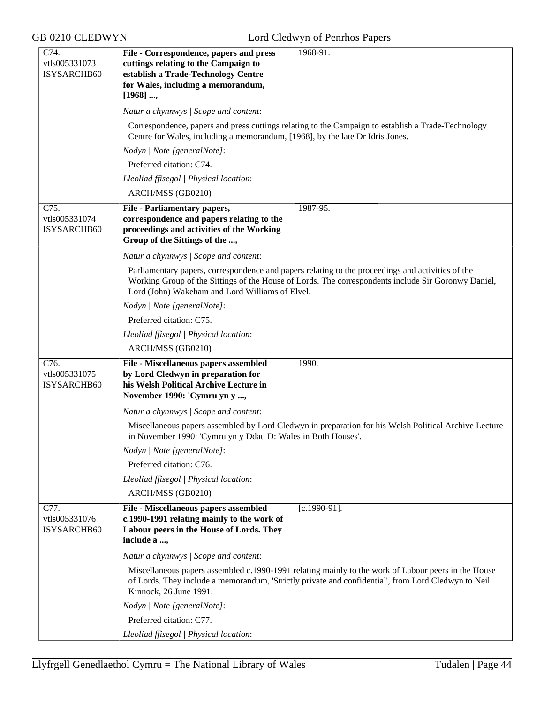| C74.               | File - Correspondence, papers and press<br>1968-91.                                                                                                                                                                                                         |
|--------------------|-------------------------------------------------------------------------------------------------------------------------------------------------------------------------------------------------------------------------------------------------------------|
| vtls005331073      | cuttings relating to the Campaign to                                                                                                                                                                                                                        |
| <b>ISYSARCHB60</b> | establish a Trade-Technology Centre                                                                                                                                                                                                                         |
|                    | for Wales, including a memorandum,                                                                                                                                                                                                                          |
|                    | [1968]                                                                                                                                                                                                                                                      |
|                    | Natur a chynnwys / Scope and content:                                                                                                                                                                                                                       |
|                    | Correspondence, papers and press cuttings relating to the Campaign to establish a Trade-Technology<br>Centre for Wales, including a memorandum, [1968], by the late Dr Idris Jones.                                                                         |
|                    | Nodyn   Note [generalNote]:                                                                                                                                                                                                                                 |
|                    | Preferred citation: C74.                                                                                                                                                                                                                                    |
|                    | Lleoliad ffisegol   Physical location:                                                                                                                                                                                                                      |
|                    | ARCH/MSS (GB0210)                                                                                                                                                                                                                                           |
| C75.               | <b>File - Parliamentary papers,</b><br>1987-95.                                                                                                                                                                                                             |
| vtls005331074      | correspondence and papers relating to the                                                                                                                                                                                                                   |
| ISYSARCHB60        | proceedings and activities of the Working                                                                                                                                                                                                                   |
|                    | Group of the Sittings of the ,                                                                                                                                                                                                                              |
|                    | Natur a chynnwys / Scope and content:                                                                                                                                                                                                                       |
|                    | Parliamentary papers, correspondence and papers relating to the proceedings and activities of the<br>Working Group of the Sittings of the House of Lords. The correspondents include Sir Goronwy Daniel,<br>Lord (John) Wakeham and Lord Williams of Elvel. |
|                    | Nodyn   Note [generalNote]:                                                                                                                                                                                                                                 |
|                    | Preferred citation: C75.                                                                                                                                                                                                                                    |
|                    | Lleoliad ffisegol   Physical location:                                                                                                                                                                                                                      |
|                    | ARCH/MSS (GB0210)                                                                                                                                                                                                                                           |
| C76.               | 1990.<br>File - Miscellaneous papers assembled                                                                                                                                                                                                              |
| vtls005331075      | by Lord Cledwyn in preparation for                                                                                                                                                                                                                          |
| ISYSARCHB60        | his Welsh Political Archive Lecture in                                                                                                                                                                                                                      |
|                    | November 1990: 'Cymru yn y ,                                                                                                                                                                                                                                |
|                    | Natur a chynnwys / Scope and content:                                                                                                                                                                                                                       |
|                    | Miscellaneous papers assembled by Lord Cledwyn in preparation for his Welsh Political Archive Lecture<br>in November 1990: 'Cymru yn y Ddau D: Wales in Both Houses'.                                                                                       |
|                    | Nodyn   Note [generalNote]:                                                                                                                                                                                                                                 |
|                    | Preferred citation: C76.                                                                                                                                                                                                                                    |
|                    | Lleoliad ffisegol   Physical location:                                                                                                                                                                                                                      |
|                    | ARCH/MSS (GB0210)                                                                                                                                                                                                                                           |
| C77.               | File - Miscellaneous papers assembled<br>$[c.1990-91]$ .                                                                                                                                                                                                    |
| vtls005331076      | c.1990-1991 relating mainly to the work of                                                                                                                                                                                                                  |
| ISYSARCHB60        | Labour peers in the House of Lords. They                                                                                                                                                                                                                    |
|                    | include a ,                                                                                                                                                                                                                                                 |
|                    | Natur a chynnwys / Scope and content:                                                                                                                                                                                                                       |
|                    | Miscellaneous papers assembled c.1990-1991 relating mainly to the work of Labour peers in the House                                                                                                                                                         |
|                    | of Lords. They include a memorandum, 'Strictly private and confidential', from Lord Cledwyn to Neil<br>Kinnock, 26 June 1991.                                                                                                                               |
|                    | Nodyn   Note [generalNote]:                                                                                                                                                                                                                                 |
|                    | Preferred citation: C77.                                                                                                                                                                                                                                    |
|                    | Lleoliad ffisegol   Physical location:                                                                                                                                                                                                                      |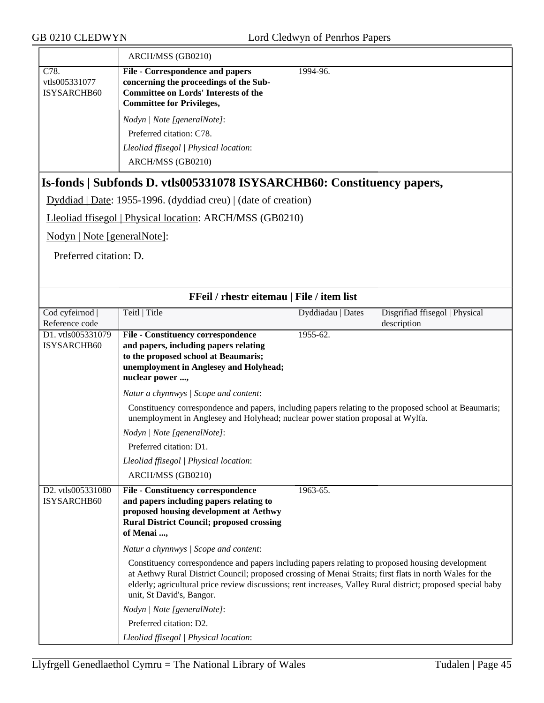| GB 0210 CLEDWYN<br>Lord Cledwyn of Penrhos Papers                                                                                                                                         |                                                                                                                                                                                         |                   |                                               |
|-------------------------------------------------------------------------------------------------------------------------------------------------------------------------------------------|-----------------------------------------------------------------------------------------------------------------------------------------------------------------------------------------|-------------------|-----------------------------------------------|
|                                                                                                                                                                                           | ARCH/MSS (GB0210)                                                                                                                                                                       |                   |                                               |
| C78.<br>vtls005331077<br>ISYSARCHB60                                                                                                                                                      | <b>File - Correspondence and papers</b><br>concerning the proceedings of the Sub-<br><b>Committee on Lords' Interests of the</b><br><b>Committee for Privileges,</b>                    | 1994-96.          |                                               |
|                                                                                                                                                                                           | Nodyn   Note [generalNote]:                                                                                                                                                             |                   |                                               |
|                                                                                                                                                                                           | Preferred citation: C78.                                                                                                                                                                |                   |                                               |
|                                                                                                                                                                                           | Lleoliad ffisegol   Physical location:                                                                                                                                                  |                   |                                               |
|                                                                                                                                                                                           | ARCH/MSS (GB0210)                                                                                                                                                                       |                   |                                               |
|                                                                                                                                                                                           | Is-fonds   Subfonds D. vtls005331078 ISYSARCHB60: Constituency papers,                                                                                                                  |                   |                                               |
|                                                                                                                                                                                           | Dyddiad   Date: 1955-1996. (dyddiad creu)   (date of creation)                                                                                                                          |                   |                                               |
|                                                                                                                                                                                           | Lleoliad ffisegol   Physical location: ARCH/MSS (GB0210)                                                                                                                                |                   |                                               |
| Nodyn   Note [generalNote]:                                                                                                                                                               |                                                                                                                                                                                         |                   |                                               |
| Preferred citation: D.                                                                                                                                                                    |                                                                                                                                                                                         |                   |                                               |
|                                                                                                                                                                                           | FFeil / rhestr eitemau   File / item list                                                                                                                                               |                   |                                               |
| Cod cyfeirnod<br>Reference code                                                                                                                                                           | Teitl   Title                                                                                                                                                                           | Dyddiadau   Dates | Disgrifiad ffisegol   Physical<br>description |
| D1. vtls005331079<br>ISYSARCHB60                                                                                                                                                          | <b>File - Constituency correspondence</b><br>and papers, including papers relating<br>to the proposed school at Beaumaris;<br>unemployment in Anglesey and Holyhead;<br>nuclear power , | 1955-62.          |                                               |
|                                                                                                                                                                                           | Natur a chynnwys / Scope and content:                                                                                                                                                   |                   |                                               |
| Constituency correspondence and papers, including papers relating to the proposed school at Beaumaris;<br>unemployment in Anglesey and Holyhead; nuclear power station proposal at Wylfa. |                                                                                                                                                                                         |                   |                                               |
|                                                                                                                                                                                           | Nodyn   Note [generalNote]:                                                                                                                                                             |                   |                                               |
|                                                                                                                                                                                           | Preferred citation: D1.                                                                                                                                                                 |                   |                                               |
|                                                                                                                                                                                           | Lleoliad ffisegol   Physical location:                                                                                                                                                  |                   |                                               |

|                                               | ARCH/MSS (GB0210)                                                                                                                                                                                                                                                                                                                                                                                                                                                                                      |
|-----------------------------------------------|--------------------------------------------------------------------------------------------------------------------------------------------------------------------------------------------------------------------------------------------------------------------------------------------------------------------------------------------------------------------------------------------------------------------------------------------------------------------------------------------------------|
| D <sub>2</sub> . vtls005331080<br>ISYSARCHB60 | 1963-65.<br><b>File - Constituency correspondence</b><br>and papers including papers relating to<br>proposed housing development at Aethwy<br><b>Rural District Council; proposed crossing</b><br>of Menai ,                                                                                                                                                                                                                                                                                           |
|                                               | Natur a chynnwys   Scope and content:<br>Constituency correspondence and papers including papers relating to proposed housing development<br>at Aethwy Rural District Council; proposed crossing of Menai Straits; first flats in north Wales for the<br>elderly; agricultural price review discussions; rent increases, Valley Rural district; proposed special baby<br>unit, St David's, Bangor.<br>Nodyn / Note [generalNote]:<br>Preferred citation: D2.<br>Lleoliad ffisegol   Physical location: |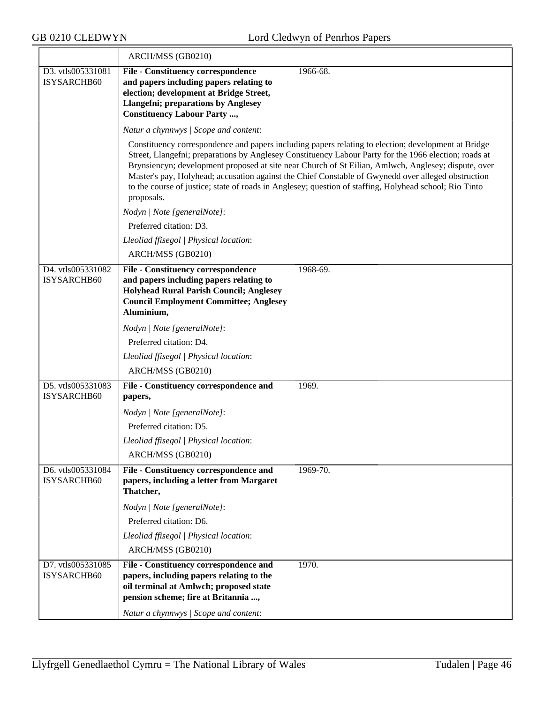≂

|                                  | ARCH/MSS (GB0210)                                                                                                                                                                                            |                                                                                                                                                                                                                                                                                                                                                                                                                                                                                                                                     |
|----------------------------------|--------------------------------------------------------------------------------------------------------------------------------------------------------------------------------------------------------------|-------------------------------------------------------------------------------------------------------------------------------------------------------------------------------------------------------------------------------------------------------------------------------------------------------------------------------------------------------------------------------------------------------------------------------------------------------------------------------------------------------------------------------------|
| D3. vtls005331081                | <b>File - Constituency correspondence</b>                                                                                                                                                                    | 1966-68.                                                                                                                                                                                                                                                                                                                                                                                                                                                                                                                            |
| ISYSARCHB60                      | and papers including papers relating to                                                                                                                                                                      |                                                                                                                                                                                                                                                                                                                                                                                                                                                                                                                                     |
|                                  | election; development at Bridge Street,<br><b>Llangefni</b> ; preparations by Anglesey                                                                                                                       |                                                                                                                                                                                                                                                                                                                                                                                                                                                                                                                                     |
|                                  | <b>Constituency Labour Party ,</b>                                                                                                                                                                           |                                                                                                                                                                                                                                                                                                                                                                                                                                                                                                                                     |
|                                  | Natur a chynnwys / Scope and content:                                                                                                                                                                        |                                                                                                                                                                                                                                                                                                                                                                                                                                                                                                                                     |
|                                  | proposals.                                                                                                                                                                                                   | Constituency correspondence and papers including papers relating to election; development at Bridge<br>Street, Llangefni; preparations by Anglesey Constituency Labour Party for the 1966 election; roads at<br>Brynsiencyn; development proposed at site near Church of St Eilian, Amlwch, Anglesey; dispute, over<br>Master's pay, Holyhead; accusation against the Chief Constable of Gwynedd over alleged obstruction<br>to the course of justice; state of roads in Anglesey; question of staffing, Holyhead school; Rio Tinto |
|                                  | Nodyn   Note [generalNote]:                                                                                                                                                                                  |                                                                                                                                                                                                                                                                                                                                                                                                                                                                                                                                     |
|                                  | Preferred citation: D3.                                                                                                                                                                                      |                                                                                                                                                                                                                                                                                                                                                                                                                                                                                                                                     |
|                                  | Lleoliad ffisegol   Physical location:                                                                                                                                                                       |                                                                                                                                                                                                                                                                                                                                                                                                                                                                                                                                     |
|                                  | ARCH/MSS (GB0210)                                                                                                                                                                                            |                                                                                                                                                                                                                                                                                                                                                                                                                                                                                                                                     |
| D4. vtls005331082<br>ISYSARCHB60 | <b>File - Constituency correspondence</b><br>and papers including papers relating to<br><b>Holyhead Rural Parish Council; Anglesey</b><br><b>Council Employment Committee; Anglesey</b><br>Aluminium,        | 1968-69.                                                                                                                                                                                                                                                                                                                                                                                                                                                                                                                            |
|                                  | Nodyn   Note [generalNote]:                                                                                                                                                                                  |                                                                                                                                                                                                                                                                                                                                                                                                                                                                                                                                     |
|                                  | Preferred citation: D4.                                                                                                                                                                                      |                                                                                                                                                                                                                                                                                                                                                                                                                                                                                                                                     |
|                                  | Lleoliad ffisegol   Physical location:                                                                                                                                                                       |                                                                                                                                                                                                                                                                                                                                                                                                                                                                                                                                     |
|                                  | ARCH/MSS (GB0210)                                                                                                                                                                                            |                                                                                                                                                                                                                                                                                                                                                                                                                                                                                                                                     |
| D5. vtls005331083<br>ISYSARCHB60 | File - Constituency correspondence and<br>papers,                                                                                                                                                            | 1969.                                                                                                                                                                                                                                                                                                                                                                                                                                                                                                                               |
|                                  | Nodyn   Note [generalNote]:                                                                                                                                                                                  |                                                                                                                                                                                                                                                                                                                                                                                                                                                                                                                                     |
|                                  | Preferred citation: D5.                                                                                                                                                                                      |                                                                                                                                                                                                                                                                                                                                                                                                                                                                                                                                     |
|                                  | Lleoliad ffisegol   Physical location:                                                                                                                                                                       |                                                                                                                                                                                                                                                                                                                                                                                                                                                                                                                                     |
|                                  | ARCH/MSS (GB0210)                                                                                                                                                                                            |                                                                                                                                                                                                                                                                                                                                                                                                                                                                                                                                     |
| D6. vtls005331084<br>ISYSARCHB60 | File - Constituency correspondence and<br>papers, including a letter from Margaret<br>Thatcher,                                                                                                              | $1969 - 70.$                                                                                                                                                                                                                                                                                                                                                                                                                                                                                                                        |
|                                  | Nodyn   Note [generalNote]:                                                                                                                                                                                  |                                                                                                                                                                                                                                                                                                                                                                                                                                                                                                                                     |
|                                  | Preferred citation: D6.                                                                                                                                                                                      |                                                                                                                                                                                                                                                                                                                                                                                                                                                                                                                                     |
|                                  | Lleoliad ffisegol   Physical location:                                                                                                                                                                       |                                                                                                                                                                                                                                                                                                                                                                                                                                                                                                                                     |
|                                  | ARCH/MSS (GB0210)                                                                                                                                                                                            |                                                                                                                                                                                                                                                                                                                                                                                                                                                                                                                                     |
| D7. vtls005331085<br>ISYSARCHB60 | File - Constituency correspondence and<br>papers, including papers relating to the<br>oil terminal at Amlwch; proposed state<br>pension scheme; fire at Britannia ,<br>Natur a chynnwys / Scope and content: | 1970.                                                                                                                                                                                                                                                                                                                                                                                                                                                                                                                               |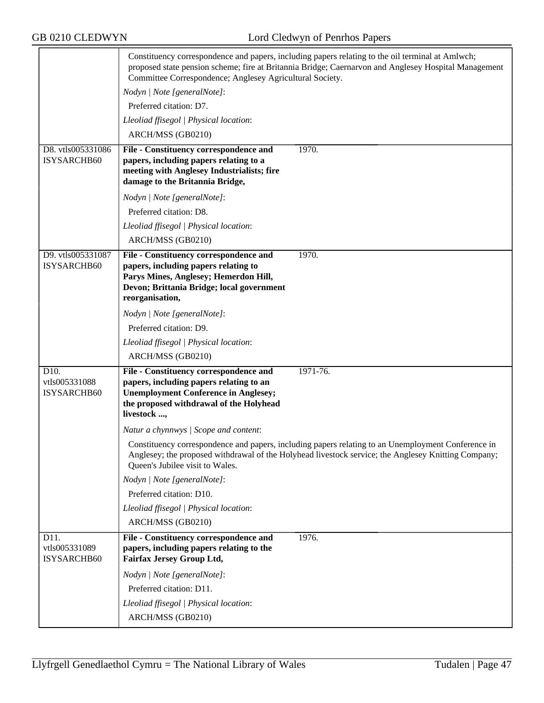|                                      | Constituency correspondence and papers, including papers relating to the oil terminal at Amlwch;<br>proposed state pension scheme; fire at Britannia Bridge; Caernarvon and Anglesey Hospital Management<br>Committee Correspondence; Anglesey Agricultural Society. |  |  |
|--------------------------------------|----------------------------------------------------------------------------------------------------------------------------------------------------------------------------------------------------------------------------------------------------------------------|--|--|
|                                      | Nodyn   Note [generalNote]:                                                                                                                                                                                                                                          |  |  |
|                                      | Preferred citation: D7.                                                                                                                                                                                                                                              |  |  |
|                                      | Lleoliad ffisegol   Physical location:                                                                                                                                                                                                                               |  |  |
|                                      | ARCH/MSS (GB0210)                                                                                                                                                                                                                                                    |  |  |
| D8. vtls005331086<br>ISYSARCHB60     | 1970.<br>File - Constituency correspondence and<br>papers, including papers relating to a<br>meeting with Anglesey Industrialists; fire<br>damage to the Britannia Bridge,                                                                                           |  |  |
|                                      | Nodyn   Note [generalNote]:                                                                                                                                                                                                                                          |  |  |
|                                      | Preferred citation: D8.                                                                                                                                                                                                                                              |  |  |
|                                      | Lleoliad ffisegol   Physical location:                                                                                                                                                                                                                               |  |  |
|                                      | ARCH/MSS (GB0210)                                                                                                                                                                                                                                                    |  |  |
| D9. vtls005331087<br>ISYSARCHB60     | 1970.<br>File - Constituency correspondence and<br>papers, including papers relating to<br>Parys Mines, Anglesey; Hemerdon Hill,<br>Devon; Brittania Bridge; local government<br>reorganisation,                                                                     |  |  |
|                                      | Nodyn   Note [generalNote]:                                                                                                                                                                                                                                          |  |  |
|                                      | Preferred citation: D9.                                                                                                                                                                                                                                              |  |  |
|                                      | Lleoliad ffisegol   Physical location:                                                                                                                                                                                                                               |  |  |
|                                      | ARCH/MSS (GB0210)                                                                                                                                                                                                                                                    |  |  |
| D10.<br>vtls005331088<br>ISYSARCHB60 | 1971-76.<br>File - Constituency correspondence and<br>papers, including papers relating to an<br><b>Unemployment Conference in Anglesey;</b><br>the proposed withdrawal of the Holyhead<br>livestock ,                                                               |  |  |
|                                      | Natur a chynnwys / Scope and content:                                                                                                                                                                                                                                |  |  |
|                                      | Constituency correspondence and papers, including papers relating to an Unemployment Conference in<br>Anglesey; the proposed withdrawal of the Holyhead livestock service; the Anglesey Knitting Company;<br>Queen's Jubilee visit to Wales.                         |  |  |
|                                      | Nodyn   Note [generalNote]:                                                                                                                                                                                                                                          |  |  |
|                                      | Preferred citation: D10.                                                                                                                                                                                                                                             |  |  |
|                                      | Lleoliad ffisegol   Physical location:                                                                                                                                                                                                                               |  |  |
|                                      | ARCH/MSS (GB0210)                                                                                                                                                                                                                                                    |  |  |
| D11.<br>vtls005331089<br>ISYSARCHB60 | File - Constituency correspondence and<br>1976.<br>papers, including papers relating to the<br>Fairfax Jersey Group Ltd,                                                                                                                                             |  |  |
|                                      | Nodyn   Note [generalNote]:                                                                                                                                                                                                                                          |  |  |
|                                      | Preferred citation: D11.                                                                                                                                                                                                                                             |  |  |
|                                      | Lleoliad ffisegol   Physical location:                                                                                                                                                                                                                               |  |  |
|                                      | ARCH/MSS (GB0210)                                                                                                                                                                                                                                                    |  |  |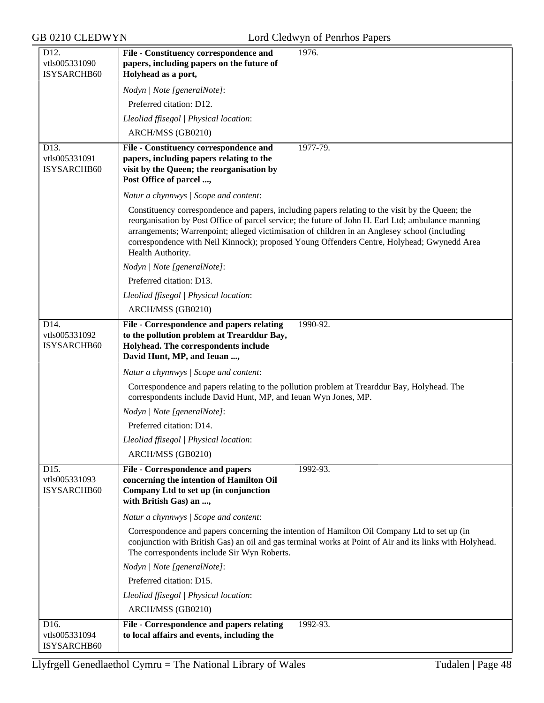| D12.<br>vtls005331090                       | 1976.<br>File - Constituency correspondence and<br>papers, including papers on the future of                                                                                                                                                                                                                                                                                                                               |
|---------------------------------------------|----------------------------------------------------------------------------------------------------------------------------------------------------------------------------------------------------------------------------------------------------------------------------------------------------------------------------------------------------------------------------------------------------------------------------|
| ISYSARCHB60                                 | Holyhead as a port,                                                                                                                                                                                                                                                                                                                                                                                                        |
|                                             | Nodyn   Note [generalNote]:                                                                                                                                                                                                                                                                                                                                                                                                |
|                                             | Preferred citation: D12.                                                                                                                                                                                                                                                                                                                                                                                                   |
|                                             | Lleoliad ffisegol   Physical location:                                                                                                                                                                                                                                                                                                                                                                                     |
|                                             | ARCH/MSS (GB0210)                                                                                                                                                                                                                                                                                                                                                                                                          |
| D13.                                        | 1977-79.<br>File - Constituency correspondence and                                                                                                                                                                                                                                                                                                                                                                         |
| vtls005331091<br>ISYSARCHB60                | papers, including papers relating to the<br>visit by the Queen; the reorganisation by                                                                                                                                                                                                                                                                                                                                      |
|                                             | Post Office of parcel ,                                                                                                                                                                                                                                                                                                                                                                                                    |
|                                             | Natur a chynnwys / Scope and content:                                                                                                                                                                                                                                                                                                                                                                                      |
|                                             | Constituency correspondence and papers, including papers relating to the visit by the Queen; the<br>reorganisation by Post Office of parcel service; the future of John H. Earl Ltd; ambulance manning<br>arrangements; Warrenpoint; alleged victimisation of children in an Anglesey school (including<br>correspondence with Neil Kinnock); proposed Young Offenders Centre, Holyhead; Gwynedd Area<br>Health Authority. |
|                                             | Nodyn   Note [generalNote]:                                                                                                                                                                                                                                                                                                                                                                                                |
|                                             | Preferred citation: D13.                                                                                                                                                                                                                                                                                                                                                                                                   |
|                                             | Lleoliad ffisegol   Physical location:                                                                                                                                                                                                                                                                                                                                                                                     |
|                                             | ARCH/MSS (GB0210)                                                                                                                                                                                                                                                                                                                                                                                                          |
| D14.<br>vtls005331092<br><b>ISYSARCHB60</b> | File - Correspondence and papers relating<br>1990-92.<br>to the pollution problem at Trearddur Bay,<br>Holyhead. The correspondents include<br>David Hunt, MP, and Ieuan ,                                                                                                                                                                                                                                                 |
|                                             | Natur a chynnwys / Scope and content:                                                                                                                                                                                                                                                                                                                                                                                      |
|                                             | Correspondence and papers relating to the pollution problem at Trearddur Bay, Holyhead. The<br>correspondents include David Hunt, MP, and Ieuan Wyn Jones, MP.                                                                                                                                                                                                                                                             |
|                                             | Nodyn   Note [generalNote]:                                                                                                                                                                                                                                                                                                                                                                                                |
|                                             | Preferred citation: D14.                                                                                                                                                                                                                                                                                                                                                                                                   |
|                                             | Lleoliad ffisegol   Physical location:                                                                                                                                                                                                                                                                                                                                                                                     |
|                                             | ARCH/MSS (GB0210)                                                                                                                                                                                                                                                                                                                                                                                                          |
| D15.<br>vtls005331093<br>ISYSARCHB60        | <b>File - Correspondence and papers</b><br>$1992 - 93.$<br>concerning the intention of Hamilton Oil<br>Company Ltd to set up (in conjunction<br>with British Gas) an ,                                                                                                                                                                                                                                                     |
|                                             | Natur a chynnwys / Scope and content:                                                                                                                                                                                                                                                                                                                                                                                      |
|                                             | Correspondence and papers concerning the intention of Hamilton Oil Company Ltd to set up (in<br>conjunction with British Gas) an oil and gas terminal works at Point of Air and its links with Holyhead.<br>The correspondents include Sir Wyn Roberts.                                                                                                                                                                    |
|                                             | Nodyn   Note [generalNote]:                                                                                                                                                                                                                                                                                                                                                                                                |
|                                             | Preferred citation: D15.                                                                                                                                                                                                                                                                                                                                                                                                   |
|                                             | Lleoliad ffisegol   Physical location:                                                                                                                                                                                                                                                                                                                                                                                     |
|                                             | ARCH/MSS (GB0210)                                                                                                                                                                                                                                                                                                                                                                                                          |
| D16.<br>vtls005331094<br>ISYSARCHB60        | File - Correspondence and papers relating<br>1992-93.<br>to local affairs and events, including the                                                                                                                                                                                                                                                                                                                        |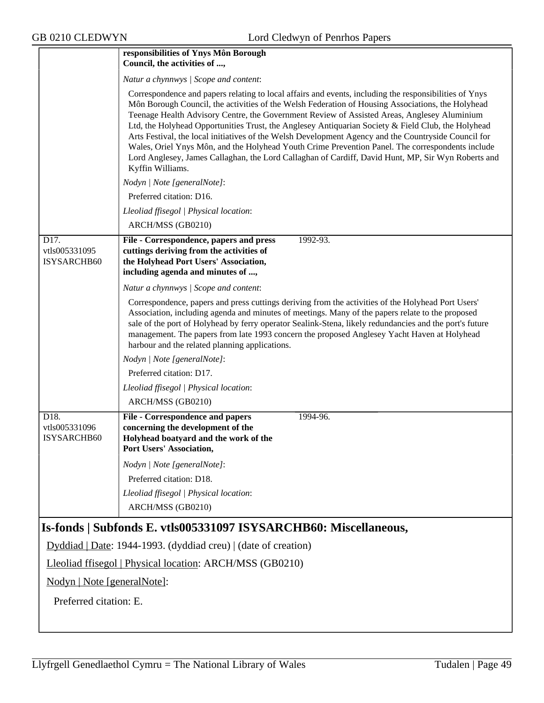|                                      | responsibilities of Ynys Môn Borough<br>Council, the activities of ,                                                                                                                                                                                                                                                                                                                                                                                                                                                                                                                                                                                                                                                                                   |  |  |
|--------------------------------------|--------------------------------------------------------------------------------------------------------------------------------------------------------------------------------------------------------------------------------------------------------------------------------------------------------------------------------------------------------------------------------------------------------------------------------------------------------------------------------------------------------------------------------------------------------------------------------------------------------------------------------------------------------------------------------------------------------------------------------------------------------|--|--|
|                                      | Natur a chynnwys / Scope and content:                                                                                                                                                                                                                                                                                                                                                                                                                                                                                                                                                                                                                                                                                                                  |  |  |
|                                      | Correspondence and papers relating to local affairs and events, including the responsibilities of Ynys<br>Môn Borough Council, the activities of the Welsh Federation of Housing Associations, the Holyhead<br>Teenage Health Advisory Centre, the Government Review of Assisted Areas, Anglesey Aluminium<br>Ltd, the Holyhead Opportunities Trust, the Anglesey Antiquarian Society & Field Club, the Holyhead<br>Arts Festival, the local initiatives of the Welsh Development Agency and the Countryside Council for<br>Wales, Oriel Ynys Môn, and the Holyhead Youth Crime Prevention Panel. The correspondents include<br>Lord Anglesey, James Callaghan, the Lord Callaghan of Cardiff, David Hunt, MP, Sir Wyn Roberts and<br>Kyffin Williams. |  |  |
|                                      | Nodyn   Note [generalNote]:                                                                                                                                                                                                                                                                                                                                                                                                                                                                                                                                                                                                                                                                                                                            |  |  |
|                                      | Preferred citation: D16.                                                                                                                                                                                                                                                                                                                                                                                                                                                                                                                                                                                                                                                                                                                               |  |  |
|                                      | Lleoliad ffisegol   Physical location:                                                                                                                                                                                                                                                                                                                                                                                                                                                                                                                                                                                                                                                                                                                 |  |  |
|                                      | ARCH/MSS (GB0210)                                                                                                                                                                                                                                                                                                                                                                                                                                                                                                                                                                                                                                                                                                                                      |  |  |
| D17.<br>vtls005331095<br>ISYSARCHB60 | File - Correspondence, papers and press<br>1992-93.<br>cuttings deriving from the activities of<br>the Holyhead Port Users' Association,<br>including agenda and minutes of ,                                                                                                                                                                                                                                                                                                                                                                                                                                                                                                                                                                          |  |  |
|                                      | Natur a chynnwys / Scope and content:                                                                                                                                                                                                                                                                                                                                                                                                                                                                                                                                                                                                                                                                                                                  |  |  |
|                                      | Correspondence, papers and press cuttings deriving from the activities of the Holyhead Port Users'<br>Association, including agenda and minutes of meetings. Many of the papers relate to the proposed<br>sale of the port of Holyhead by ferry operator Sealink-Stena, likely redundancies and the port's future<br>management. The papers from late 1993 concern the proposed Anglesey Yacht Haven at Holyhead<br>harbour and the related planning applications.                                                                                                                                                                                                                                                                                     |  |  |
|                                      | Nodyn   Note [generalNote]:                                                                                                                                                                                                                                                                                                                                                                                                                                                                                                                                                                                                                                                                                                                            |  |  |
|                                      | Preferred citation: D17.                                                                                                                                                                                                                                                                                                                                                                                                                                                                                                                                                                                                                                                                                                                               |  |  |
|                                      | Lleoliad ffisegol   Physical location:                                                                                                                                                                                                                                                                                                                                                                                                                                                                                                                                                                                                                                                                                                                 |  |  |
|                                      | ARCH/MSS (GB0210)                                                                                                                                                                                                                                                                                                                                                                                                                                                                                                                                                                                                                                                                                                                                      |  |  |
| D18.<br>vtls005331096<br>ISYSARCHB60 | <b>File - Correspondence and papers</b><br>1994-96.<br>concerning the development of the<br>Holyhead boatyard and the work of the<br>Port Users' Association,                                                                                                                                                                                                                                                                                                                                                                                                                                                                                                                                                                                          |  |  |
|                                      | Nodyn   Note [generalNote]:                                                                                                                                                                                                                                                                                                                                                                                                                                                                                                                                                                                                                                                                                                                            |  |  |
|                                      | Preferred citation: D18.                                                                                                                                                                                                                                                                                                                                                                                                                                                                                                                                                                                                                                                                                                                               |  |  |
|                                      | Lleoliad ffisegol   Physical location:<br>ARCH/MSS (GB0210)                                                                                                                                                                                                                                                                                                                                                                                                                                                                                                                                                                                                                                                                                            |  |  |
|                                      | Is-fonds   Subfonds E. vtls005331097 ISYSARCHB60: Miscellaneous,                                                                                                                                                                                                                                                                                                                                                                                                                                                                                                                                                                                                                                                                                       |  |  |
|                                      | Dyddiad   Date: 1944-1993. (dyddiad creu)   (date of creation)                                                                                                                                                                                                                                                                                                                                                                                                                                                                                                                                                                                                                                                                                         |  |  |
|                                      | Lleoliad ffisegol   Physical location: ARCH/MSS (GB0210)                                                                                                                                                                                                                                                                                                                                                                                                                                                                                                                                                                                                                                                                                               |  |  |
| Nodyn   Note [generalNote]:          |                                                                                                                                                                                                                                                                                                                                                                                                                                                                                                                                                                                                                                                                                                                                                        |  |  |
| Preferred citation: E.               |                                                                                                                                                                                                                                                                                                                                                                                                                                                                                                                                                                                                                                                                                                                                                        |  |  |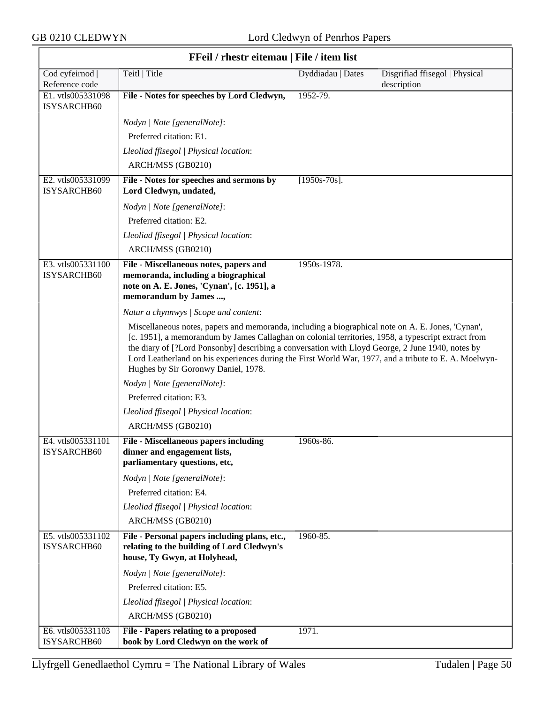$\overline{1}$ 

| FFeil / rhestr eitemau   File / item list |                                                                                                                                                                                                                                                                                                                                                                                                                                                              |                   |                                               |  |
|-------------------------------------------|--------------------------------------------------------------------------------------------------------------------------------------------------------------------------------------------------------------------------------------------------------------------------------------------------------------------------------------------------------------------------------------------------------------------------------------------------------------|-------------------|-----------------------------------------------|--|
| Cod cyfeirnod  <br>Reference code         | Teitl   Title                                                                                                                                                                                                                                                                                                                                                                                                                                                | Dyddiadau   Dates | Disgrifiad ffisegol   Physical<br>description |  |
| E1. vtls005331098<br>ISYSARCHB60          | File - Notes for speeches by Lord Cledwyn,                                                                                                                                                                                                                                                                                                                                                                                                                   | 1952-79.          |                                               |  |
|                                           | Nodyn   Note [generalNote]:                                                                                                                                                                                                                                                                                                                                                                                                                                  |                   |                                               |  |
|                                           | Preferred citation: E1.                                                                                                                                                                                                                                                                                                                                                                                                                                      |                   |                                               |  |
|                                           | Lleoliad ffisegol   Physical location:                                                                                                                                                                                                                                                                                                                                                                                                                       |                   |                                               |  |
|                                           | ARCH/MSS (GB0210)                                                                                                                                                                                                                                                                                                                                                                                                                                            |                   |                                               |  |
| E2. vtls005331099<br>ISYSARCHB60          | File - Notes for speeches and sermons by<br>Lord Cledwyn, undated,                                                                                                                                                                                                                                                                                                                                                                                           | $[1950s-70s]$ .   |                                               |  |
|                                           | Nodyn   Note [generalNote]:                                                                                                                                                                                                                                                                                                                                                                                                                                  |                   |                                               |  |
|                                           | Preferred citation: E2.                                                                                                                                                                                                                                                                                                                                                                                                                                      |                   |                                               |  |
|                                           | Lleoliad ffisegol   Physical location:                                                                                                                                                                                                                                                                                                                                                                                                                       |                   |                                               |  |
|                                           | ARCH/MSS (GB0210)                                                                                                                                                                                                                                                                                                                                                                                                                                            |                   |                                               |  |
| E3. vtls005331100<br>ISYSARCHB60          | File - Miscellaneous notes, papers and<br>memoranda, including a biographical<br>note on A. E. Jones, 'Cynan', [c. 1951], a<br>memorandum by James ,                                                                                                                                                                                                                                                                                                         | 1950s-1978.       |                                               |  |
|                                           | Natur a chynnwys / Scope and content:                                                                                                                                                                                                                                                                                                                                                                                                                        |                   |                                               |  |
|                                           | Miscellaneous notes, papers and memoranda, including a biographical note on A. E. Jones, 'Cynan',<br>[c. 1951], a memorandum by James Callaghan on colonial territories, 1958, a typescript extract from<br>the diary of [?Lord Ponsonby] describing a conversation with Lloyd George, 2 June 1940, notes by<br>Lord Leatherland on his experiences during the First World War, 1977, and a tribute to E. A. Moelwyn-<br>Hughes by Sir Goronwy Daniel, 1978. |                   |                                               |  |
|                                           | Nodyn   Note [generalNote]:                                                                                                                                                                                                                                                                                                                                                                                                                                  |                   |                                               |  |
|                                           | Preferred citation: E3.                                                                                                                                                                                                                                                                                                                                                                                                                                      |                   |                                               |  |
|                                           | Lleoliad ffisegol   Physical location:                                                                                                                                                                                                                                                                                                                                                                                                                       |                   |                                               |  |
|                                           | ARCH/MSS (GB0210)                                                                                                                                                                                                                                                                                                                                                                                                                                            |                   |                                               |  |
| E4. vtls005331101<br>ISYSARCHB60          | <b>File - Miscellaneous papers including</b><br>dinner and engagement lists,<br>parliamentary questions, etc,                                                                                                                                                                                                                                                                                                                                                | 1960s-86.         |                                               |  |
|                                           | Nodyn   Note [generalNote]:                                                                                                                                                                                                                                                                                                                                                                                                                                  |                   |                                               |  |
|                                           | Preferred citation: E4.                                                                                                                                                                                                                                                                                                                                                                                                                                      |                   |                                               |  |
|                                           | Lleoliad ffisegol   Physical location:                                                                                                                                                                                                                                                                                                                                                                                                                       |                   |                                               |  |
|                                           | ARCH/MSS (GB0210)                                                                                                                                                                                                                                                                                                                                                                                                                                            |                   |                                               |  |
| E5. vtls005331102<br>ISYSARCHB60          | File - Personal papers including plans, etc.,<br>relating to the building of Lord Cledwyn's<br>house, Ty Gwyn, at Holyhead,                                                                                                                                                                                                                                                                                                                                  | 1960-85.          |                                               |  |
|                                           | Nodyn   Note [generalNote]:                                                                                                                                                                                                                                                                                                                                                                                                                                  |                   |                                               |  |
|                                           | Preferred citation: E5.                                                                                                                                                                                                                                                                                                                                                                                                                                      |                   |                                               |  |
|                                           | Lleoliad ffisegol   Physical location:                                                                                                                                                                                                                                                                                                                                                                                                                       |                   |                                               |  |
|                                           | ARCH/MSS (GB0210)                                                                                                                                                                                                                                                                                                                                                                                                                                            |                   |                                               |  |
| E6. vtls005331103<br>ISYSARCHB60          | File - Papers relating to a proposed<br>book by Lord Cledwyn on the work of                                                                                                                                                                                                                                                                                                                                                                                  | 1971.             |                                               |  |

#### **FFeil / rhestr eitemau | File / item list**

٦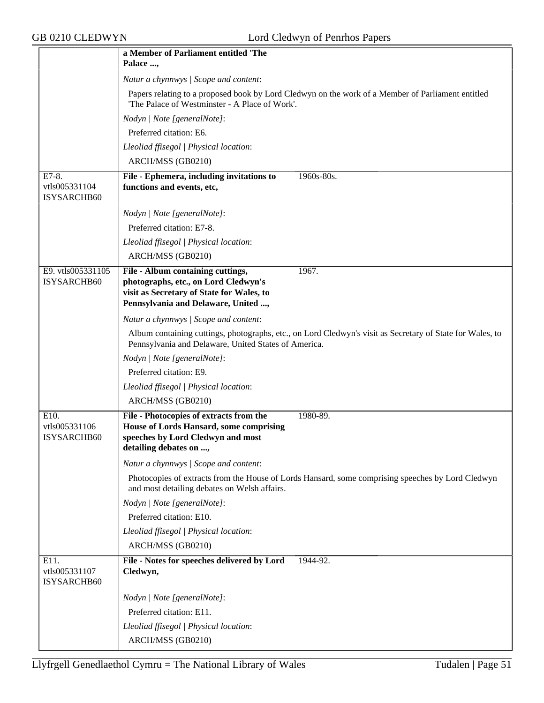|                                       | a Member of Parliament entitled 'The                                                                                                                                   |  |  |
|---------------------------------------|------------------------------------------------------------------------------------------------------------------------------------------------------------------------|--|--|
|                                       | Palace ,                                                                                                                                                               |  |  |
|                                       | Natur a chynnwys / Scope and content:                                                                                                                                  |  |  |
|                                       | Papers relating to a proposed book by Lord Cledwyn on the work of a Member of Parliament entitled<br>'The Palace of Westminster - A Place of Work'.                    |  |  |
|                                       | Nodyn   Note [generalNote]:                                                                                                                                            |  |  |
|                                       | Preferred citation: E6.                                                                                                                                                |  |  |
|                                       | Lleoliad ffisegol   Physical location:                                                                                                                                 |  |  |
|                                       | ARCH/MSS (GB0210)                                                                                                                                                      |  |  |
| E7-8.<br>vtls005331104<br>ISYSARCHB60 | File - Ephemera, including invitations to<br>1960s-80s.<br>functions and events, etc,                                                                                  |  |  |
|                                       | Nodyn   Note [generalNote]:                                                                                                                                            |  |  |
|                                       | Preferred citation: E7-8.                                                                                                                                              |  |  |
|                                       | Lleoliad ffisegol   Physical location:                                                                                                                                 |  |  |
|                                       | ARCH/MSS (GB0210)                                                                                                                                                      |  |  |
| E9. vtls005331105<br>ISYSARCHB60      | File - Album containing cuttings,<br>1967.<br>photographs, etc., on Lord Cledwyn's<br>visit as Secretary of State for Wales, to<br>Pennsylvania and Delaware, United , |  |  |
|                                       | Natur a chynnwys / Scope and content:                                                                                                                                  |  |  |
|                                       | Album containing cuttings, photographs, etc., on Lord Cledwyn's visit as Secretary of State for Wales, to<br>Pennsylvania and Delaware, United States of America.      |  |  |
|                                       | Nodyn   Note [generalNote]:                                                                                                                                            |  |  |
|                                       | Preferred citation: E9.                                                                                                                                                |  |  |
|                                       | Lleoliad ffisegol   Physical location:                                                                                                                                 |  |  |
|                                       | ARCH/MSS (GB0210)                                                                                                                                                      |  |  |
| E10.<br>vtls005331106<br>ISYSARCHB60  | File - Photocopies of extracts from the<br>1980-89.<br>House of Lords Hansard, some comprising<br>speeches by Lord Cledwyn and most<br>detailing debates on ,          |  |  |
|                                       | Natur a chynnwys / Scope and content:                                                                                                                                  |  |  |
|                                       | Photocopies of extracts from the House of Lords Hansard, some comprising speeches by Lord Cledwyn<br>and most detailing debates on Welsh affairs.                      |  |  |
|                                       | Nodyn   Note [generalNote]:                                                                                                                                            |  |  |
|                                       | Preferred citation: E10.                                                                                                                                               |  |  |
|                                       | Lleoliad ffisegol   Physical location:                                                                                                                                 |  |  |
|                                       | ARCH/MSS (GB0210)                                                                                                                                                      |  |  |
| E11.<br>vtls005331107<br>ISYSARCHB60  | File - Notes for speeches delivered by Lord<br>1944-92.<br>Cledwyn,                                                                                                    |  |  |
|                                       | Nodyn   Note [generalNote]:                                                                                                                                            |  |  |
|                                       | Preferred citation: E11.                                                                                                                                               |  |  |
|                                       | Lleoliad ffisegol   Physical location:                                                                                                                                 |  |  |
|                                       | ARCH/MSS (GB0210)                                                                                                                                                      |  |  |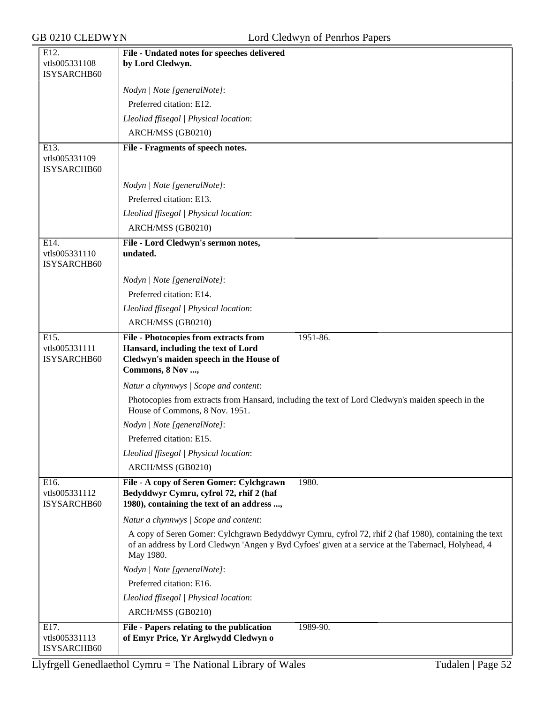| E12.                         | File - Undated notes for speeches delivered                                                                                         |
|------------------------------|-------------------------------------------------------------------------------------------------------------------------------------|
| vtls005331108                | by Lord Cledwyn.                                                                                                                    |
| ISYSARCHB60                  |                                                                                                                                     |
|                              | Nodyn   Note [generalNote]:                                                                                                         |
|                              | Preferred citation: E12.                                                                                                            |
|                              | Lleoliad ffisegol   Physical location:                                                                                              |
|                              | ARCH/MSS (GB0210)                                                                                                                   |
| E13.                         | File - Fragments of speech notes.                                                                                                   |
| vtls005331109                |                                                                                                                                     |
| ISYSARCHB60                  |                                                                                                                                     |
|                              | Nodyn   Note [generalNote]:                                                                                                         |
|                              | Preferred citation: E13.                                                                                                            |
|                              | Lleoliad ffisegol   Physical location:                                                                                              |
|                              | ARCH/MSS (GB0210)                                                                                                                   |
| E14.                         | File - Lord Cledwyn's sermon notes,                                                                                                 |
| vtls005331110<br>ISYSARCHB60 | undated.                                                                                                                            |
|                              | Nodyn   Note [generalNote]:                                                                                                         |
|                              | Preferred citation: E14.                                                                                                            |
|                              | Lleoliad ffisegol   Physical location:                                                                                              |
|                              | ARCH/MSS (GB0210)                                                                                                                   |
| E15.                         | 1951-86.<br><b>File - Photocopies from extracts from</b>                                                                            |
| vtls005331111                | Hansard, including the text of Lord                                                                                                 |
| ISYSARCHB60                  | Cledwyn's maiden speech in the House of                                                                                             |
|                              | Commons, 8 Nov ,                                                                                                                    |
|                              | Natur a chynnwys / Scope and content:                                                                                               |
|                              | Photocopies from extracts from Hansard, including the text of Lord Cledwyn's maiden speech in the<br>House of Commons, 8 Nov. 1951. |
|                              | Nodyn   Note [generalNote]:                                                                                                         |
|                              | Preferred citation: E15.                                                                                                            |
|                              | Lleoliad ffisegol   Physical location:                                                                                              |
|                              | ARCH/MSS (GB0210)                                                                                                                   |
| E16.                         | File - A copy of Seren Gomer: Cylchgrawn<br>1980.                                                                                   |
| vtls005331112<br>ISYSARCHB60 | Bedyddwyr Cymru, cyfrol 72, rhif 2 (haf<br>1980), containing the text of an address ,                                               |
|                              | Natur a chynnwys / Scope and content:                                                                                               |
|                              | A copy of Seren Gomer: Cylchgrawn Bedyddwyr Cymru, cyfrol 72, rhif 2 (haf 1980), containing the text                                |
|                              | of an address by Lord Cledwyn 'Angen y Byd Cyfoes' given at a service at the Tabernacl, Holyhead, 4<br>May 1980.                    |
|                              | Nodyn   Note [generalNote]:                                                                                                         |
|                              | Preferred citation: E16.                                                                                                            |
|                              | Lleoliad ffisegol   Physical location:                                                                                              |
|                              | ARCH/MSS (GB0210)                                                                                                                   |
| E17.                         | File - Papers relating to the publication<br>1989-90.                                                                               |
| vtls005331113<br>ISYSARCHB60 | of Emyr Price, Yr Arglwydd Cledwyn o                                                                                                |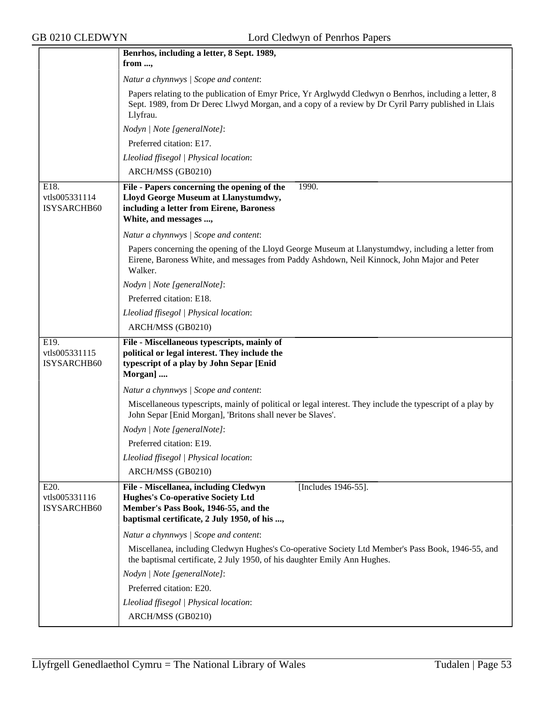|                                      | Benrhos, including a letter, 8 Sept. 1989,                                                                                                                                                                                |  |  |  |
|--------------------------------------|---------------------------------------------------------------------------------------------------------------------------------------------------------------------------------------------------------------------------|--|--|--|
|                                      | from ,                                                                                                                                                                                                                    |  |  |  |
|                                      | Natur a chynnwys / Scope and content:                                                                                                                                                                                     |  |  |  |
|                                      | Papers relating to the publication of Emyr Price, Yr Arglwydd Cledwyn o Benrhos, including a letter, 8<br>Sept. 1989, from Dr Derec Llwyd Morgan, and a copy of a review by Dr Cyril Parry published in Llais<br>Llyfrau. |  |  |  |
|                                      | Nodyn   Note [generalNote]:                                                                                                                                                                                               |  |  |  |
|                                      | Preferred citation: E17.                                                                                                                                                                                                  |  |  |  |
|                                      | Lleoliad ffisegol   Physical location:                                                                                                                                                                                    |  |  |  |
|                                      | ARCH/MSS (GB0210)                                                                                                                                                                                                         |  |  |  |
| E18.<br>vtls005331114<br>ISYSARCHB60 | File - Papers concerning the opening of the<br>1990.<br>Lloyd George Museum at Llanystumdwy,<br>including a letter from Eirene, Baroness<br>White, and messages ,                                                         |  |  |  |
|                                      | Natur a chynnwys / Scope and content:                                                                                                                                                                                     |  |  |  |
|                                      | Papers concerning the opening of the Lloyd George Museum at Llanystumdwy, including a letter from<br>Eirene, Baroness White, and messages from Paddy Ashdown, Neil Kinnock, John Major and Peter<br>Walker.               |  |  |  |
|                                      | Nodyn   Note [generalNote]:                                                                                                                                                                                               |  |  |  |
|                                      | Preferred citation: E18.                                                                                                                                                                                                  |  |  |  |
|                                      | Lleoliad ffisegol   Physical location:                                                                                                                                                                                    |  |  |  |
|                                      | ARCH/MSS (GB0210)                                                                                                                                                                                                         |  |  |  |
|                                      |                                                                                                                                                                                                                           |  |  |  |
| E19.<br>vtls005331115<br>ISYSARCHB60 | File - Miscellaneous typescripts, mainly of<br>political or legal interest. They include the<br>typescript of a play by John Separ [Enid<br>Morgan]                                                                       |  |  |  |
|                                      | Natur a chynnwys / Scope and content:                                                                                                                                                                                     |  |  |  |
|                                      | Miscellaneous typescripts, mainly of political or legal interest. They include the typescript of a play by<br>John Separ [Enid Morgan], 'Britons shall never be Slaves'.                                                  |  |  |  |
|                                      | Nodyn   Note [generalNote]:                                                                                                                                                                                               |  |  |  |
|                                      | Preferred citation: E19.                                                                                                                                                                                                  |  |  |  |
|                                      | Lleoliad ffisegol   Physical location:                                                                                                                                                                                    |  |  |  |
|                                      | ARCH/MSS (GB0210)                                                                                                                                                                                                         |  |  |  |
| E20.<br>vtls005331116<br>ISYSARCHB60 | File - Miscellanea, including Cledwyn<br>[Includes 1946-55].<br><b>Hughes's Co-operative Society Ltd</b><br>Member's Pass Book, 1946-55, and the<br>baptismal certificate, 2 July 1950, of his ,                          |  |  |  |
|                                      | Natur a chynnwys / Scope and content:                                                                                                                                                                                     |  |  |  |
|                                      | Miscellanea, including Cledwyn Hughes's Co-operative Society Ltd Member's Pass Book, 1946-55, and<br>the baptismal certificate, 2 July 1950, of his daughter Emily Ann Hughes.                                            |  |  |  |
|                                      | Nodyn   Note [generalNote]:                                                                                                                                                                                               |  |  |  |
|                                      | Preferred citation: E20.                                                                                                                                                                                                  |  |  |  |
|                                      | Lleoliad ffisegol   Physical location:                                                                                                                                                                                    |  |  |  |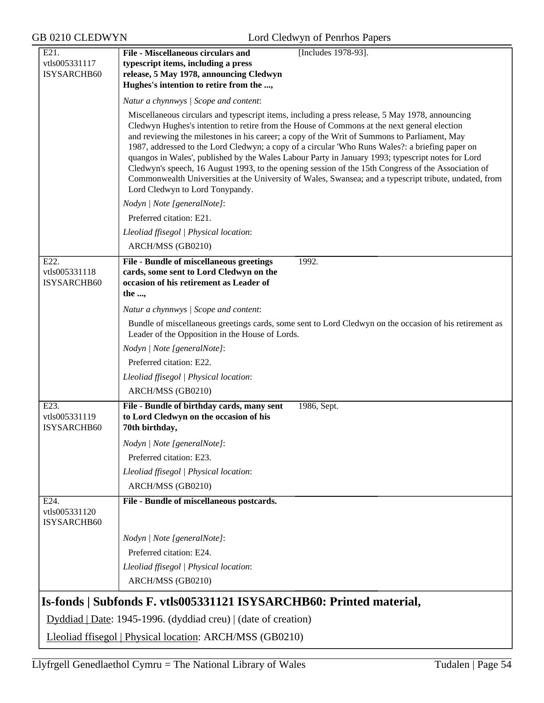| E21.                                 | [Includes 1978-93].<br><b>File - Miscellaneous circulars and</b>                                                                                                                                                                                                                                                                                                                                                                                                                                                                                                                                                                                                                                                                                           |  |  |
|--------------------------------------|------------------------------------------------------------------------------------------------------------------------------------------------------------------------------------------------------------------------------------------------------------------------------------------------------------------------------------------------------------------------------------------------------------------------------------------------------------------------------------------------------------------------------------------------------------------------------------------------------------------------------------------------------------------------------------------------------------------------------------------------------------|--|--|
| vtls005331117<br>ISYSARCHB60         | typescript items, including a press<br>release, 5 May 1978, announcing Cledwyn<br>Hughes's intention to retire from the ,                                                                                                                                                                                                                                                                                                                                                                                                                                                                                                                                                                                                                                  |  |  |
|                                      | Natur a chynnwys / Scope and content:                                                                                                                                                                                                                                                                                                                                                                                                                                                                                                                                                                                                                                                                                                                      |  |  |
|                                      | Miscellaneous circulars and typescript items, including a press release, 5 May 1978, announcing<br>Cledwyn Hughes's intention to retire from the House of Commons at the next general election<br>and reviewing the milestones in his career; a copy of the Writ of Summons to Parliament, May<br>1987, addressed to the Lord Cledwyn; a copy of a circular 'Who Runs Wales?: a briefing paper on<br>quangos in Wales', published by the Wales Labour Party in January 1993; typescript notes for Lord<br>Cledwyn's speech, 16 August 1993, to the opening session of the 15th Congress of the Association of<br>Commonwealth Universities at the University of Wales, Swansea; and a typescript tribute, undated, from<br>Lord Cledwyn to Lord Tonypandy. |  |  |
|                                      | Nodyn   Note [generalNote]:                                                                                                                                                                                                                                                                                                                                                                                                                                                                                                                                                                                                                                                                                                                                |  |  |
|                                      | Preferred citation: E21.                                                                                                                                                                                                                                                                                                                                                                                                                                                                                                                                                                                                                                                                                                                                   |  |  |
|                                      | Lleoliad ffisegol   Physical location:                                                                                                                                                                                                                                                                                                                                                                                                                                                                                                                                                                                                                                                                                                                     |  |  |
|                                      | ARCH/MSS (GB0210)                                                                                                                                                                                                                                                                                                                                                                                                                                                                                                                                                                                                                                                                                                                                          |  |  |
| E22.<br>vtls005331118<br>ISYSARCHB60 | File - Bundle of miscellaneous greetings<br>1992.<br>cards, some sent to Lord Cledwyn on the<br>occasion of his retirement as Leader of<br>the ,                                                                                                                                                                                                                                                                                                                                                                                                                                                                                                                                                                                                           |  |  |
|                                      | Natur a chynnwys / Scope and content:                                                                                                                                                                                                                                                                                                                                                                                                                                                                                                                                                                                                                                                                                                                      |  |  |
|                                      | Bundle of miscellaneous greetings cards, some sent to Lord Cledwyn on the occasion of his retirement as<br>Leader of the Opposition in the House of Lords.                                                                                                                                                                                                                                                                                                                                                                                                                                                                                                                                                                                                 |  |  |
|                                      | Nodyn   Note [generalNote]:                                                                                                                                                                                                                                                                                                                                                                                                                                                                                                                                                                                                                                                                                                                                |  |  |
|                                      | Preferred citation: E22.                                                                                                                                                                                                                                                                                                                                                                                                                                                                                                                                                                                                                                                                                                                                   |  |  |
|                                      | Lleoliad ffisegol   Physical location:                                                                                                                                                                                                                                                                                                                                                                                                                                                                                                                                                                                                                                                                                                                     |  |  |
|                                      | ARCH/MSS (GB0210)                                                                                                                                                                                                                                                                                                                                                                                                                                                                                                                                                                                                                                                                                                                                          |  |  |
| E23.<br>vtls005331119<br>ISYSARCHB60 | File - Bundle of birthday cards, many sent<br>1986, Sept.<br>to Lord Cledwyn on the occasion of his<br>70th birthday,                                                                                                                                                                                                                                                                                                                                                                                                                                                                                                                                                                                                                                      |  |  |
|                                      | Nodyn   Note [generalNote]:                                                                                                                                                                                                                                                                                                                                                                                                                                                                                                                                                                                                                                                                                                                                |  |  |
|                                      | Preferred citation: E23.                                                                                                                                                                                                                                                                                                                                                                                                                                                                                                                                                                                                                                                                                                                                   |  |  |
|                                      | Lleoliad ffisegol   Physical location:                                                                                                                                                                                                                                                                                                                                                                                                                                                                                                                                                                                                                                                                                                                     |  |  |
|                                      | ARCH/MSS (GB0210)                                                                                                                                                                                                                                                                                                                                                                                                                                                                                                                                                                                                                                                                                                                                          |  |  |
| E24.<br>vtls005331120<br>ISYSARCHB60 | File - Bundle of miscellaneous postcards.                                                                                                                                                                                                                                                                                                                                                                                                                                                                                                                                                                                                                                                                                                                  |  |  |
|                                      | Nodyn   Note [generalNote]:                                                                                                                                                                                                                                                                                                                                                                                                                                                                                                                                                                                                                                                                                                                                |  |  |
|                                      | Preferred citation: E24.                                                                                                                                                                                                                                                                                                                                                                                                                                                                                                                                                                                                                                                                                                                                   |  |  |
|                                      | Lleoliad ffisegol   Physical location:<br>ARCH/MSS (GB0210)                                                                                                                                                                                                                                                                                                                                                                                                                                                                                                                                                                                                                                                                                                |  |  |
|                                      | Is-fonds   Subfonds F. vtls005331121 ISYSARCHB60: Printed material,                                                                                                                                                                                                                                                                                                                                                                                                                                                                                                                                                                                                                                                                                        |  |  |
|                                      | Dyddiad   Date: 1945-1996. (dyddiad creu)   (date of creation)                                                                                                                                                                                                                                                                                                                                                                                                                                                                                                                                                                                                                                                                                             |  |  |
|                                      | Lleoliad ffisegol   Physical location: ARCH/MSS (GB0210)                                                                                                                                                                                                                                                                                                                                                                                                                                                                                                                                                                                                                                                                                                   |  |  |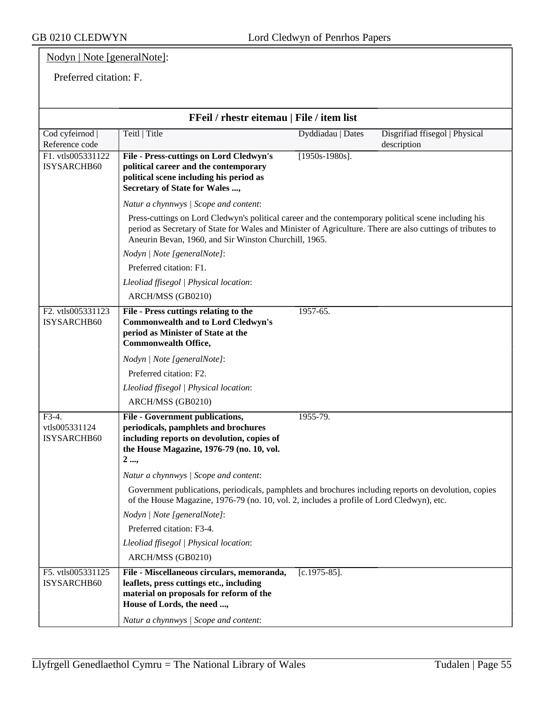## Nodyn | Note [generalNote]:

#### Preferred citation: F.

| FFeil / rhestr eitemau   File / item list |                                                                                                                                                                                                                                                                             |                   |                                |  |
|-------------------------------------------|-----------------------------------------------------------------------------------------------------------------------------------------------------------------------------------------------------------------------------------------------------------------------------|-------------------|--------------------------------|--|
| Cod cyfeirnod                             | Teitl   Title                                                                                                                                                                                                                                                               | Dyddiadau   Dates | Disgrifiad ffisegol   Physical |  |
| Reference code                            |                                                                                                                                                                                                                                                                             |                   | description                    |  |
| F1. vtls005331122<br>ISYSARCHB60          | <b>File - Press-cuttings on Lord Cledwyn's</b><br>political career and the contemporary<br>political scene including his period as<br>Secretary of State for Wales ,                                                                                                        | $[1950s-1980s]$ . |                                |  |
|                                           | Natur a chynnwys / Scope and content:                                                                                                                                                                                                                                       |                   |                                |  |
|                                           | Press-cuttings on Lord Cledwyn's political career and the contemporary political scene including his<br>period as Secretary of State for Wales and Minister of Agriculture. There are also cuttings of tributes to<br>Aneurin Bevan, 1960, and Sir Winston Churchill, 1965. |                   |                                |  |
|                                           | Nodyn   Note [generalNote]:                                                                                                                                                                                                                                                 |                   |                                |  |
|                                           | Preferred citation: F1.                                                                                                                                                                                                                                                     |                   |                                |  |
|                                           | Lleoliad ffisegol   Physical location:                                                                                                                                                                                                                                      |                   |                                |  |
|                                           | ARCH/MSS (GB0210)                                                                                                                                                                                                                                                           |                   |                                |  |
| F2. vtls005331123                         | File - Press cuttings relating to the                                                                                                                                                                                                                                       | 1957-65.          |                                |  |
| <b>ISYSARCHB60</b>                        | <b>Commonwealth and to Lord Cledwyn's</b><br>period as Minister of State at the<br><b>Commonwealth Office,</b>                                                                                                                                                              |                   |                                |  |
|                                           | Nodyn   Note [generalNote]:                                                                                                                                                                                                                                                 |                   |                                |  |
|                                           | Preferred citation: F2.                                                                                                                                                                                                                                                     |                   |                                |  |
|                                           | Lleoliad ffisegol   Physical location:                                                                                                                                                                                                                                      |                   |                                |  |
|                                           | ARCH/MSS (GB0210)                                                                                                                                                                                                                                                           |                   |                                |  |
| $F3-4.$<br>vtls005331124<br>ISYSARCHB60   | <b>File - Government publications,</b><br>periodicals, pamphlets and brochures<br>including reports on devolution, copies of<br>the House Magazine, 1976-79 (no. 10, vol.<br>2,                                                                                             | 1955-79.          |                                |  |
|                                           | Natur a chynnwys / Scope and content:                                                                                                                                                                                                                                       |                   |                                |  |
|                                           | Government publications, periodicals, pamphlets and brochures including reports on devolution, copies<br>of the House Magazine, 1976-79 (no. 10, vol. 2, includes a profile of Lord Cledwyn), etc.                                                                          |                   |                                |  |
|                                           | Nodyn   Note [generalNote]:                                                                                                                                                                                                                                                 |                   |                                |  |
|                                           | Preferred citation: F3-4.                                                                                                                                                                                                                                                   |                   |                                |  |
|                                           | Lleoliad ffisegol   Physical location:                                                                                                                                                                                                                                      |                   |                                |  |
|                                           | ARCH/MSS (GB0210)                                                                                                                                                                                                                                                           |                   |                                |  |
| F5. vtls005331125<br>ISYSARCHB60          | File - Miscellaneous circulars, memoranda,<br>leaflets, press cuttings etc., including<br>material on proposals for reform of the<br>House of Lords, the need ,<br>Natur a chynnwys / Scope and content:                                                                    | $[c.1975-85]$ .   |                                |  |
|                                           |                                                                                                                                                                                                                                                                             |                   |                                |  |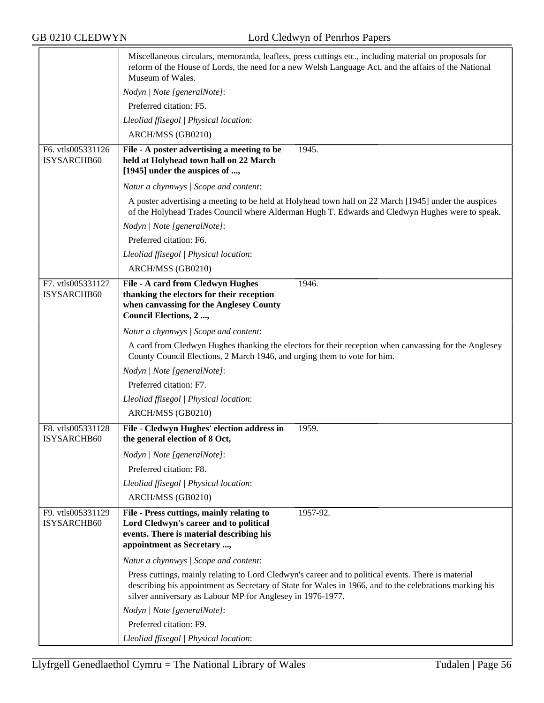|                                  | Miscellaneous circulars, memoranda, leaflets, press cuttings etc., including material on proposals for<br>reform of the House of Lords, the need for a new Welsh Language Act, and the affairs of the National<br>Museum of Wales.                                           |  |  |  |
|----------------------------------|------------------------------------------------------------------------------------------------------------------------------------------------------------------------------------------------------------------------------------------------------------------------------|--|--|--|
|                                  | Nodyn   Note [generalNote]:                                                                                                                                                                                                                                                  |  |  |  |
|                                  | Preferred citation: F5.                                                                                                                                                                                                                                                      |  |  |  |
|                                  | Lleoliad ffisegol   Physical location:                                                                                                                                                                                                                                       |  |  |  |
|                                  | ARCH/MSS (GB0210)                                                                                                                                                                                                                                                            |  |  |  |
| F6. vtls005331126<br>ISYSARCHB60 | File - A poster advertising a meeting to be<br>1945.<br>held at Holyhead town hall on 22 March<br>[1945] under the auspices of ,                                                                                                                                             |  |  |  |
|                                  | Natur a chynnwys / Scope and content:                                                                                                                                                                                                                                        |  |  |  |
|                                  | A poster advertising a meeting to be held at Holyhead town hall on 22 March [1945] under the auspices<br>of the Holyhead Trades Council where Alderman Hugh T. Edwards and Cledwyn Hughes were to speak.                                                                     |  |  |  |
|                                  | Nodyn   Note [generalNote]:                                                                                                                                                                                                                                                  |  |  |  |
|                                  | Preferred citation: F6.                                                                                                                                                                                                                                                      |  |  |  |
|                                  | Lleoliad ffisegol   Physical location:                                                                                                                                                                                                                                       |  |  |  |
|                                  | ARCH/MSS (GB0210)                                                                                                                                                                                                                                                            |  |  |  |
| F7. vtls005331127                | File - A card from Cledwyn Hughes<br>1946.                                                                                                                                                                                                                                   |  |  |  |
| ISYSARCHB60                      | thanking the electors for their reception<br>when canvassing for the Anglesey County<br>Council Elections, 2 ,                                                                                                                                                               |  |  |  |
|                                  | Natur a chynnwys / Scope and content:                                                                                                                                                                                                                                        |  |  |  |
|                                  | A card from Cledwyn Hughes thanking the electors for their reception when canvassing for the Anglesey<br>County Council Elections, 2 March 1946, and urging them to vote for him.                                                                                            |  |  |  |
|                                  | Nodyn   Note [generalNote]:                                                                                                                                                                                                                                                  |  |  |  |
|                                  | Preferred citation: F7.                                                                                                                                                                                                                                                      |  |  |  |
|                                  | Lleoliad ffisegol   Physical location:                                                                                                                                                                                                                                       |  |  |  |
|                                  | ARCH/MSS (GB0210)                                                                                                                                                                                                                                                            |  |  |  |
| F8. vtls005331128<br>ISYSARCHB60 | File - Cledwyn Hughes' election address in<br>1959.<br>the general election of 8 Oct,                                                                                                                                                                                        |  |  |  |
|                                  | Nodyn   Note [generalNote]:                                                                                                                                                                                                                                                  |  |  |  |
|                                  | Preferred citation: F8.                                                                                                                                                                                                                                                      |  |  |  |
|                                  | Lleoliad ffisegol   Physical location:                                                                                                                                                                                                                                       |  |  |  |
|                                  | ARCH/MSS (GB0210)                                                                                                                                                                                                                                                            |  |  |  |
| F9. vtls005331129<br>ISYSARCHB60 | File - Press cuttings, mainly relating to<br>1957-92.<br>Lord Cledwyn's career and to political<br>events. There is material describing his<br>appointment as Secretary ,                                                                                                    |  |  |  |
|                                  | Natur a chynnwys / Scope and content:                                                                                                                                                                                                                                        |  |  |  |
|                                  | Press cuttings, mainly relating to Lord Cledwyn's career and to political events. There is material<br>describing his appointment as Secretary of State for Wales in 1966, and to the celebrations marking his<br>silver anniversary as Labour MP for Anglesey in 1976-1977. |  |  |  |
|                                  | Nodyn   Note [generalNote]:                                                                                                                                                                                                                                                  |  |  |  |
|                                  | Preferred citation: F9.                                                                                                                                                                                                                                                      |  |  |  |
|                                  | Lleoliad ffisegol   Physical location:                                                                                                                                                                                                                                       |  |  |  |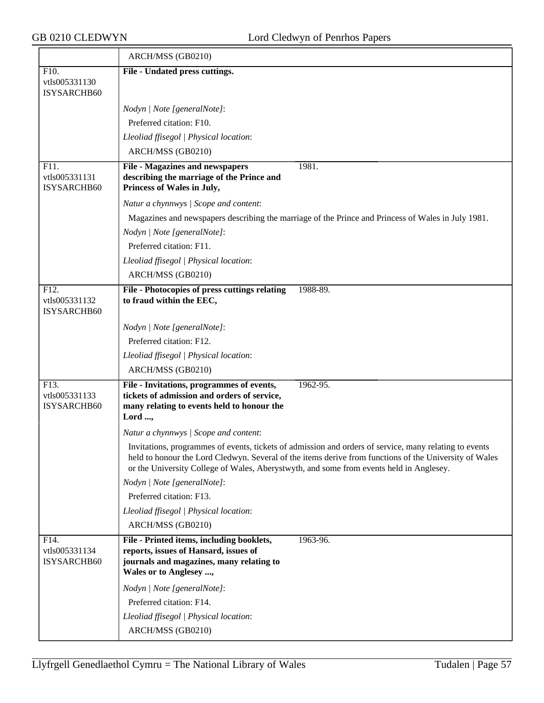|                              | ARCH/MSS (GB0210)                                                                                                                                                                                                                                                                                           |  |  |
|------------------------------|-------------------------------------------------------------------------------------------------------------------------------------------------------------------------------------------------------------------------------------------------------------------------------------------------------------|--|--|
| F10.                         | File - Undated press cuttings.                                                                                                                                                                                                                                                                              |  |  |
| vtls005331130<br>ISYSARCHB60 |                                                                                                                                                                                                                                                                                                             |  |  |
|                              | Nodyn   Note [generalNote]:                                                                                                                                                                                                                                                                                 |  |  |
|                              | Preferred citation: F10.                                                                                                                                                                                                                                                                                    |  |  |
|                              | Lleoliad ffisegol   Physical location:                                                                                                                                                                                                                                                                      |  |  |
|                              | ARCH/MSS (GB0210)                                                                                                                                                                                                                                                                                           |  |  |
| F11.                         | <b>File - Magazines and newspapers</b><br>1981.                                                                                                                                                                                                                                                             |  |  |
| vtls005331131<br>ISYSARCHB60 | describing the marriage of the Prince and<br>Princess of Wales in July,                                                                                                                                                                                                                                     |  |  |
|                              | Natur a chynnwys / Scope and content:                                                                                                                                                                                                                                                                       |  |  |
|                              | Magazines and newspapers describing the marriage of the Prince and Princess of Wales in July 1981.                                                                                                                                                                                                          |  |  |
|                              | Nodyn   Note [generalNote]:                                                                                                                                                                                                                                                                                 |  |  |
|                              | Preferred citation: F11.                                                                                                                                                                                                                                                                                    |  |  |
|                              | Lleoliad ffisegol   Physical location:                                                                                                                                                                                                                                                                      |  |  |
|                              | ARCH/MSS (GB0210)                                                                                                                                                                                                                                                                                           |  |  |
| F12.                         | File - Photocopies of press cuttings relating<br>1988-89.                                                                                                                                                                                                                                                   |  |  |
| vtls005331132<br>ISYSARCHB60 | to fraud within the EEC,                                                                                                                                                                                                                                                                                    |  |  |
|                              | Nodyn   Note [generalNote]:                                                                                                                                                                                                                                                                                 |  |  |
|                              | Preferred citation: F12.                                                                                                                                                                                                                                                                                    |  |  |
|                              | Lleoliad ffisegol   Physical location:                                                                                                                                                                                                                                                                      |  |  |
|                              | ARCH/MSS (GB0210)                                                                                                                                                                                                                                                                                           |  |  |
| F13.<br>vtls005331133        | File - Invitations, programmes of events,<br>1962-95.<br>tickets of admission and orders of service,                                                                                                                                                                                                        |  |  |
| ISYSARCHB60                  | many relating to events held to honour the                                                                                                                                                                                                                                                                  |  |  |
|                              | Lord ,                                                                                                                                                                                                                                                                                                      |  |  |
|                              | Natur a chynnwys / Scope and content:                                                                                                                                                                                                                                                                       |  |  |
|                              | Invitations, programmes of events, tickets of admission and orders of service, many relating to events<br>held to honour the Lord Cledwyn. Several of the items derive from functions of the University of Wales<br>or the University College of Wales, Aberystwyth, and some from events held in Anglesey. |  |  |
|                              | Nodyn   Note [generalNote]:                                                                                                                                                                                                                                                                                 |  |  |
|                              | Preferred citation: F13.                                                                                                                                                                                                                                                                                    |  |  |
|                              | Lleoliad ffisegol   Physical location:                                                                                                                                                                                                                                                                      |  |  |
|                              | ARCH/MSS (GB0210)                                                                                                                                                                                                                                                                                           |  |  |
| F14.                         | File - Printed items, including booklets,<br>1963-96.                                                                                                                                                                                                                                                       |  |  |
| vtls005331134<br>ISYSARCHB60 | reports, issues of Hansard, issues of<br>journals and magazines, many relating to                                                                                                                                                                                                                           |  |  |
|                              | Wales or to Anglesey ,                                                                                                                                                                                                                                                                                      |  |  |
|                              | Nodyn   Note [generalNote]:                                                                                                                                                                                                                                                                                 |  |  |
|                              | Preferred citation: F14.                                                                                                                                                                                                                                                                                    |  |  |
|                              | Lleoliad ffisegol   Physical location:                                                                                                                                                                                                                                                                      |  |  |
|                              | ARCH/MSS (GB0210)                                                                                                                                                                                                                                                                                           |  |  |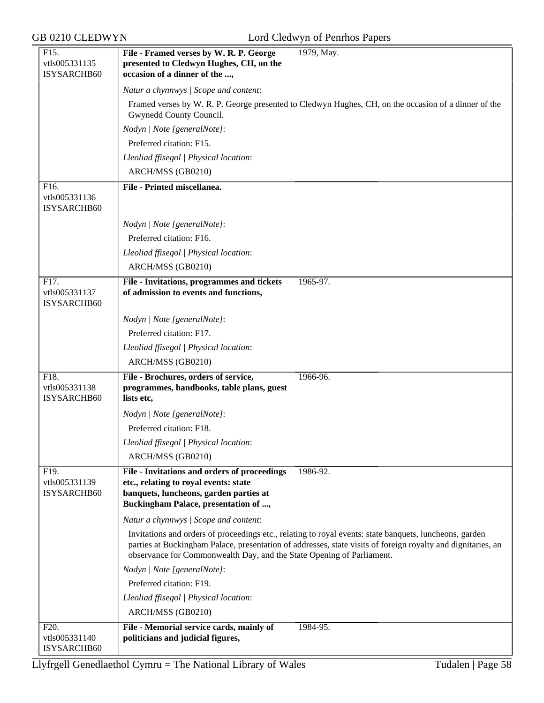| F15.                                              | File - Framed verses by W. R. P. George<br>1979, May.                                                                                                                                                                                                                                            |  |  |  |
|---------------------------------------------------|--------------------------------------------------------------------------------------------------------------------------------------------------------------------------------------------------------------------------------------------------------------------------------------------------|--|--|--|
| vtls005331135                                     | presented to Cledwyn Hughes, CH, on the                                                                                                                                                                                                                                                          |  |  |  |
| ISYSARCHB60                                       | occasion of a dinner of the ,                                                                                                                                                                                                                                                                    |  |  |  |
|                                                   | Natur a chynnwys / Scope and content:                                                                                                                                                                                                                                                            |  |  |  |
|                                                   | Framed verses by W. R. P. George presented to Cledwyn Hughes, CH, on the occasion of a dinner of the                                                                                                                                                                                             |  |  |  |
|                                                   | Gwynedd County Council.                                                                                                                                                                                                                                                                          |  |  |  |
|                                                   | Nodyn   Note [generalNote]:                                                                                                                                                                                                                                                                      |  |  |  |
|                                                   | Preferred citation: F15.                                                                                                                                                                                                                                                                         |  |  |  |
|                                                   | Lleoliad ffisegol   Physical location:                                                                                                                                                                                                                                                           |  |  |  |
|                                                   | ARCH/MSS (GB0210)                                                                                                                                                                                                                                                                                |  |  |  |
| F <sub>16</sub> .                                 | File - Printed miscellanea.                                                                                                                                                                                                                                                                      |  |  |  |
| vtls005331136<br>ISYSARCHB60                      |                                                                                                                                                                                                                                                                                                  |  |  |  |
|                                                   | Nodyn   Note [generalNote]:                                                                                                                                                                                                                                                                      |  |  |  |
|                                                   | Preferred citation: F16.                                                                                                                                                                                                                                                                         |  |  |  |
|                                                   | Lleoliad ffisegol   Physical location:                                                                                                                                                                                                                                                           |  |  |  |
|                                                   | ARCH/MSS (GB0210)                                                                                                                                                                                                                                                                                |  |  |  |
|                                                   |                                                                                                                                                                                                                                                                                                  |  |  |  |
| F17.<br>vtls005331137<br>ISYSARCHB60              | File - Invitations, programmes and tickets<br>1965-97.<br>of admission to events and functions,                                                                                                                                                                                                  |  |  |  |
|                                                   | Nodyn   Note [generalNote]:                                                                                                                                                                                                                                                                      |  |  |  |
|                                                   | Preferred citation: F17.                                                                                                                                                                                                                                                                         |  |  |  |
|                                                   | Lleoliad ffisegol   Physical location:                                                                                                                                                                                                                                                           |  |  |  |
|                                                   | ARCH/MSS (GB0210)                                                                                                                                                                                                                                                                                |  |  |  |
|                                                   |                                                                                                                                                                                                                                                                                                  |  |  |  |
| F18.<br>vtls005331138<br>ISYSARCHB60              | File - Brochures, orders of service,<br>1966-96.<br>programmes, handbooks, table plans, guest<br>lists etc,                                                                                                                                                                                      |  |  |  |
|                                                   | Nodyn   Note [generalNote]:                                                                                                                                                                                                                                                                      |  |  |  |
|                                                   | Preferred citation: F18.                                                                                                                                                                                                                                                                         |  |  |  |
|                                                   | Lleoliad ffisegol   Physical location:                                                                                                                                                                                                                                                           |  |  |  |
|                                                   | ARCH/MSS (GB0210)                                                                                                                                                                                                                                                                                |  |  |  |
|                                                   |                                                                                                                                                                                                                                                                                                  |  |  |  |
| F19.<br>vtls005331139<br>ISYSARCHB60              | File - Invitations and orders of proceedings<br>1986-92.<br>etc., relating to royal events: state<br>banquets, luncheons, garden parties at<br>Buckingham Palace, presentation of ,                                                                                                              |  |  |  |
|                                                   | Natur a chynnwys / Scope and content:                                                                                                                                                                                                                                                            |  |  |  |
|                                                   | Invitations and orders of proceedings etc., relating to royal events: state banquets, luncheons, garden<br>parties at Buckingham Palace, presentation of addresses, state visits of foreign royalty and dignitaries, an<br>observance for Commonwealth Day, and the State Opening of Parliament. |  |  |  |
|                                                   | Nodyn   Note [generalNote]:                                                                                                                                                                                                                                                                      |  |  |  |
|                                                   | Preferred citation: F19.                                                                                                                                                                                                                                                                         |  |  |  |
|                                                   | Lleoliad ffisegol   Physical location:                                                                                                                                                                                                                                                           |  |  |  |
|                                                   | ARCH/MSS (GB0210)                                                                                                                                                                                                                                                                                |  |  |  |
|                                                   |                                                                                                                                                                                                                                                                                                  |  |  |  |
| F <sub>20</sub> .<br>vtls005331140<br>ISYSARCHB60 | File - Memorial service cards, mainly of<br>1984-95.<br>politicians and judicial figures,                                                                                                                                                                                                        |  |  |  |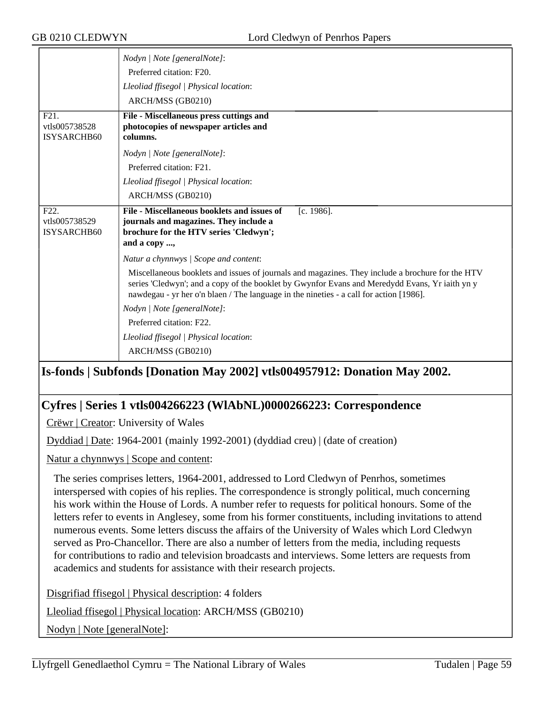|                                                          | Nodyn   Note [generalNote]:<br>Preferred citation: F20.                                                                                                                                                                                                                                      |  |  |  |
|----------------------------------------------------------|----------------------------------------------------------------------------------------------------------------------------------------------------------------------------------------------------------------------------------------------------------------------------------------------|--|--|--|
|                                                          | Lleoliad ffisegol   Physical location:                                                                                                                                                                                                                                                       |  |  |  |
|                                                          | ARCH/MSS (GB0210)                                                                                                                                                                                                                                                                            |  |  |  |
| F21.<br>vtls005738528<br><b>ISYSARCHB60</b>              | File - Miscellaneous press cuttings and<br>photocopies of newspaper articles and<br>columns.                                                                                                                                                                                                 |  |  |  |
|                                                          | Nodyn   Note [generalNote]:                                                                                                                                                                                                                                                                  |  |  |  |
|                                                          | Preferred citation: F21.                                                                                                                                                                                                                                                                     |  |  |  |
|                                                          | Lleoliad ffisegol   Physical location:                                                                                                                                                                                                                                                       |  |  |  |
|                                                          | ARCH/MSS (GB0210)                                                                                                                                                                                                                                                                            |  |  |  |
| F <sub>22</sub> .<br>vtls005738529<br><b>ISYSARCHB60</b> | File - Miscellaneous booklets and issues of<br>$[c. 1986]$ .<br>journals and magazines. They include a<br>brochure for the HTV series 'Cledwyn';<br>and a copy ,                                                                                                                             |  |  |  |
|                                                          | Natur a chynnwys / Scope and content:                                                                                                                                                                                                                                                        |  |  |  |
|                                                          | Miscellaneous booklets and issues of journals and magazines. They include a brochure for the HTV<br>series 'Cledwyn'; and a copy of the booklet by Gwynfor Evans and Meredydd Evans, Yr iaith yn y<br>nawdegau - yr her o'n blaen / The language in the nineties - a call for action [1986]. |  |  |  |
|                                                          | Nodyn   Note [generalNote]:                                                                                                                                                                                                                                                                  |  |  |  |
|                                                          | Preferred citation: F22.                                                                                                                                                                                                                                                                     |  |  |  |
|                                                          | Lleoliad ffisegol   Physical location:                                                                                                                                                                                                                                                       |  |  |  |
|                                                          | ARCH/MSS (GB0210)                                                                                                                                                                                                                                                                            |  |  |  |

## **Is-fonds | Subfonds [Donation May 2002] vtls004957912: Donation May 2002.**

## **Cyfres | Series 1 vtls004266223 (WlAbNL)0000266223: Correspondence**

Crëwr | Creator: University of Wales

Dyddiad | Date: 1964-2001 (mainly 1992-2001) (dyddiad creu) | (date of creation)

Natur a chynnwys | Scope and content:

The series comprises letters, 1964-2001, addressed to Lord Cledwyn of Penrhos, sometimes interspersed with copies of his replies. The correspondence is strongly political, much concerning his work within the House of Lords. A number refer to requests for political honours. Some of the letters refer to events in Anglesey, some from his former constituents, including invitations to attend numerous events. Some letters discuss the affairs of the University of Wales which Lord Cledwyn served as Pro-Chancellor. There are also a number of letters from the media, including requests for contributions to radio and television broadcasts and interviews. Some letters are requests from academics and students for assistance with their research projects.

Disgrifiad ffisegol | Physical description: 4 folders

Lleoliad ffisegol | Physical location: ARCH/MSS (GB0210)

Nodyn | Note [generalNote]: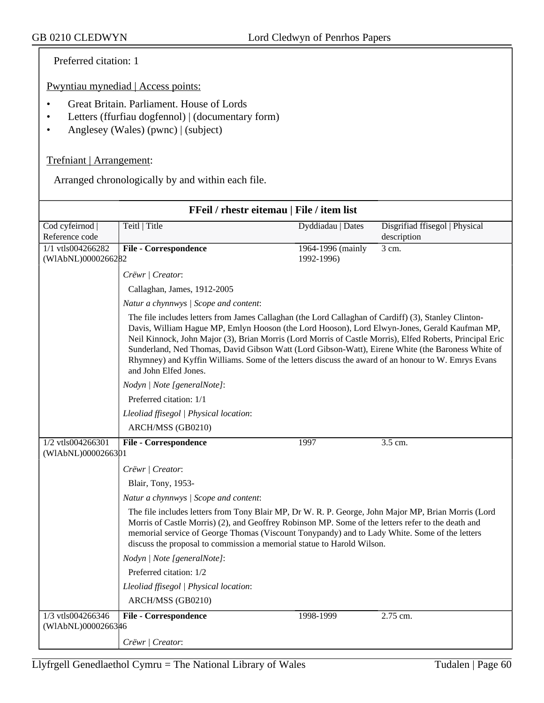Preferred citation: 1

Pwyntiau mynediad | Access points:

- Great Britain. Parliament. House of Lords
- Letters (ffurfiau dogfennol) | (documentary form)
- Anglesey (Wales) (pwnc) | (subject)

#### Trefniant | Arrangement:

Arranged chronologically by and within each file.

| FFeil / rhestr eitemau   File / item list |                                                                                                                                                                                                                                                                                                                                                                                                                                                                                                                                                       |                   |                                               |  |
|-------------------------------------------|-------------------------------------------------------------------------------------------------------------------------------------------------------------------------------------------------------------------------------------------------------------------------------------------------------------------------------------------------------------------------------------------------------------------------------------------------------------------------------------------------------------------------------------------------------|-------------------|-----------------------------------------------|--|
| Cod cyfeirnod  <br>Reference code         | Teitl   Title                                                                                                                                                                                                                                                                                                                                                                                                                                                                                                                                         | Dyddiadau   Dates | Disgrifiad ffisegol   Physical<br>description |  |
| 1/1 vtls004266282                         | <b>File - Correspondence</b>                                                                                                                                                                                                                                                                                                                                                                                                                                                                                                                          | 1964-1996 (mainly | 3 cm.                                         |  |
| (WIAbNL)0000266282                        |                                                                                                                                                                                                                                                                                                                                                                                                                                                                                                                                                       | 1992-1996)        |                                               |  |
|                                           | Crëwr / Creator:                                                                                                                                                                                                                                                                                                                                                                                                                                                                                                                                      |                   |                                               |  |
|                                           | Callaghan, James, 1912-2005                                                                                                                                                                                                                                                                                                                                                                                                                                                                                                                           |                   |                                               |  |
|                                           | Natur a chynnwys / Scope and content:                                                                                                                                                                                                                                                                                                                                                                                                                                                                                                                 |                   |                                               |  |
|                                           | The file includes letters from James Callaghan (the Lord Callaghan of Cardiff) (3), Stanley Clinton-<br>Davis, William Hague MP, Emlyn Hooson (the Lord Hooson), Lord Elwyn-Jones, Gerald Kaufman MP,<br>Neil Kinnock, John Major (3), Brian Morris (Lord Morris of Castle Morris), Elfed Roberts, Principal Eric<br>Sunderland, Ned Thomas, David Gibson Watt (Lord Gibson-Watt), Eirene White (the Baroness White of<br>Rhymney) and Kyffin Williams. Some of the letters discuss the award of an honour to W. Emrys Evans<br>and John Elfed Jones. |                   |                                               |  |
|                                           | Nodyn   Note [generalNote]:                                                                                                                                                                                                                                                                                                                                                                                                                                                                                                                           |                   |                                               |  |
|                                           | Preferred citation: 1/1                                                                                                                                                                                                                                                                                                                                                                                                                                                                                                                               |                   |                                               |  |
|                                           | Lleoliad ffisegol   Physical location:                                                                                                                                                                                                                                                                                                                                                                                                                                                                                                                |                   |                                               |  |
|                                           | ARCH/MSS (GB0210)                                                                                                                                                                                                                                                                                                                                                                                                                                                                                                                                     |                   |                                               |  |
| 1/2 vtls004266301                         | <b>File - Correspondence</b>                                                                                                                                                                                                                                                                                                                                                                                                                                                                                                                          | 1997              | $3.5$ cm.                                     |  |
| (WIAbNL)0000266301                        |                                                                                                                                                                                                                                                                                                                                                                                                                                                                                                                                                       |                   |                                               |  |
|                                           | Crëwr   Creator:                                                                                                                                                                                                                                                                                                                                                                                                                                                                                                                                      |                   |                                               |  |
|                                           | Blair, Tony, 1953-                                                                                                                                                                                                                                                                                                                                                                                                                                                                                                                                    |                   |                                               |  |
|                                           | Natur a chynnwys / Scope and content:                                                                                                                                                                                                                                                                                                                                                                                                                                                                                                                 |                   |                                               |  |
|                                           | The file includes letters from Tony Blair MP, Dr W. R. P. George, John Major MP, Brian Morris (Lord<br>Morris of Castle Morris) (2), and Geoffrey Robinson MP. Some of the letters refer to the death and<br>memorial service of George Thomas (Viscount Tonypandy) and to Lady White. Some of the letters<br>discuss the proposal to commission a memorial statue to Harold Wilson.                                                                                                                                                                  |                   |                                               |  |
|                                           | Nodyn   Note [generalNote]:                                                                                                                                                                                                                                                                                                                                                                                                                                                                                                                           |                   |                                               |  |
|                                           | Preferred citation: 1/2                                                                                                                                                                                                                                                                                                                                                                                                                                                                                                                               |                   |                                               |  |
|                                           | Lleoliad ffisegol   Physical location:                                                                                                                                                                                                                                                                                                                                                                                                                                                                                                                |                   |                                               |  |
|                                           | ARCH/MSS (GB0210)                                                                                                                                                                                                                                                                                                                                                                                                                                                                                                                                     |                   |                                               |  |
| 1/3 vtls004266346<br>(WIAbNL)0000266346   | <b>File - Correspondence</b>                                                                                                                                                                                                                                                                                                                                                                                                                                                                                                                          | 1998-1999         | 2.75 cm.                                      |  |
|                                           | Crëwr   Creator:                                                                                                                                                                                                                                                                                                                                                                                                                                                                                                                                      |                   |                                               |  |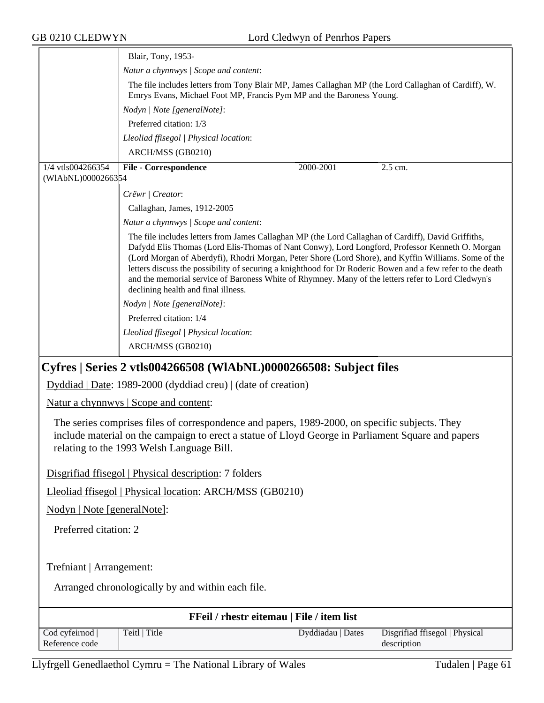| GB 0210 CLEDWYN                                          | Lord Cledwyn of Penrhos Papers                                                                                                                                                                                                                                                                                                                                                                                                                                                                                                                                                                                                                                                                     |  |  |  |
|----------------------------------------------------------|----------------------------------------------------------------------------------------------------------------------------------------------------------------------------------------------------------------------------------------------------------------------------------------------------------------------------------------------------------------------------------------------------------------------------------------------------------------------------------------------------------------------------------------------------------------------------------------------------------------------------------------------------------------------------------------------------|--|--|--|
| Blair, Tony, 1953-                                       |                                                                                                                                                                                                                                                                                                                                                                                                                                                                                                                                                                                                                                                                                                    |  |  |  |
|                                                          | Natur a chynnwys / Scope and content:                                                                                                                                                                                                                                                                                                                                                                                                                                                                                                                                                                                                                                                              |  |  |  |
|                                                          | The file includes letters from Tony Blair MP, James Callaghan MP (the Lord Callaghan of Cardiff), W.<br>Emrys Evans, Michael Foot MP, Francis Pym MP and the Baroness Young.                                                                                                                                                                                                                                                                                                                                                                                                                                                                                                                       |  |  |  |
| Nodyn   Note [generalNote]:<br>Preferred citation: 1/3   |                                                                                                                                                                                                                                                                                                                                                                                                                                                                                                                                                                                                                                                                                                    |  |  |  |
|                                                          |                                                                                                                                                                                                                                                                                                                                                                                                                                                                                                                                                                                                                                                                                                    |  |  |  |
|                                                          | ARCH/MSS (GB0210)                                                                                                                                                                                                                                                                                                                                                                                                                                                                                                                                                                                                                                                                                  |  |  |  |
| 1/4 vtls004266354<br>(WIAbNL)0000266354                  | <b>File - Correspondence</b><br>2000-2001<br>2.5 cm.                                                                                                                                                                                                                                                                                                                                                                                                                                                                                                                                                                                                                                               |  |  |  |
|                                                          | Crëwr   Creator:                                                                                                                                                                                                                                                                                                                                                                                                                                                                                                                                                                                                                                                                                   |  |  |  |
|                                                          | Callaghan, James, 1912-2005                                                                                                                                                                                                                                                                                                                                                                                                                                                                                                                                                                                                                                                                        |  |  |  |
|                                                          | Natur a chynnwys / Scope and content:                                                                                                                                                                                                                                                                                                                                                                                                                                                                                                                                                                                                                                                              |  |  |  |
|                                                          | The file includes letters from James Callaghan MP (the Lord Callaghan of Cardiff), David Griffiths,<br>Dafydd Elis Thomas (Lord Elis-Thomas of Nant Conwy), Lord Longford, Professor Kenneth O. Morgan<br>(Lord Morgan of Aberdyfi), Rhodri Morgan, Peter Shore (Lord Shore), and Kyffin Williams. Some of the<br>letters discuss the possibility of securing a knighthood for Dr Roderic Bowen and a few refer to the death<br>and the memorial service of Baroness White of Rhymney. Many of the letters refer to Lord Cledwyn's<br>declining health and final illness.<br>Nodyn   Note [generalNote]:<br>Preferred citation: 1/4<br>Lleoliad ffisegol   Physical location:<br>ARCH/MSS (GB0210) |  |  |  |
|                                                          | Cyfres   Series 2 vtls004266508 (WIAbNL)0000266508: Subject files                                                                                                                                                                                                                                                                                                                                                                                                                                                                                                                                                                                                                                  |  |  |  |
|                                                          | Dyddiad   Date: 1989-2000 (dyddiad creu)   (date of creation)                                                                                                                                                                                                                                                                                                                                                                                                                                                                                                                                                                                                                                      |  |  |  |
|                                                          | <u>Natur a chynnwys</u>   Scope and content:                                                                                                                                                                                                                                                                                                                                                                                                                                                                                                                                                                                                                                                       |  |  |  |
|                                                          | The series comprises files of correspondence and papers, 1989-2000, on specific subjects. They<br>include material on the campaign to erect a statue of Lloyd George in Parliament Square and papers<br>relating to the 1993 Welsh Language Bill.                                                                                                                                                                                                                                                                                                                                                                                                                                                  |  |  |  |
|                                                          | Disgrifiad ffisegol   Physical description: 7 folders                                                                                                                                                                                                                                                                                                                                                                                                                                                                                                                                                                                                                                              |  |  |  |
| Lleoliad ffisegol   Physical location: ARCH/MSS (GB0210) |                                                                                                                                                                                                                                                                                                                                                                                                                                                                                                                                                                                                                                                                                                    |  |  |  |
| Nodyn   Note [generalNote]:                              |                                                                                                                                                                                                                                                                                                                                                                                                                                                                                                                                                                                                                                                                                                    |  |  |  |
| Preferred citation: 2                                    |                                                                                                                                                                                                                                                                                                                                                                                                                                                                                                                                                                                                                                                                                                    |  |  |  |
| Trefniant   Arrangement:                                 |                                                                                                                                                                                                                                                                                                                                                                                                                                                                                                                                                                                                                                                                                                    |  |  |  |
| Arranged chronologically by and within each file.        |                                                                                                                                                                                                                                                                                                                                                                                                                                                                                                                                                                                                                                                                                                    |  |  |  |
|                                                          | FFeil / rhestr eitemau   File / item list                                                                                                                                                                                                                                                                                                                                                                                                                                                                                                                                                                                                                                                          |  |  |  |
| Cod cyfeirnod  <br>Reference code                        | Teitl   Title<br>Dyddiadau   Dates<br>Disgrifiad ffisegol   Physical<br>description                                                                                                                                                                                                                                                                                                                                                                                                                                                                                                                                                                                                                |  |  |  |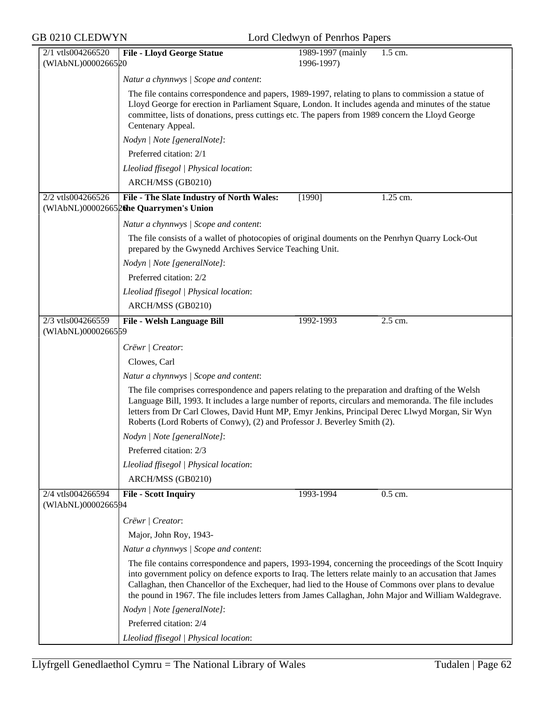| GB 0210 CLEDWYN                         | Lord Cledwyn of Penrhos Papers                                                                                                                                                                                                                                                                                                                                                                                                      |  |  |  |  |
|-----------------------------------------|-------------------------------------------------------------------------------------------------------------------------------------------------------------------------------------------------------------------------------------------------------------------------------------------------------------------------------------------------------------------------------------------------------------------------------------|--|--|--|--|
| 2/1 vtls004266520<br>(WIAbNL)0000266520 | <b>File - Lloyd George Statue</b><br>1989-1997 (mainly<br>1.5 cm.<br>1996-1997)                                                                                                                                                                                                                                                                                                                                                     |  |  |  |  |
|                                         | Natur a chynnwys / Scope and content:                                                                                                                                                                                                                                                                                                                                                                                               |  |  |  |  |
|                                         | The file contains correspondence and papers, 1989-1997, relating to plans to commission a statue of<br>Lloyd George for erection in Parliament Square, London. It includes agenda and minutes of the statue<br>committee, lists of donations, press cuttings etc. The papers from 1989 concern the Lloyd George<br>Centenary Appeal.                                                                                                |  |  |  |  |
|                                         | Nodyn   Note [generalNote]:                                                                                                                                                                                                                                                                                                                                                                                                         |  |  |  |  |
|                                         | Preferred citation: 2/1                                                                                                                                                                                                                                                                                                                                                                                                             |  |  |  |  |
|                                         | Lleoliad ffisegol   Physical location:                                                                                                                                                                                                                                                                                                                                                                                              |  |  |  |  |
|                                         | ARCH/MSS (GB0210)                                                                                                                                                                                                                                                                                                                                                                                                                   |  |  |  |  |
| 2/2 vtls004266526                       | File - The Slate Industry of North Wales:<br>1.25 cm.<br>[1990]<br>(WIAbNL)000026652 the Quarrymen's Union                                                                                                                                                                                                                                                                                                                          |  |  |  |  |
|                                         | Natur a chynnwys / Scope and content:                                                                                                                                                                                                                                                                                                                                                                                               |  |  |  |  |
|                                         | The file consists of a wallet of photocopies of original douments on the Penrhyn Quarry Lock-Out<br>prepared by the Gwynedd Archives Service Teaching Unit.                                                                                                                                                                                                                                                                         |  |  |  |  |
|                                         | Nodyn   Note [generalNote]:                                                                                                                                                                                                                                                                                                                                                                                                         |  |  |  |  |
|                                         | Preferred citation: 2/2                                                                                                                                                                                                                                                                                                                                                                                                             |  |  |  |  |
|                                         | Lleoliad ffisegol   Physical location:                                                                                                                                                                                                                                                                                                                                                                                              |  |  |  |  |
|                                         | ARCH/MSS (GB0210)                                                                                                                                                                                                                                                                                                                                                                                                                   |  |  |  |  |
| 2/3 vtls004266559<br>(WIAbNL)0000266559 | 2.5 cm.<br>File - Welsh Language Bill<br>1992-1993                                                                                                                                                                                                                                                                                                                                                                                  |  |  |  |  |
|                                         | Crëwr   Creator:                                                                                                                                                                                                                                                                                                                                                                                                                    |  |  |  |  |
|                                         | Clowes, Carl                                                                                                                                                                                                                                                                                                                                                                                                                        |  |  |  |  |
|                                         | Natur a chynnwys / Scope and content:                                                                                                                                                                                                                                                                                                                                                                                               |  |  |  |  |
|                                         | The file comprises correspondence and papers relating to the preparation and drafting of the Welsh<br>Language Bill, 1993. It includes a large number of reports, circulars and memoranda. The file includes<br>letters from Dr Carl Clowes, David Hunt MP, Emyr Jenkins, Principal Derec Llwyd Morgan, Sir Wyn<br>Roberts (Lord Roberts of Conwy), (2) and Professor J. Beverley Smith (2).                                        |  |  |  |  |
|                                         | Nodyn   Note [generalNote]:                                                                                                                                                                                                                                                                                                                                                                                                         |  |  |  |  |
|                                         | Preferred citation: 2/3                                                                                                                                                                                                                                                                                                                                                                                                             |  |  |  |  |
|                                         | Lleoliad ffisegol   Physical location:                                                                                                                                                                                                                                                                                                                                                                                              |  |  |  |  |
|                                         | ARCH/MSS (GB0210)                                                                                                                                                                                                                                                                                                                                                                                                                   |  |  |  |  |
| 2/4 vtls004266594<br>(WIAbNL)0000266594 | 0.5 cm.<br><b>File - Scott Inquiry</b><br>1993-1994                                                                                                                                                                                                                                                                                                                                                                                 |  |  |  |  |
|                                         | Crëwr   Creator:                                                                                                                                                                                                                                                                                                                                                                                                                    |  |  |  |  |
|                                         | Major, John Roy, 1943-                                                                                                                                                                                                                                                                                                                                                                                                              |  |  |  |  |
|                                         | Natur a chynnwys / Scope and content:                                                                                                                                                                                                                                                                                                                                                                                               |  |  |  |  |
|                                         | The file contains correspondence and papers, 1993-1994, concerning the proceedings of the Scott Inquiry<br>into government policy on defence exports to Iraq. The letters relate mainly to an accusation that James<br>Callaghan, then Chancellor of the Exchequer, had lied to the House of Commons over plans to devalue<br>the pound in 1967. The file includes letters from James Callaghan, John Major and William Waldegrave. |  |  |  |  |
|                                         | Nodyn   Note [generalNote]:                                                                                                                                                                                                                                                                                                                                                                                                         |  |  |  |  |
|                                         | Preferred citation: 2/4                                                                                                                                                                                                                                                                                                                                                                                                             |  |  |  |  |
|                                         | Lleoliad ffisegol   Physical location:                                                                                                                                                                                                                                                                                                                                                                                              |  |  |  |  |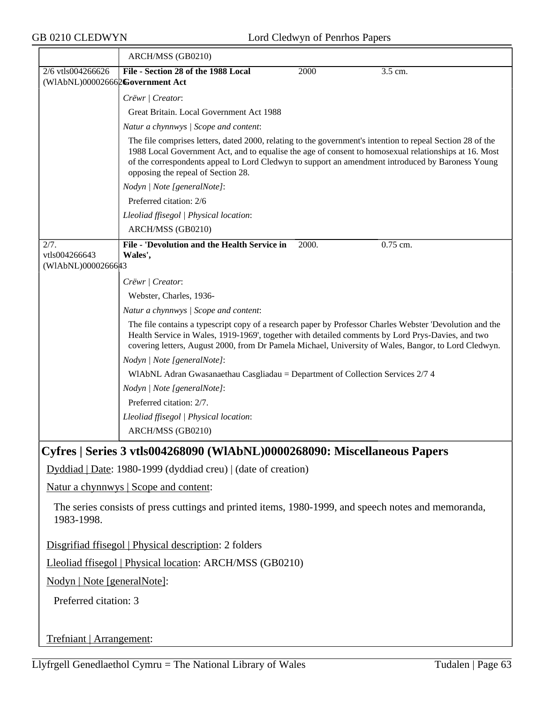|                                                                                                                   | ARCH/MSS (GB0210)                                                                                                                                                                                                                                                                                                                                              |       |          |  |  |
|-------------------------------------------------------------------------------------------------------------------|----------------------------------------------------------------------------------------------------------------------------------------------------------------------------------------------------------------------------------------------------------------------------------------------------------------------------------------------------------------|-------|----------|--|--|
| 2/6 vtls004266626                                                                                                 | File - Section 28 of the 1988 Local                                                                                                                                                                                                                                                                                                                            | 2000  | 3.5 cm.  |  |  |
| (WIAbNL)000026662Government Act                                                                                   |                                                                                                                                                                                                                                                                                                                                                                |       |          |  |  |
|                                                                                                                   | Crëwr   Creator:                                                                                                                                                                                                                                                                                                                                               |       |          |  |  |
|                                                                                                                   | Great Britain. Local Government Act 1988                                                                                                                                                                                                                                                                                                                       |       |          |  |  |
|                                                                                                                   | Natur a chynnwys / Scope and content:                                                                                                                                                                                                                                                                                                                          |       |          |  |  |
|                                                                                                                   | The file comprises letters, dated 2000, relating to the government's intention to repeal Section 28 of the<br>1988 Local Government Act, and to equalise the age of consent to homosexual relationships at 16. Most<br>of the correspondents appeal to Lord Cledwyn to support an amendment introduced by Baroness Young<br>opposing the repeal of Section 28. |       |          |  |  |
|                                                                                                                   | Nodyn   Note [generalNote]:                                                                                                                                                                                                                                                                                                                                    |       |          |  |  |
|                                                                                                                   | Preferred citation: 2/6                                                                                                                                                                                                                                                                                                                                        |       |          |  |  |
|                                                                                                                   | Lleoliad ffisegol   Physical location:                                                                                                                                                                                                                                                                                                                         |       |          |  |  |
|                                                                                                                   | ARCH/MSS (GB0210)                                                                                                                                                                                                                                                                                                                                              |       |          |  |  |
| 2/7.                                                                                                              | File - 'Devolution and the Health Service in                                                                                                                                                                                                                                                                                                                   | 2000. | 0.75 cm. |  |  |
| vtls004266643                                                                                                     | Wales',                                                                                                                                                                                                                                                                                                                                                        |       |          |  |  |
| (WIAbNL)0000266643                                                                                                |                                                                                                                                                                                                                                                                                                                                                                |       |          |  |  |
|                                                                                                                   | Crëwr   Creator:                                                                                                                                                                                                                                                                                                                                               |       |          |  |  |
|                                                                                                                   | Webster, Charles, 1936-                                                                                                                                                                                                                                                                                                                                        |       |          |  |  |
|                                                                                                                   | Natur a chynnwys / Scope and content:                                                                                                                                                                                                                                                                                                                          |       |          |  |  |
|                                                                                                                   | The file contains a typescript copy of a research paper by Professor Charles Webster 'Devolution and the<br>Health Service in Wales, 1919-1969', together with detailed comments by Lord Prys-Davies, and two<br>covering letters, August 2000, from Dr Pamela Michael, University of Wales, Bangor, to Lord Cledwyn.                                          |       |          |  |  |
|                                                                                                                   | Nodyn   Note [generalNote]:                                                                                                                                                                                                                                                                                                                                    |       |          |  |  |
|                                                                                                                   | WIAbNL Adran Gwasanaethau Casgliadau = Department of Collection Services 2/7 4                                                                                                                                                                                                                                                                                 |       |          |  |  |
|                                                                                                                   | Nodyn   Note [generalNote]:                                                                                                                                                                                                                                                                                                                                    |       |          |  |  |
|                                                                                                                   | Preferred citation: 2/7.                                                                                                                                                                                                                                                                                                                                       |       |          |  |  |
|                                                                                                                   | Lleoliad ffisegol   Physical location:                                                                                                                                                                                                                                                                                                                         |       |          |  |  |
|                                                                                                                   | ARCH/MSS (GB0210)                                                                                                                                                                                                                                                                                                                                              |       |          |  |  |
|                                                                                                                   | Cyfres   Series 3 vtls004268090 (WIAbNL)0000268090: Miscellaneous Papers                                                                                                                                                                                                                                                                                       |       |          |  |  |
|                                                                                                                   | Dyddiad   Date: 1980-1999 (dyddiad creu)   (date of creation)                                                                                                                                                                                                                                                                                                  |       |          |  |  |
|                                                                                                                   | Natur a chynnwys   Scope and content:                                                                                                                                                                                                                                                                                                                          |       |          |  |  |
| The series consists of press cuttings and printed items, 1980-1999, and speech notes and memoranda,<br>1983-1998. |                                                                                                                                                                                                                                                                                                                                                                |       |          |  |  |
| Disgrifiad ffisegol   Physical description: 2 folders                                                             |                                                                                                                                                                                                                                                                                                                                                                |       |          |  |  |
| Lleoliad ffisegol   Physical location: ARCH/MSS (GB0210)                                                          |                                                                                                                                                                                                                                                                                                                                                                |       |          |  |  |
| Nodyn   Note [generalNote]:                                                                                       |                                                                                                                                                                                                                                                                                                                                                                |       |          |  |  |
| Preferred citation: 3                                                                                             |                                                                                                                                                                                                                                                                                                                                                                |       |          |  |  |
| Trefniant   Arrangement:                                                                                          |                                                                                                                                                                                                                                                                                                                                                                |       |          |  |  |